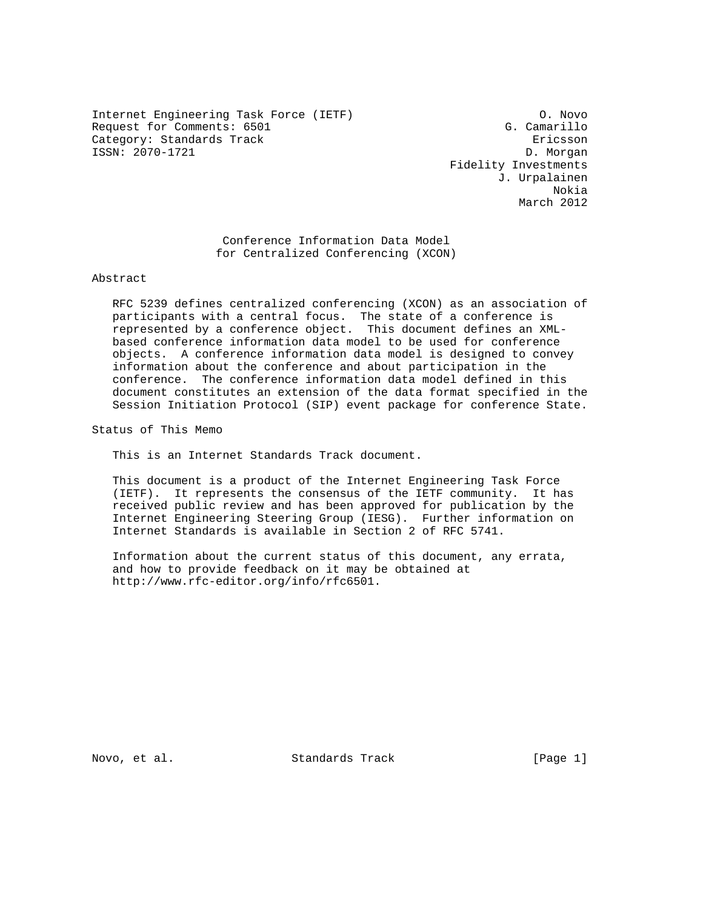Internet Engineering Task Force (IETF) O. Novo Request for Comments: 6501 G. Camarillo Category: Standards Track extending the extension of the Ericsson ISSN: 2070-1721 D. Morgan

 Fidelity Investments J. Urpalainen Nokia March 2012

> Conference Information Data Model for Centralized Conferencing (XCON)

Abstract

 RFC 5239 defines centralized conferencing (XCON) as an association of participants with a central focus. The state of a conference is represented by a conference object. This document defines an XML based conference information data model to be used for conference objects. A conference information data model is designed to convey information about the conference and about participation in the conference. The conference information data model defined in this document constitutes an extension of the data format specified in the Session Initiation Protocol (SIP) event package for conference State.

Status of This Memo

This is an Internet Standards Track document.

 This document is a product of the Internet Engineering Task Force (IETF). It represents the consensus of the IETF community. It has received public review and has been approved for publication by the Internet Engineering Steering Group (IESG). Further information on Internet Standards is available in Section 2 of RFC 5741.

 Information about the current status of this document, any errata, and how to provide feedback on it may be obtained at http://www.rfc-editor.org/info/rfc6501.

Novo, et al. Standards Track [Page 1]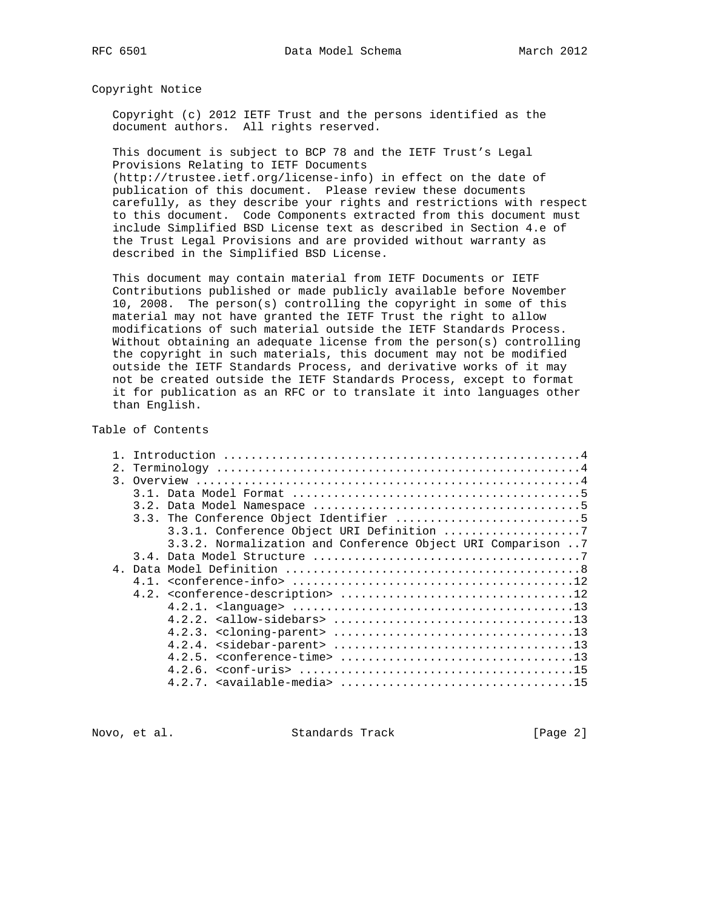Copyright Notice

 Copyright (c) 2012 IETF Trust and the persons identified as the document authors. All rights reserved.

 This document is subject to BCP 78 and the IETF Trust's Legal Provisions Relating to IETF Documents

 (http://trustee.ietf.org/license-info) in effect on the date of publication of this document. Please review these documents carefully, as they describe your rights and restrictions with respect to this document. Code Components extracted from this document must include Simplified BSD License text as described in Section 4.e of the Trust Legal Provisions and are provided without warranty as described in the Simplified BSD License.

 This document may contain material from IETF Documents or IETF Contributions published or made publicly available before November 10, 2008. The person(s) controlling the copyright in some of this material may not have granted the IETF Trust the right to allow modifications of such material outside the IETF Standards Process. Without obtaining an adequate license from the person(s) controlling the copyright in such materials, this document may not be modified outside the IETF Standards Process, and derivative works of it may not be created outside the IETF Standards Process, except to format it for publication as an RFC or to translate it into languages other than English.

## Table of Contents

| 2.1 |  |                                                                                                                                                                                                                                                                    |  |  |  |  |  |  |  |  |
|-----|--|--------------------------------------------------------------------------------------------------------------------------------------------------------------------------------------------------------------------------------------------------------------------|--|--|--|--|--|--|--|--|
|     |  |                                                                                                                                                                                                                                                                    |  |  |  |  |  |  |  |  |
|     |  |                                                                                                                                                                                                                                                                    |  |  |  |  |  |  |  |  |
|     |  |                                                                                                                                                                                                                                                                    |  |  |  |  |  |  |  |  |
|     |  |                                                                                                                                                                                                                                                                    |  |  |  |  |  |  |  |  |
|     |  |                                                                                                                                                                                                                                                                    |  |  |  |  |  |  |  |  |
|     |  | 3.3.2. Normalization and Conference Object URI Comparison 7                                                                                                                                                                                                        |  |  |  |  |  |  |  |  |
|     |  |                                                                                                                                                                                                                                                                    |  |  |  |  |  |  |  |  |
|     |  |                                                                                                                                                                                                                                                                    |  |  |  |  |  |  |  |  |
|     |  |                                                                                                                                                                                                                                                                    |  |  |  |  |  |  |  |  |
|     |  |                                                                                                                                                                                                                                                                    |  |  |  |  |  |  |  |  |
|     |  |                                                                                                                                                                                                                                                                    |  |  |  |  |  |  |  |  |
|     |  |                                                                                                                                                                                                                                                                    |  |  |  |  |  |  |  |  |
|     |  |                                                                                                                                                                                                                                                                    |  |  |  |  |  |  |  |  |
|     |  |                                                                                                                                                                                                                                                                    |  |  |  |  |  |  |  |  |
|     |  | 4.2.5. $\leq$ $\leq$ $\leq$ $\leq$ $\leq$ $\leq$ $\leq$ $\leq$ $\leq$ $\leq$ $\leq$ $\leq$ $\leq$ $\leq$ $\leq$ $\leq$ $\leq$ $\leq$ $\leq$ $\leq$ $\leq$ $\leq$ $\leq$ $\leq$ $\leq$ $\leq$ $\leq$ $\leq$ $\leq$ $\leq$ $\leq$ $\leq$ $\leq$ $\leq$ $\leq$ $\leq$ |  |  |  |  |  |  |  |  |
|     |  |                                                                                                                                                                                                                                                                    |  |  |  |  |  |  |  |  |
|     |  |                                                                                                                                                                                                                                                                    |  |  |  |  |  |  |  |  |
|     |  |                                                                                                                                                                                                                                                                    |  |  |  |  |  |  |  |  |

Novo, et al. Standards Track [Page 2]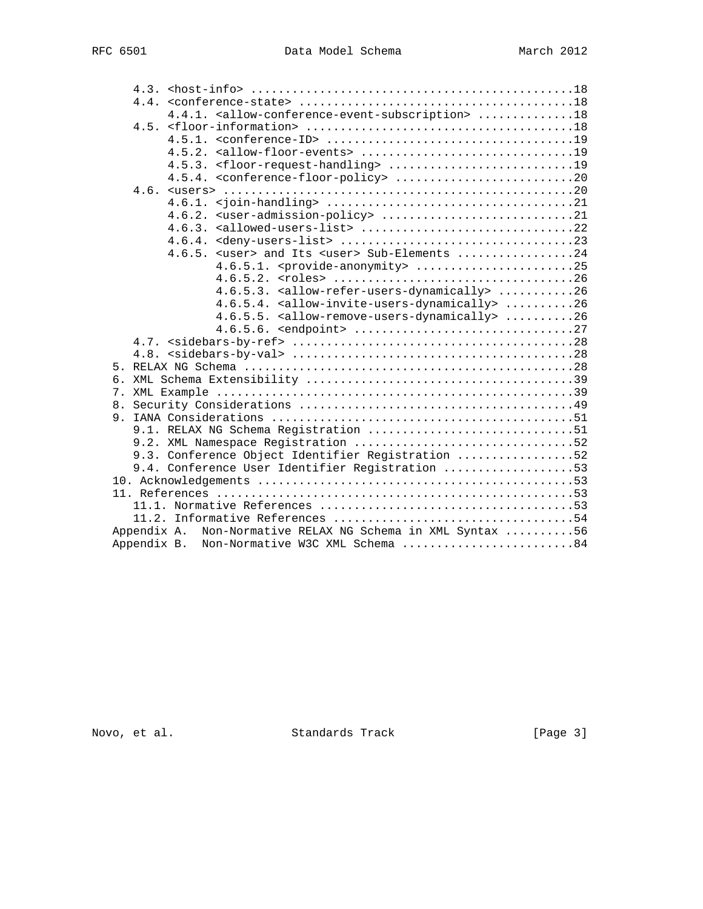|             | 4.4.1. <allow-conference-event-subscription> 18</allow-conference-event-subscription>                                                                                                                                                                                                                  |
|-------------|--------------------------------------------------------------------------------------------------------------------------------------------------------------------------------------------------------------------------------------------------------------------------------------------------------|
|             |                                                                                                                                                                                                                                                                                                        |
|             |                                                                                                                                                                                                                                                                                                        |
|             |                                                                                                                                                                                                                                                                                                        |
|             |                                                                                                                                                                                                                                                                                                        |
|             |                                                                                                                                                                                                                                                                                                        |
|             |                                                                                                                                                                                                                                                                                                        |
|             |                                                                                                                                                                                                                                                                                                        |
|             | 4.6.2. $\zeta$ $\zeta$ $\zeta$ $\zeta$ $\zeta$ $\zeta$ $\zeta$ $\zeta$ $\zeta$ $\zeta$ $\zeta$ $\zeta$ $\zeta$ $\zeta$ $\zeta$ $\zeta$ $\zeta$ $\zeta$ $\zeta$ $\zeta$ $\zeta$ $\zeta$ $\zeta$ $\zeta$ $\zeta$ $\zeta$ $\zeta$ $\zeta$ $\zeta$ $\zeta$ $\zeta$ $\zeta$ $\zeta$ $\zeta$ $\zeta$ $\zeta$ |
|             |                                                                                                                                                                                                                                                                                                        |
|             |                                                                                                                                                                                                                                                                                                        |
|             | 4.6.5. <user> and Its <user> Sub-Elements 24</user></user>                                                                                                                                                                                                                                             |
|             | 4.6.5.1. < provide-anonymity> 25                                                                                                                                                                                                                                                                       |
|             |                                                                                                                                                                                                                                                                                                        |
|             | 4.6.5.3. <allow-refer-users-dynamically> 26</allow-refer-users-dynamically>                                                                                                                                                                                                                            |
|             | 4.6.5.4. <allow-invite-users-dynamically> 26</allow-invite-users-dynamically>                                                                                                                                                                                                                          |
|             | 4.6.5.5. <allow-remove-users-dynamically> 26</allow-remove-users-dynamically>                                                                                                                                                                                                                          |
|             |                                                                                                                                                                                                                                                                                                        |
|             |                                                                                                                                                                                                                                                                                                        |
|             |                                                                                                                                                                                                                                                                                                        |
|             |                                                                                                                                                                                                                                                                                                        |
| б.          |                                                                                                                                                                                                                                                                                                        |
|             |                                                                                                                                                                                                                                                                                                        |
|             |                                                                                                                                                                                                                                                                                                        |
|             |                                                                                                                                                                                                                                                                                                        |
|             | 9.1. RELAX NG Schema Registration 51                                                                                                                                                                                                                                                                   |
|             | 9.2. XML Namespace Registration 52                                                                                                                                                                                                                                                                     |
|             | 9.3. Conference Object Identifier Registration 52                                                                                                                                                                                                                                                      |
|             | 9.4. Conference User Identifier Registration 53                                                                                                                                                                                                                                                        |
|             |                                                                                                                                                                                                                                                                                                        |
|             |                                                                                                                                                                                                                                                                                                        |
|             |                                                                                                                                                                                                                                                                                                        |
|             |                                                                                                                                                                                                                                                                                                        |
| Appendix A. | Non-Normative RELAX NG Schema in XML Syntax 56                                                                                                                                                                                                                                                         |
| Appendix B. | Non-Normative W3C XML Schema 84                                                                                                                                                                                                                                                                        |
|             |                                                                                                                                                                                                                                                                                                        |

Novo, et al. Standards Track [Page 3]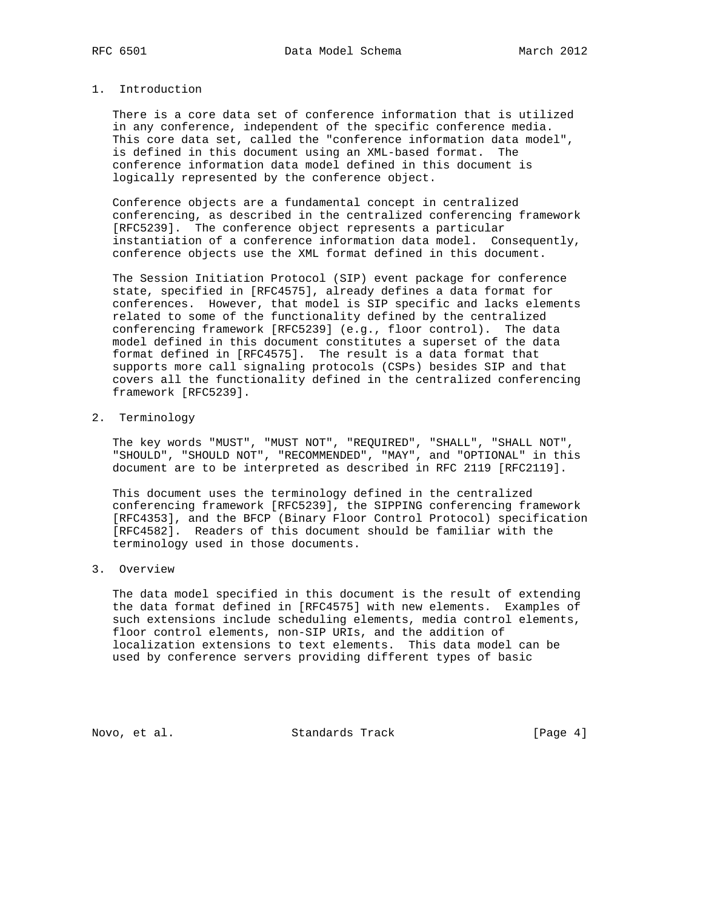## 1. Introduction

 There is a core data set of conference information that is utilized in any conference, independent of the specific conference media. This core data set, called the "conference information data model", is defined in this document using an XML-based format. The conference information data model defined in this document is logically represented by the conference object.

 Conference objects are a fundamental concept in centralized conferencing, as described in the centralized conferencing framework [RFC5239]. The conference object represents a particular instantiation of a conference information data model. Consequently, conference objects use the XML format defined in this document.

 The Session Initiation Protocol (SIP) event package for conference state, specified in [RFC4575], already defines a data format for conferences. However, that model is SIP specific and lacks elements related to some of the functionality defined by the centralized conferencing framework [RFC5239] (e.g., floor control). The data model defined in this document constitutes a superset of the data format defined in [RFC4575]. The result is a data format that supports more call signaling protocols (CSPs) besides SIP and that covers all the functionality defined in the centralized conferencing framework [RFC5239].

#### 2. Terminology

 The key words "MUST", "MUST NOT", "REQUIRED", "SHALL", "SHALL NOT", "SHOULD", "SHOULD NOT", "RECOMMENDED", "MAY", and "OPTIONAL" in this document are to be interpreted as described in RFC 2119 [RFC2119].

 This document uses the terminology defined in the centralized conferencing framework [RFC5239], the SIPPING conferencing framework [RFC4353], and the BFCP (Binary Floor Control Protocol) specification [RFC4582]. Readers of this document should be familiar with the terminology used in those documents.

## 3. Overview

 The data model specified in this document is the result of extending the data format defined in [RFC4575] with new elements. Examples of such extensions include scheduling elements, media control elements, floor control elements, non-SIP URIs, and the addition of localization extensions to text elements. This data model can be used by conference servers providing different types of basic

Novo, et al. Standards Track [Page 4]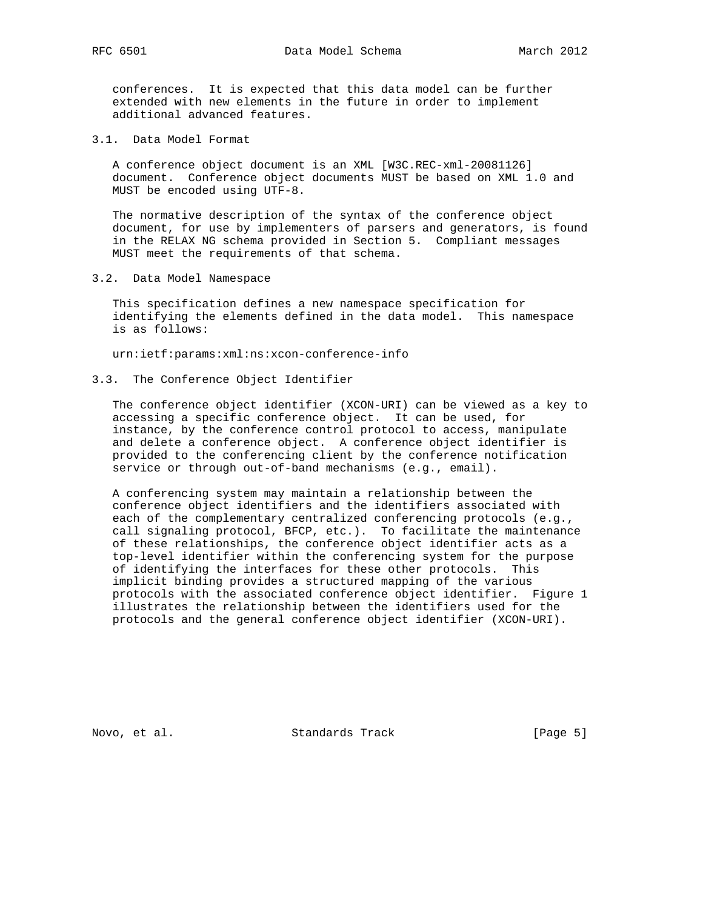conferences. It is expected that this data model can be further extended with new elements in the future in order to implement additional advanced features.

3.1. Data Model Format

 A conference object document is an XML [W3C.REC-xml-20081126] document. Conference object documents MUST be based on XML 1.0 and MUST be encoded using UTF-8.

 The normative description of the syntax of the conference object document, for use by implementers of parsers and generators, is found in the RELAX NG schema provided in Section 5. Compliant messages MUST meet the requirements of that schema.

3.2. Data Model Namespace

 This specification defines a new namespace specification for identifying the elements defined in the data model. This namespace is as follows:

urn:ietf:params:xml:ns:xcon-conference-info

## 3.3. The Conference Object Identifier

 The conference object identifier (XCON-URI) can be viewed as a key to accessing a specific conference object. It can be used, for instance, by the conference control protocol to access, manipulate and delete a conference object. A conference object identifier is provided to the conferencing client by the conference notification service or through out-of-band mechanisms (e.g., email).

 A conferencing system may maintain a relationship between the conference object identifiers and the identifiers associated with each of the complementary centralized conferencing protocols (e.g., call signaling protocol, BFCP, etc.). To facilitate the maintenance of these relationships, the conference object identifier acts as a top-level identifier within the conferencing system for the purpose of identifying the interfaces for these other protocols. This implicit binding provides a structured mapping of the various protocols with the associated conference object identifier. Figure 1 illustrates the relationship between the identifiers used for the protocols and the general conference object identifier (XCON-URI).

Novo, et al. Standards Track [Page 5]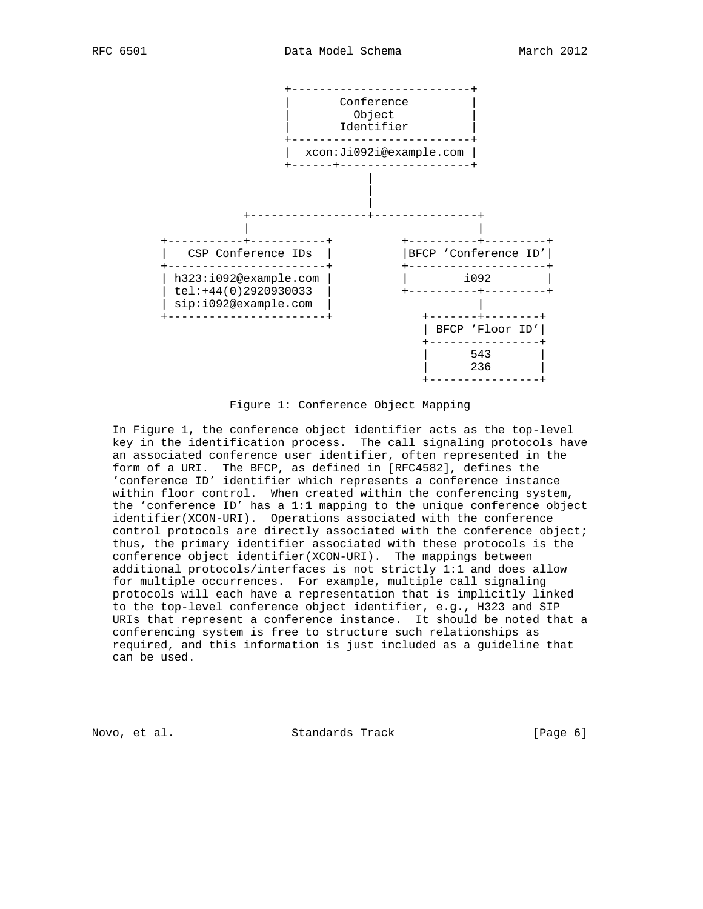

Figure 1: Conference Object Mapping

 In Figure 1, the conference object identifier acts as the top-level key in the identification process. The call signaling protocols have an associated conference user identifier, often represented in the form of a URI. The BFCP, as defined in [RFC4582], defines the 'conference ID' identifier which represents a conference instance within floor control. When created within the conferencing system, the 'conference ID' has a 1:1 mapping to the unique conference object identifier(XCON-URI). Operations associated with the conference control protocols are directly associated with the conference object; thus, the primary identifier associated with these protocols is the conference object identifier(XCON-URI). The mappings between additional protocols/interfaces is not strictly 1:1 and does allow for multiple occurrences. For example, multiple call signaling protocols will each have a representation that is implicitly linked to the top-level conference object identifier, e.g., H323 and SIP URIs that represent a conference instance. It should be noted that a conferencing system is free to structure such relationships as required, and this information is just included as a guideline that can be used.

Novo, et al. Standards Track [Page 6]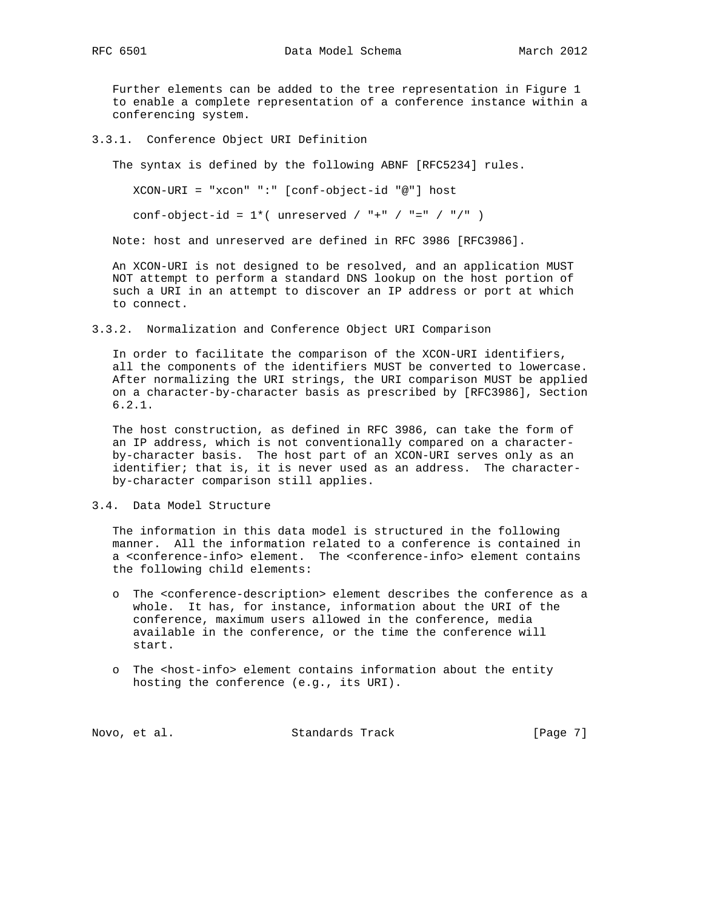Further elements can be added to the tree representation in Figure 1 to enable a complete representation of a conference instance within a conferencing system.

## 3.3.1. Conference Object URI Definition

The syntax is defined by the following ABNF [RFC5234] rules.

XCON-URI = "xcon" ":" [conf-object-id "@"] host

conf-object-id =  $1*($  unreserved / "+" / "=" / "/" )

Note: host and unreserved are defined in RFC 3986 [RFC3986].

 An XCON-URI is not designed to be resolved, and an application MUST NOT attempt to perform a standard DNS lookup on the host portion of such a URI in an attempt to discover an IP address or port at which to connect.

3.3.2. Normalization and Conference Object URI Comparison

 In order to facilitate the comparison of the XCON-URI identifiers, all the components of the identifiers MUST be converted to lowercase. After normalizing the URI strings, the URI comparison MUST be applied on a character-by-character basis as prescribed by [RFC3986], Section 6.2.1.

 The host construction, as defined in RFC 3986, can take the form of an IP address, which is not conventionally compared on a character by-character basis. The host part of an XCON-URI serves only as an identifier; that is, it is never used as an address. The characterby-character comparison still applies.

3.4. Data Model Structure

 The information in this data model is structured in the following manner. All the information related to a conference is contained in a <conference-info> element. The <conference-info> element contains the following child elements:

- o The <conference-description> element describes the conference as a whole. It has, for instance, information about the URI of the conference, maximum users allowed in the conference, media available in the conference, or the time the conference will start.
- o The <host-info> element contains information about the entity hosting the conference (e.g., its URI).

Novo, et al. Standards Track [Page 7]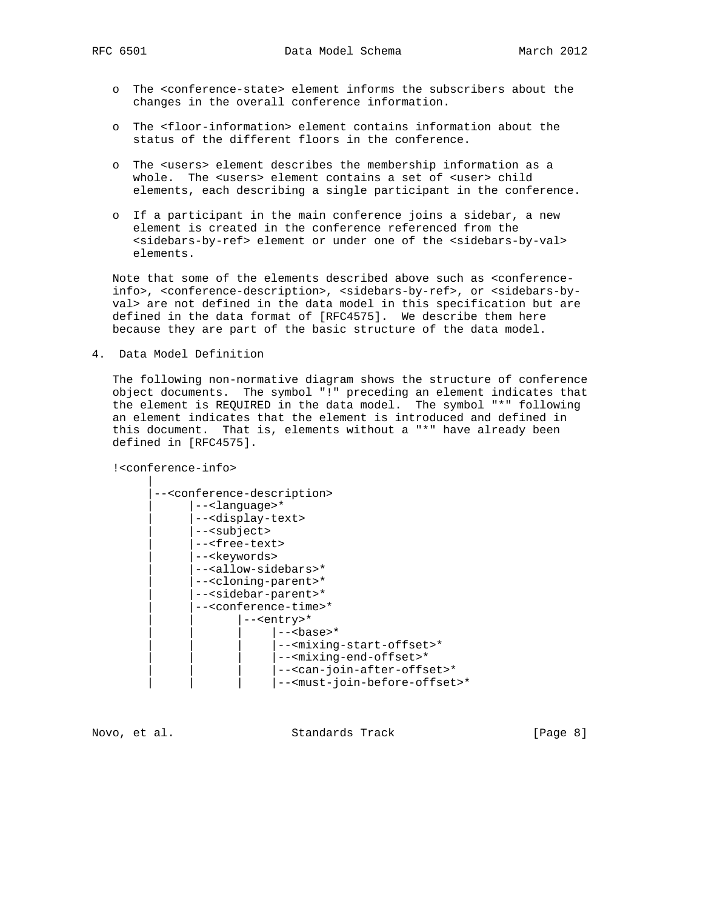- o The <conference-state> element informs the subscribers about the changes in the overall conference information.
- o The <floor-information> element contains information about the status of the different floors in the conference.
- o The <users> element describes the membership information as a whole. The <users> element contains a set of <user> child elements, each describing a single participant in the conference.
- o If a participant in the main conference joins a sidebar, a new element is created in the conference referenced from the <sidebars-by-ref> element or under one of the <sidebars-by-val> elements.

 Note that some of the elements described above such as <conference info>, <conference-description>, <sidebars-by-ref>, or <sidebars-by val> are not defined in the data model in this specification but are defined in the data format of [RFC4575]. We describe them here because they are part of the basic structure of the data model.

4. Data Model Definition

 The following non-normative diagram shows the structure of conference object documents. The symbol "!" preceding an element indicates that the element is REQUIRED in the data model. The symbol "\*" following an element indicates that the element is introduced and defined in this document. That is, elements without a "\*" have already been defined in [RFC4575].

```
 !<conference-info>
```
|| || || || ||

|  |                                  | -- <conference-description></conference-description>    |
|--|----------------------------------|---------------------------------------------------------|
|  | $--$ clanguage>*                 |                                                         |
|  | -- <display-text></display-text> |                                                         |
|  | -- <subject></subject>           |                                                         |
|  | -- <free-text></free-text>       |                                                         |
|  | -- <keywords></keywords>         |                                                         |
|  |                                  | -- <allow-sidebars>*</allow-sidebars>                   |
|  |                                  | -- <cloning-parent>*</cloning-parent>                   |
|  |                                  | -- <sidebar-parent>*</sidebar-parent>                   |
|  |                                  | -- <conference-time>*</conference-time>                 |
|  |                                  | -- <entry>*</entry>                                     |
|  |                                  | -- <base/> *                                            |
|  |                                  | -- <mixing-start-offset>*</mixing-start-offset>         |
|  |                                  | -- <mixing-end-offset>*</mixing-end-offset>             |
|  |                                  | -- <can-join-after-offset>*</can-join-after-offset>     |
|  |                                  | -- <must-join-before-offset>*</must-join-before-offset> |

Novo, et al. Standards Track [Page 8]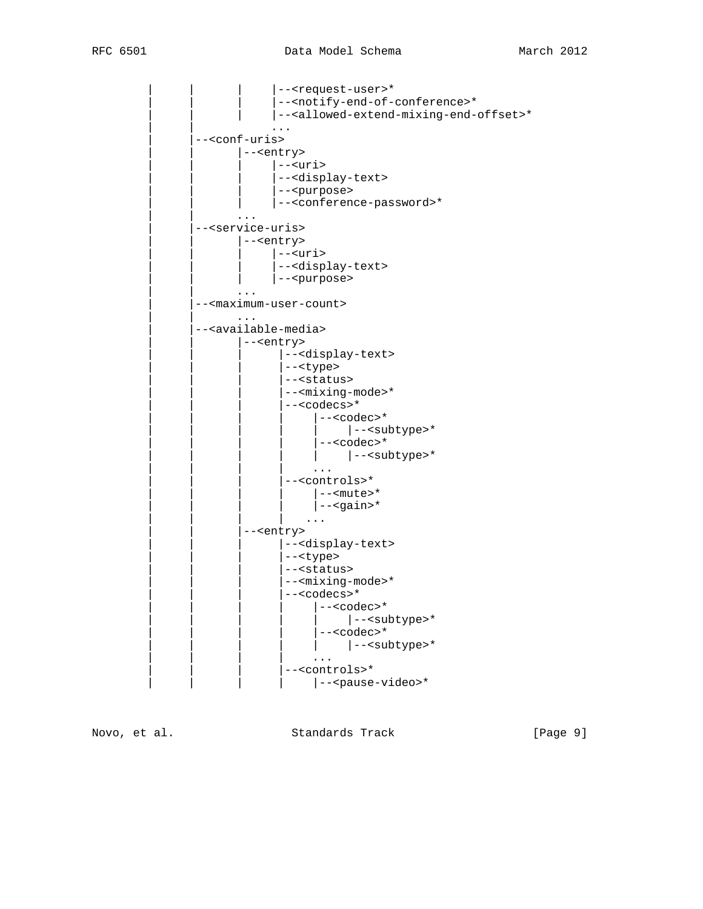```
|--<request-user>*
                         |--<notify-end-of-conference>*
                         |--<allowed-extend-mixing-end-offset>*
| | .... | .... | .... | .... ... .... ....
              --<conf-uris>
                    |--<entry>
                         | --<uri>
                         |--<display-text>
                         |--<purpose>
                         |--<conference-password>*
 | | ...
               | |--<service-uris>
                    |--<entry>|--<uri>
                         |<br>|--<display-text>
                         |--<purpose>
 | | ...
               | |--<maximum-user-count>
 | | ...
               | |--<available-media>
                    |--<entry>|--<display-text>
                          |--<type>
                          |--<status>
                          |--<mixing-mode>*
                           | | | |--<codecs>*
                               | -- < codec > *|--<subtype>*
                               |--<code>codec>* | | | | | |--<subtype>*
 | | | | ...
                          --<controls>*
                              | --<mute>*
                              | --<gain>*
 | | | | ...
                     --<entry>
                          |--<display-text>
                          --<type>
                          --<status>
                          --<mixing-mode>*
                          --<codecs>*
                              |--<code>codec*|--<subtype>*
                               --<codec>*
                               | | | | | |--<subtype>*
 | | | | ...
                          --<controls>*
                             |--<pause-video>*
```
Novo, et al. Standards Track [Page 9]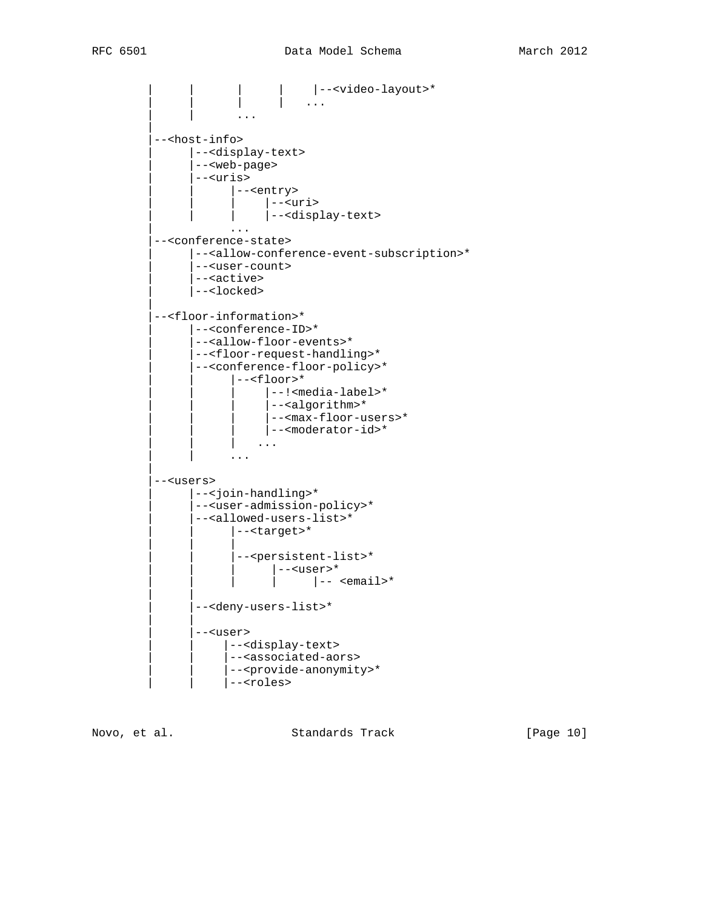```
|--<video-layout>*
 | | | | ...
| | .... | .... | .... ... ...
 |
        --<host-info>
              | |--<display-text>
              --<web-page>
               | |--<uris>
                   |--<entry>
                      |--<uri>
                       |--<display-text>
                    | ...
         |--<conference-state>
              | |--<allow-conference-event-subscription>*
               | |--<user-count>
               | |--<active>
             |--<|ocked> |
         |--<floor-information>*
              | |--<conference-ID>*
               | |--<allow-floor-events>*
              | |--<floor-request-handling>*
               | |--<conference-floor-policy>*
                   |--<floor>^* | | | |--!<media-label>*
 | | | |--<algorithm>*
 | | | |--<max-floor-users>*
                        | --<moderator-id>*
 | | | ...
                    | | ...
 |
         |--<users>
              | |--<join-handling>*
              | |--<user-admission-policy>*
               | |--<allowed-users-list>*
                   |--<target>*
 | | |
                    --<persistent-list>*
                         | --<user>*
                             | -- <email>*
 | |
              --<deny-users-list>*
 | |
              --<user>
                   | | |--<display-text>
                  |--<associated-aors>
                   | | |--<provide-anonymity>*
                  |--<roles>
```
Novo, et al. Standards Track [Page 10]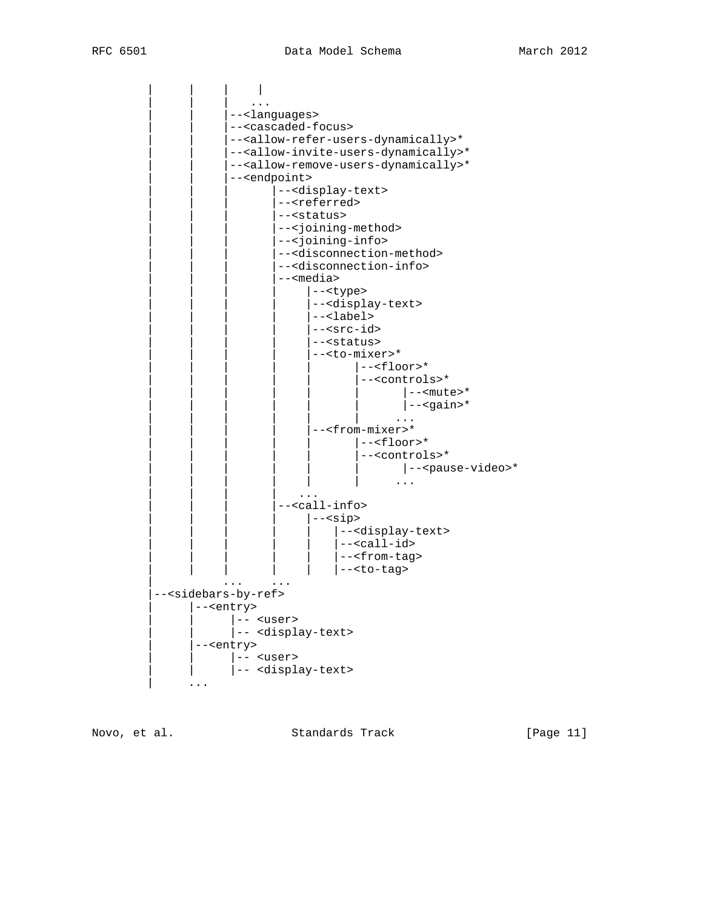

Novo, et al. Standards Track [Page 11]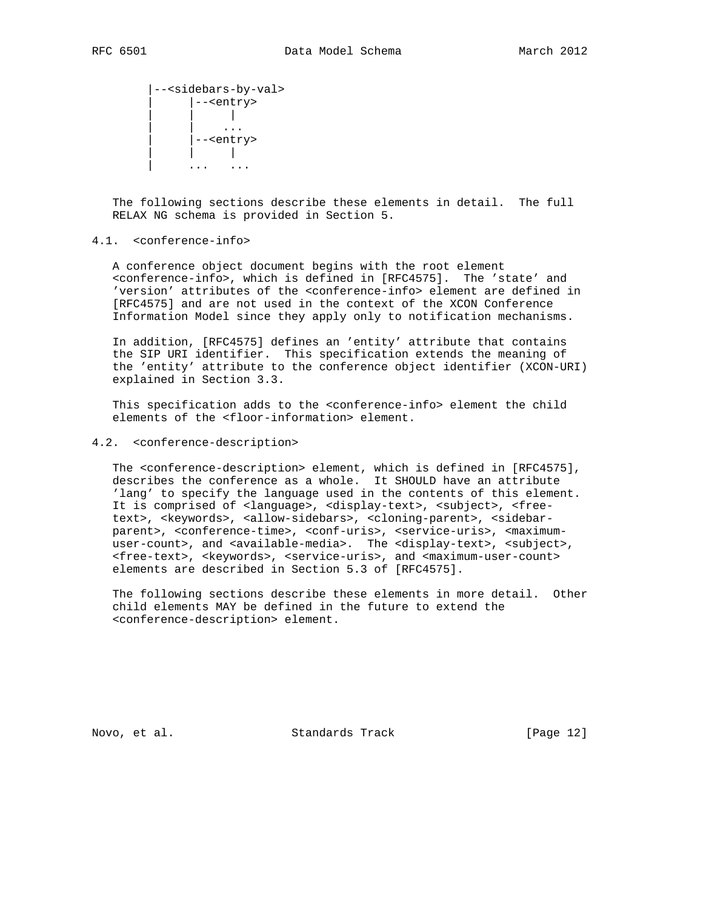```
 |--<sidebars-by-val>
        |--<entry>
 | | |
| | .... | .... | .... | ....
| | | | --<entry>
 | | |
           | ... ...
```
 The following sections describe these elements in detail. The full RELAX NG schema is provided in Section 5.

# 4.1. <conference-info>

 A conference object document begins with the root element <conference-info>, which is defined in [RFC4575]. The 'state' and 'version' attributes of the <conference-info> element are defined in [RFC4575] and are not used in the context of the XCON Conference Information Model since they apply only to notification mechanisms.

 In addition, [RFC4575] defines an 'entity' attribute that contains the SIP URI identifier. This specification extends the meaning of the 'entity' attribute to the conference object identifier (XCON-URI) explained in Section 3.3.

 This specification adds to the <conference-info> element the child elements of the <floor-information> element.

4.2. <conference-description>

 The <conference-description> element, which is defined in [RFC4575], describes the conference as a whole. It SHOULD have an attribute 'lang' to specify the language used in the contents of this element. It is comprised of <language>, <display-text>, <subject>, <freetext>, <keywords>, <allow-sidebars>, <cloning-parent>, <sidebar parent>, <conference-time>, <conf-uris>, <service-uris>, <maximum user-count>, and <available-media>. The <display-text>, <subject>, <free-text>, <keywords>, <service-uris>, and <maximum-user-count> elements are described in Section 5.3 of [RFC4575].

 The following sections describe these elements in more detail. Other child elements MAY be defined in the future to extend the <conference-description> element.

Novo, et al. Standards Track [Page 12]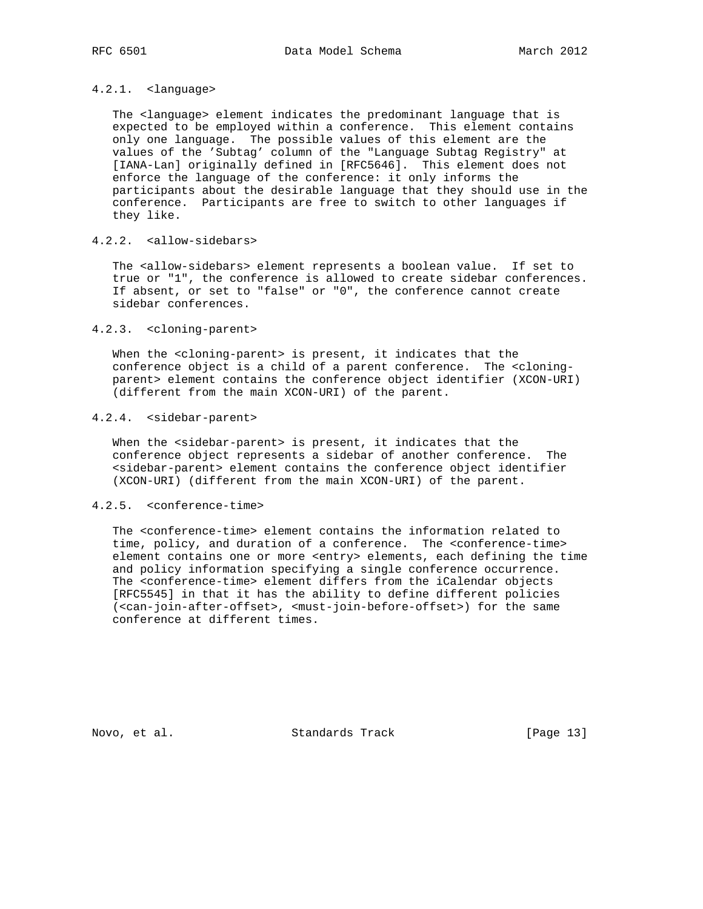### 4.2.1. <language>

 The <language> element indicates the predominant language that is expected to be employed within a conference. This element contains only one language. The possible values of this element are the values of the 'Subtag' column of the "Language Subtag Registry" at [IANA-Lan] originally defined in [RFC5646]. This element does not enforce the language of the conference: it only informs the participants about the desirable language that they should use in the conference. Participants are free to switch to other languages if they like.

# 4.2.2. <allow-sidebars>

 The <allow-sidebars> element represents a boolean value. If set to true or "1", the conference is allowed to create sidebar conferences. If absent, or set to "false" or "0", the conference cannot create sidebar conferences.

## 4.2.3. <cloning-parent>

When the <cloning-parent> is present, it indicates that the conference object is a child of a parent conference. The <cloning parent> element contains the conference object identifier (XCON-URI) (different from the main XCON-URI) of the parent.

# 4.2.4. <sidebar-parent>

When the <sidebar-parent> is present, it indicates that the conference object represents a sidebar of another conference. The <sidebar-parent> element contains the conference object identifier (XCON-URI) (different from the main XCON-URI) of the parent.

### 4.2.5. <conference-time>

 The <conference-time> element contains the information related to time, policy, and duration of a conference. The <conference-time> element contains one or more <entry> elements, each defining the time and policy information specifying a single conference occurrence. The <conference-time> element differs from the iCalendar objects [RFC5545] in that it has the ability to define different policies (<can-join-after-offset>, <must-join-before-offset>) for the same conference at different times.

Novo, et al. Standards Track [Page 13]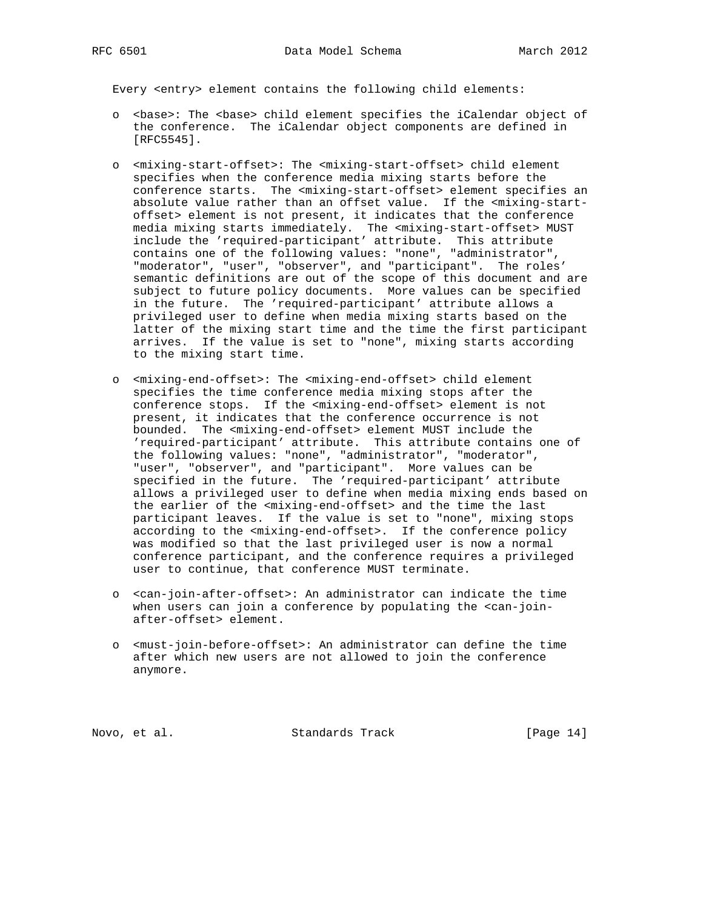Every <entry> element contains the following child elements:

- o <br />base>: The <br />base> child element specifies the iCalendar object of the conference. The iCalendar object components are defined in [RFC5545].
- o <mixing-start-offset>: The <mixing-start-offset> child element specifies when the conference media mixing starts before the conference starts. The <mixing-start-offset> element specifies an absolute value rather than an offset value. If the <mixing-start offset> element is not present, it indicates that the conference media mixing starts immediately. The <mixing-start-offset> MUST include the 'required-participant' attribute. This attribute contains one of the following values: "none", "administrator", "moderator", "user", "observer", and "participant". The roles' semantic definitions are out of the scope of this document and are subject to future policy documents. More values can be specified in the future. The 'required-participant' attribute allows a privileged user to define when media mixing starts based on the latter of the mixing start time and the time the first participant arrives. If the value is set to "none", mixing starts according to the mixing start time.
- o <mixing-end-offset>: The <mixing-end-offset> child element specifies the time conference media mixing stops after the conference stops. If the <mixing-end-offset> element is not present, it indicates that the conference occurrence is not bounded. The <mixing-end-offset> element MUST include the 'required-participant' attribute. This attribute contains one of the following values: "none", "administrator", "moderator", "user", "observer", and "participant". More values can be specified in the future. The 'required-participant' attribute allows a privileged user to define when media mixing ends based on the earlier of the <mixing-end-offset> and the time the last participant leaves. If the value is set to "none", mixing stops according to the <mixing-end-offset>. If the conference policy was modified so that the last privileged user is now a normal conference participant, and the conference requires a privileged user to continue, that conference MUST terminate.
- o <can-join-after-offset>: An administrator can indicate the time when users can join a conference by populating the <can-join after-offset> element.
- o <must-join-before-offset>: An administrator can define the time after which new users are not allowed to join the conference anymore.

Novo, et al. Standards Track [Page 14]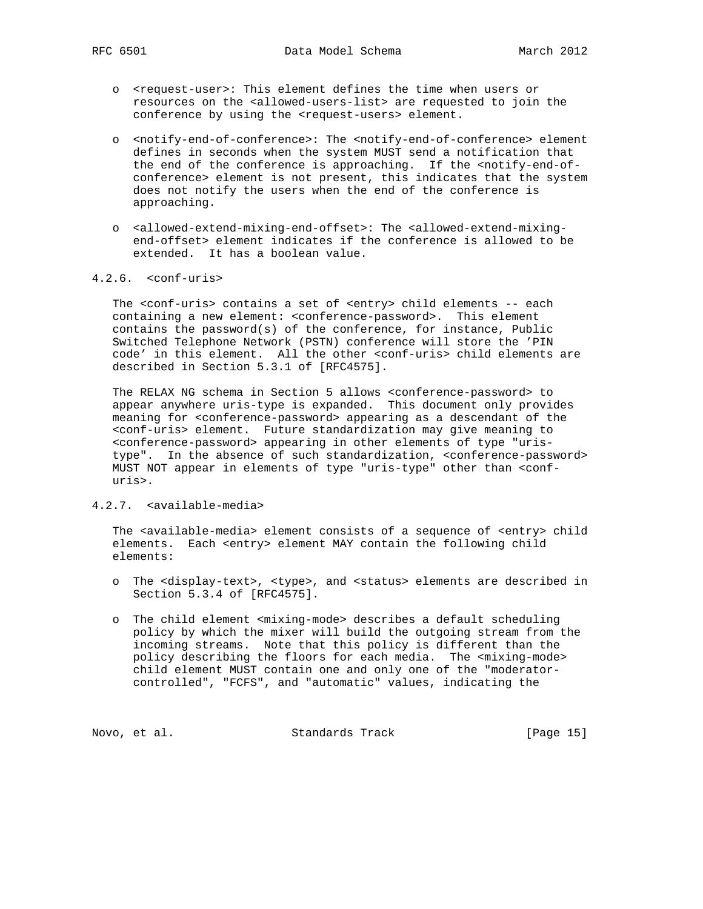- o <request-user>: This element defines the time when users or resources on the <allowed-users-list> are requested to join the conference by using the <request-users> element.
- o <notify-end-of-conference>: The <notify-end-of-conference> element defines in seconds when the system MUST send a notification that the end of the conference is approaching. If the <notify-end-of conference> element is not present, this indicates that the system does not notify the users when the end of the conference is approaching.
- o <allowed-extend-mixing-end-offset>: The <allowed-extend-mixing end-offset> element indicates if the conference is allowed to be extended. It has a boolean value.

#### 4.2.6. <conf-uris>

 The <conf-uris> contains a set of <entry> child elements -- each containing a new element: <conference-password>. This element contains the password(s) of the conference, for instance, Public Switched Telephone Network (PSTN) conference will store the 'PIN code' in this element. All the other <conf-uris> child elements are described in Section 5.3.1 of [RFC4575].

 The RELAX NG schema in Section 5 allows <conference-password> to appear anywhere uris-type is expanded. This document only provides meaning for <conference-password> appearing as a descendant of the <conf-uris> element. Future standardization may give meaning to <conference-password> appearing in other elements of type "uris type". In the absence of such standardization, <conference-password> MUST NOT appear in elements of type "uris-type" other than <conf uris>.

### 4.2.7. <available-media>

The <available-media> element consists of a sequence of <entry> child elements. Each <entry> element MAY contain the following child elements:

- o The <display-text>, <type>, and <status> elements are described in Section 5.3.4 of [RFC4575].
- o The child element <mixing-mode> describes a default scheduling policy by which the mixer will build the outgoing stream from the incoming streams. Note that this policy is different than the policy describing the floors for each media. The <mixing-mode> child element MUST contain one and only one of the "moderator controlled", "FCFS", and "automatic" values, indicating the

Novo, et al. Standards Track [Page 15]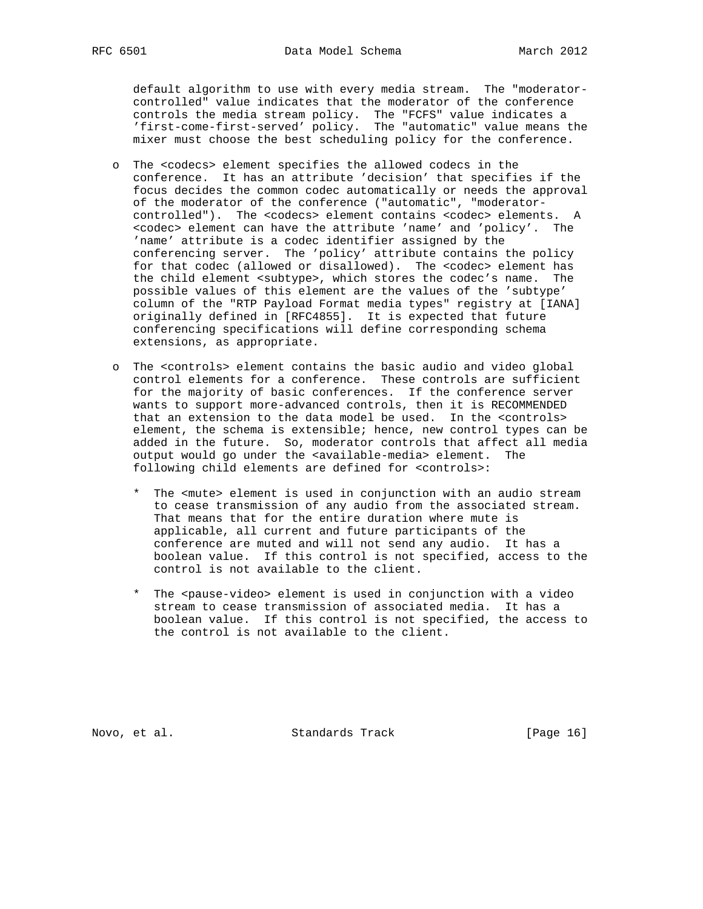default algorithm to use with every media stream. The "moderator controlled" value indicates that the moderator of the conference controls the media stream policy. The "FCFS" value indicates a 'first-come-first-served' policy. The "automatic" value means the mixer must choose the best scheduling policy for the conference.

- o The <codecs> element specifies the allowed codecs in the conference. It has an attribute 'decision' that specifies if the focus decides the common codec automatically or needs the approval of the moderator of the conference ("automatic", "moderator controlled"). The <codecs> element contains <codec> elements. A <codec> element can have the attribute 'name' and 'policy'. The 'name' attribute is a codec identifier assigned by the conferencing server. The 'policy' attribute contains the policy for that codec (allowed or disallowed). The <codec> element has the child element <subtype>, which stores the codec's name. The possible values of this element are the values of the 'subtype' column of the "RTP Payload Format media types" registry at [IANA] originally defined in [RFC4855]. It is expected that future conferencing specifications will define corresponding schema extensions, as appropriate.
- o The <controls> element contains the basic audio and video global control elements for a conference. These controls are sufficient for the majority of basic conferences. If the conference server wants to support more-advanced controls, then it is RECOMMENDED that an extension to the data model be used. In the <controls> element, the schema is extensible; hence, new control types can be added in the future. So, moderator controls that affect all media output would go under the <available-media> element. The following child elements are defined for <controls>:
	- \* The <mute> element is used in conjunction with an audio stream to cease transmission of any audio from the associated stream. That means that for the entire duration where mute is applicable, all current and future participants of the conference are muted and will not send any audio. It has a boolean value. If this control is not specified, access to the control is not available to the client.
	- \* The <pause-video> element is used in conjunction with a video stream to cease transmission of associated media. It has a boolean value. If this control is not specified, the access to the control is not available to the client.

Novo, et al. Standards Track [Page 16]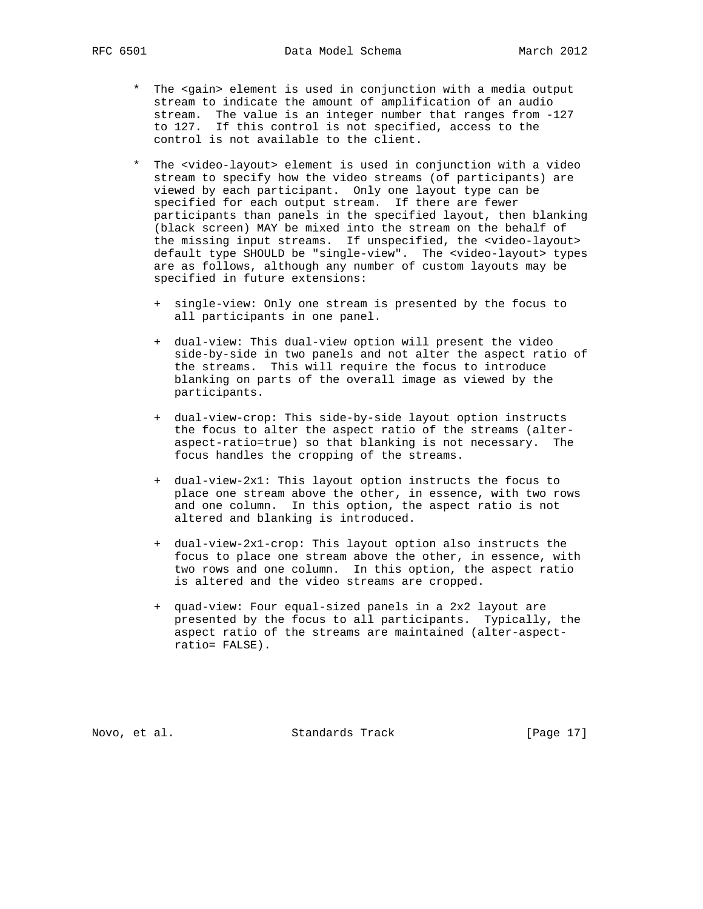- \* The <gain> element is used in conjunction with a media output stream to indicate the amount of amplification of an audio stream. The value is an integer number that ranges from -127 to 127. If this control is not specified, access to the control is not available to the client.
- \* The <video-layout> element is used in conjunction with a video stream to specify how the video streams (of participants) are viewed by each participant. Only one layout type can be specified for each output stream. If there are fewer participants than panels in the specified layout, then blanking (black screen) MAY be mixed into the stream on the behalf of the missing input streams. If unspecified, the <video-layout> default type SHOULD be "single-view". The <video-layout> types are as follows, although any number of custom layouts may be specified in future extensions:
	- + single-view: Only one stream is presented by the focus to all participants in one panel.
	- + dual-view: This dual-view option will present the video side-by-side in two panels and not alter the aspect ratio of the streams. This will require the focus to introduce blanking on parts of the overall image as viewed by the participants.
	- + dual-view-crop: This side-by-side layout option instructs the focus to alter the aspect ratio of the streams (alter aspect-ratio=true) so that blanking is not necessary. The focus handles the cropping of the streams.
	- + dual-view-2x1: This layout option instructs the focus to place one stream above the other, in essence, with two rows and one column. In this option, the aspect ratio is not altered and blanking is introduced.
	- + dual-view-2x1-crop: This layout option also instructs the focus to place one stream above the other, in essence, with two rows and one column. In this option, the aspect ratio is altered and the video streams are cropped.
	- + quad-view: Four equal-sized panels in a 2x2 layout are presented by the focus to all participants. Typically, the aspect ratio of the streams are maintained (alter-aspect ratio= FALSE).

Novo, et al. Standards Track [Page 17]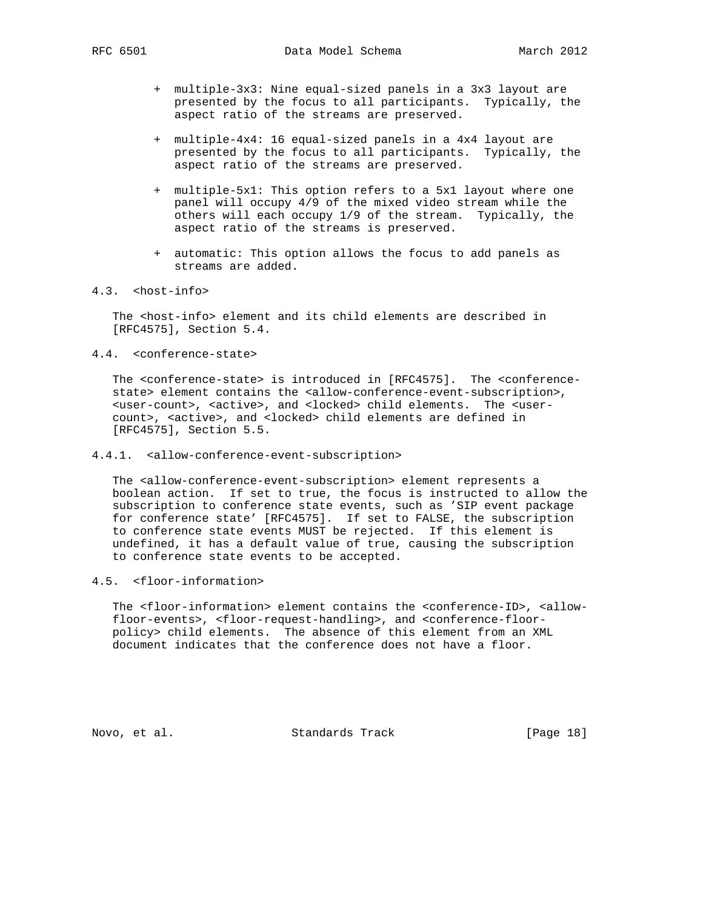- + multiple-3x3: Nine equal-sized panels in a 3x3 layout are presented by the focus to all participants. Typically, the aspect ratio of the streams are preserved.
- + multiple-4x4: 16 equal-sized panels in a 4x4 layout are presented by the focus to all participants. Typically, the aspect ratio of the streams are preserved.
- + multiple-5x1: This option refers to a 5x1 layout where one panel will occupy 4/9 of the mixed video stream while the others will each occupy 1/9 of the stream. Typically, the aspect ratio of the streams is preserved.
- + automatic: This option allows the focus to add panels as streams are added.

#### 4.3. <host-info>

 The <host-info> element and its child elements are described in [RFC4575], Section 5.4.

4.4. <conference-state>

 The <conference-state> is introduced in [RFC4575]. The <conference state> element contains the <allow-conference-event-subscription>, <user-count>, <active>, and <locked> child elements. The <user count>, <active>, and <locked> child elements are defined in [RFC4575], Section 5.5.

#### 4.4.1. <allow-conference-event-subscription>

 The <allow-conference-event-subscription> element represents a boolean action. If set to true, the focus is instructed to allow the subscription to conference state events, such as 'SIP event package for conference state' [RFC4575]. If set to FALSE, the subscription to conference state events MUST be rejected. If this element is undefined, it has a default value of true, causing the subscription to conference state events to be accepted.

## 4.5. <floor-information>

 The <floor-information> element contains the <conference-ID>, <allow floor-events>, <floor-request-handling>, and <conference-floor policy> child elements. The absence of this element from an XML document indicates that the conference does not have a floor.

Novo, et al. Standards Track [Page 18]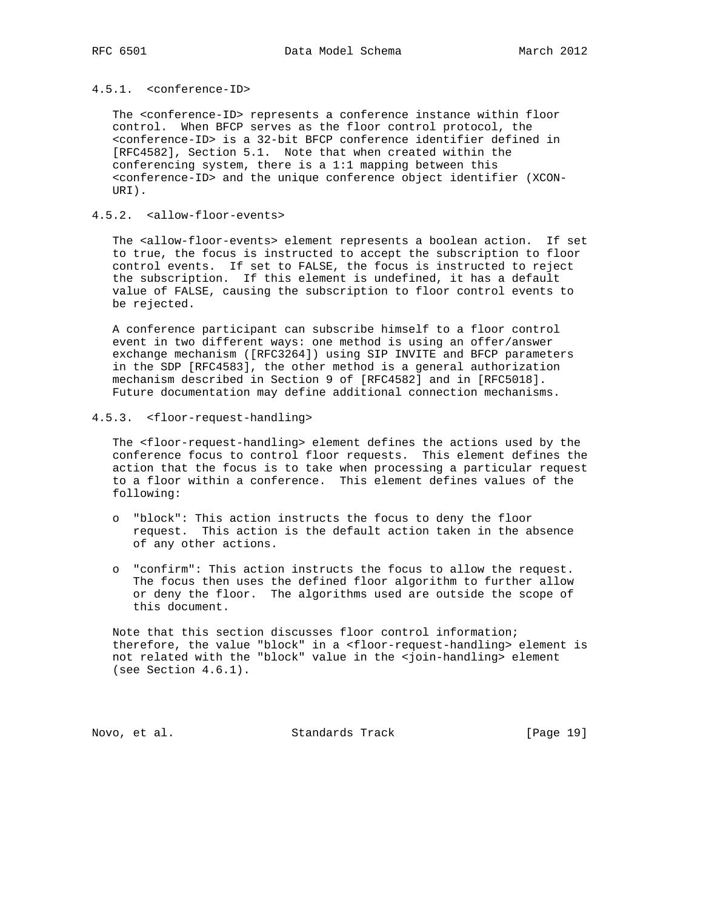## 4.5.1. <conference-ID>

 The <conference-ID> represents a conference instance within floor control. When BFCP serves as the floor control protocol, the <conference-ID> is a 32-bit BFCP conference identifier defined in [RFC4582], Section 5.1. Note that when created within the conferencing system, there is a 1:1 mapping between this <conference-ID> and the unique conference object identifier (XCON- URI).

## 4.5.2. <allow-floor-events>

 The <allow-floor-events> element represents a boolean action. If set to true, the focus is instructed to accept the subscription to floor control events. If set to FALSE, the focus is instructed to reject the subscription. If this element is undefined, it has a default value of FALSE, causing the subscription to floor control events to be rejected.

 A conference participant can subscribe himself to a floor control event in two different ways: one method is using an offer/answer exchange mechanism ([RFC3264]) using SIP INVITE and BFCP parameters in the SDP [RFC4583], the other method is a general authorization mechanism described in Section 9 of [RFC4582] and in [RFC5018]. Future documentation may define additional connection mechanisms.

## 4.5.3. <floor-request-handling>

 The <floor-request-handling> element defines the actions used by the conference focus to control floor requests. This element defines the action that the focus is to take when processing a particular request to a floor within a conference. This element defines values of the following:

- o "block": This action instructs the focus to deny the floor request. This action is the default action taken in the absence of any other actions.
- o "confirm": This action instructs the focus to allow the request. The focus then uses the defined floor algorithm to further allow or deny the floor. The algorithms used are outside the scope of this document.

 Note that this section discusses floor control information; therefore, the value "block" in a <floor-request-handling> element is not related with the "block" value in the <join-handling> element (see Section 4.6.1).

Novo, et al. Standards Track [Page 19]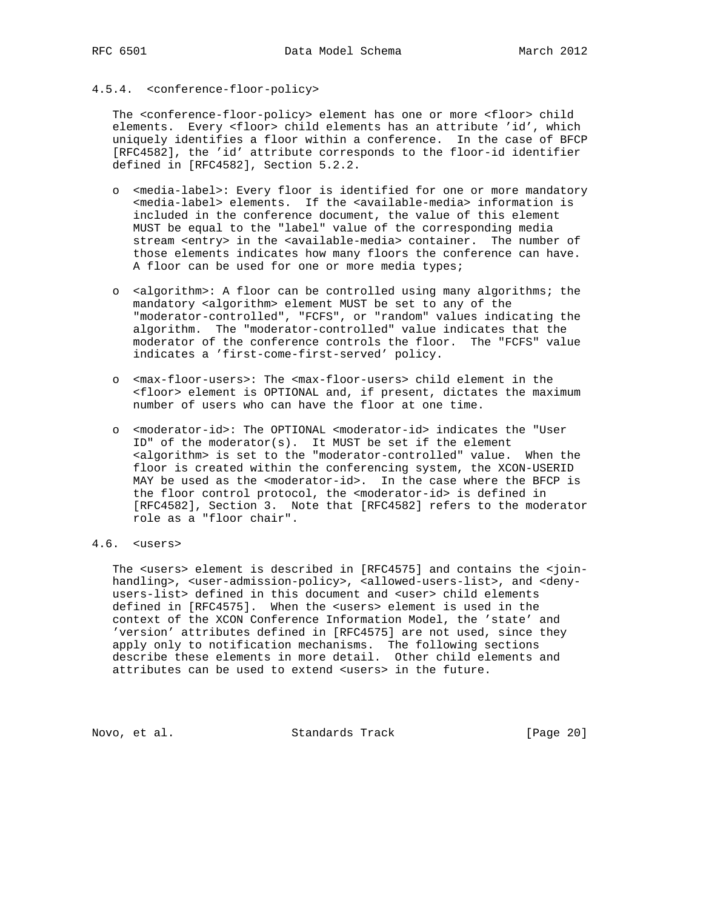## 4.5.4. <conference-floor-policy>

 The <conference-floor-policy> element has one or more <floor> child elements. Every <floor> child elements has an attribute 'id', which uniquely identifies a floor within a conference. In the case of BFCP [RFC4582], the 'id' attribute corresponds to the floor-id identifier defined in [RFC4582], Section 5.2.2.

- o <media-label>: Every floor is identified for one or more mandatory <media-label> elements. If the <available-media> information is included in the conference document, the value of this element MUST be equal to the "label" value of the corresponding media stream <entry> in the <available-media> container. The number of those elements indicates how many floors the conference can have. A floor can be used for one or more media types;
- o <algorithm>: A floor can be controlled using many algorithms; the mandatory <algorithm> element MUST be set to any of the "moderator-controlled", "FCFS", or "random" values indicating the algorithm. The "moderator-controlled" value indicates that the moderator of the conference controls the floor. The "FCFS" value indicates a 'first-come-first-served' policy.
- o <max-floor-users>: The <max-floor-users> child element in the <floor> element is OPTIONAL and, if present, dictates the maximum number of users who can have the floor at one time.
- o <moderator-id>: The OPTIONAL <moderator-id> indicates the "User ID" of the moderator(s). It MUST be set if the element <algorithm> is set to the "moderator-controlled" value. When the floor is created within the conferencing system, the XCON-USERID MAY be used as the <moderator-id>. In the case where the BFCP is the floor control protocol, the <moderator-id> is defined in [RFC4582], Section 3. Note that [RFC4582] refers to the moderator role as a "floor chair".
- 4.6. <users>

The <users> element is described in [RFC4575] and contains the <join handling>, <user-admission-policy>, <allowed-users-list>, and <deny users-list> defined in this document and <user> child elements defined in [RFC4575]. When the <users> element is used in the context of the XCON Conference Information Model, the 'state' and 'version' attributes defined in [RFC4575] are not used, since they apply only to notification mechanisms. The following sections describe these elements in more detail. Other child elements and attributes can be used to extend <users> in the future.

Novo, et al. Standards Track [Page 20]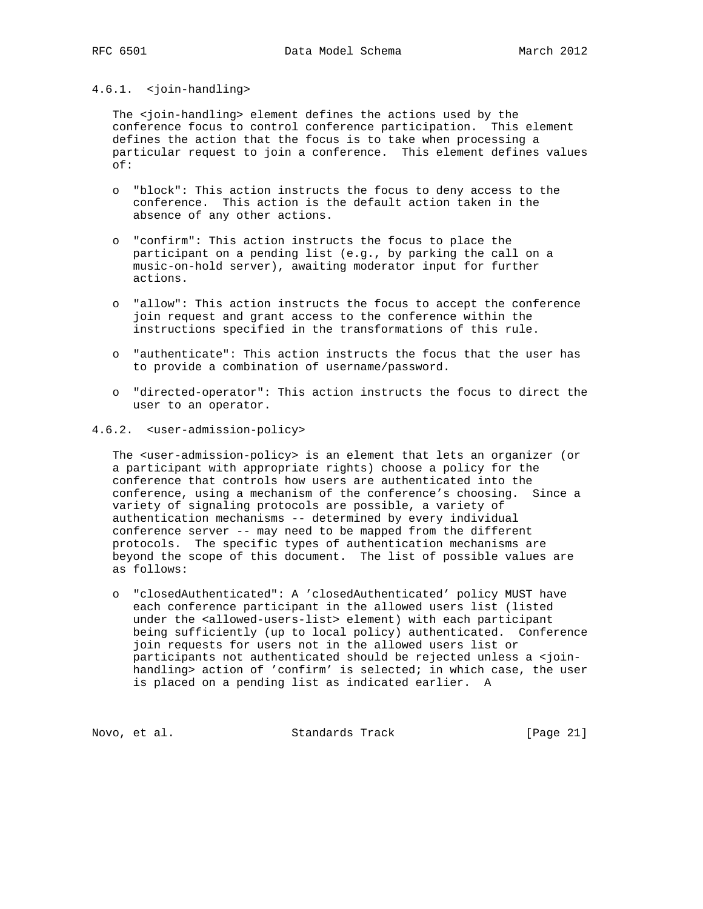## 4.6.1. <join-handling>

 The <join-handling> element defines the actions used by the conference focus to control conference participation. This element defines the action that the focus is to take when processing a particular request to join a conference. This element defines values of:

- o "block": This action instructs the focus to deny access to the conference. This action is the default action taken in the absence of any other actions.
- o "confirm": This action instructs the focus to place the participant on a pending list (e.g., by parking the call on a music-on-hold server), awaiting moderator input for further actions.
- o "allow": This action instructs the focus to accept the conference join request and grant access to the conference within the instructions specified in the transformations of this rule.
- o "authenticate": This action instructs the focus that the user has to provide a combination of username/password.
- o "directed-operator": This action instructs the focus to direct the user to an operator.

4.6.2. <user-admission-policy>

 The <user-admission-policy> is an element that lets an organizer (or a participant with appropriate rights) choose a policy for the conference that controls how users are authenticated into the conference, using a mechanism of the conference's choosing. Since a variety of signaling protocols are possible, a variety of authentication mechanisms -- determined by every individual conference server -- may need to be mapped from the different protocols. The specific types of authentication mechanisms are beyond the scope of this document. The list of possible values are as follows:

 o "closedAuthenticated": A 'closedAuthenticated' policy MUST have each conference participant in the allowed users list (listed under the <allowed-users-list> element) with each participant being sufficiently (up to local policy) authenticated. Conference join requests for users not in the allowed users list or participants not authenticated should be rejected unless a <join handling> action of 'confirm' is selected; in which case, the user is placed on a pending list as indicated earlier. A

Novo, et al. Standards Track [Page 21]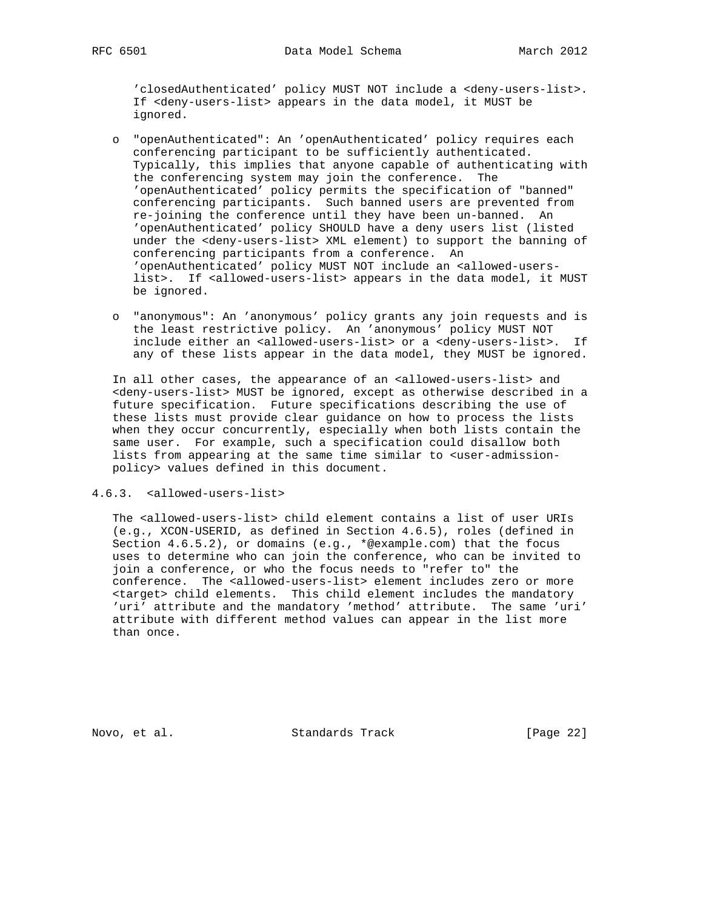'closedAuthenticated' policy MUST NOT include a <deny-users-list>. If <deny-users-list> appears in the data model, it MUST be ignored.

- o "openAuthenticated": An 'openAuthenticated' policy requires each conferencing participant to be sufficiently authenticated. Typically, this implies that anyone capable of authenticating with the conferencing system may join the conference. The 'openAuthenticated' policy permits the specification of "banned" conferencing participants. Such banned users are prevented from re-joining the conference until they have been un-banned. An 'openAuthenticated' policy SHOULD have a deny users list (listed under the <deny-users-list> XML element) to support the banning of conferencing participants from a conference. An 'openAuthenticated' policy MUST NOT include an <allowed-users list>. If <allowed-users-list> appears in the data model, it MUST be ignored.
- o "anonymous": An 'anonymous' policy grants any join requests and is the least restrictive policy. An 'anonymous' policy MUST NOT include either an <allowed-users-list> or a <deny-users-list>. If any of these lists appear in the data model, they MUST be ignored.

In all other cases, the appearance of an <allowed-users-list> and <deny-users-list> MUST be ignored, except as otherwise described in a future specification. Future specifications describing the use of these lists must provide clear guidance on how to process the lists when they occur concurrently, especially when both lists contain the same user. For example, such a specification could disallow both lists from appearing at the same time similar to <user-admission policy> values defined in this document.

## 4.6.3. <allowed-users-list>

 The <allowed-users-list> child element contains a list of user URIs (e.g., XCON-USERID, as defined in Section 4.6.5), roles (defined in Section 4.6.5.2), or domains (e.g., \*@example.com) that the focus uses to determine who can join the conference, who can be invited to join a conference, or who the focus needs to "refer to" the conference. The <allowed-users-list> element includes zero or more <target> child elements. This child element includes the mandatory 'uri' attribute and the mandatory 'method' attribute. The same 'uri' attribute with different method values can appear in the list more than once.

Novo, et al. Standards Track [Page 22]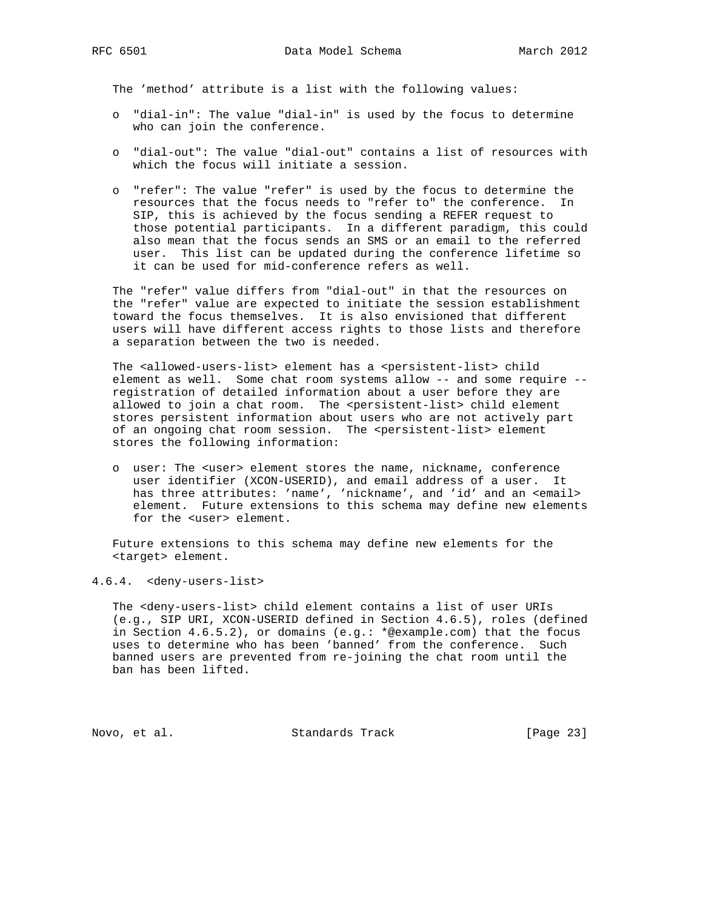The 'method' attribute is a list with the following values:

- o "dial-in": The value "dial-in" is used by the focus to determine who can join the conference.
- o "dial-out": The value "dial-out" contains a list of resources with which the focus will initiate a session.
- o "refer": The value "refer" is used by the focus to determine the resources that the focus needs to "refer to" the conference. In SIP, this is achieved by the focus sending a REFER request to those potential participants. In a different paradigm, this could also mean that the focus sends an SMS or an email to the referred user. This list can be updated during the conference lifetime so it can be used for mid-conference refers as well.

 The "refer" value differs from "dial-out" in that the resources on the "refer" value are expected to initiate the session establishment toward the focus themselves. It is also envisioned that different users will have different access rights to those lists and therefore a separation between the two is needed.

The <allowed-users-list> element has a <persistent-list> child element as well. Some chat room systems allow -- and some require - registration of detailed information about a user before they are allowed to join a chat room. The <persistent-list> child element stores persistent information about users who are not actively part of an ongoing chat room session. The <persistent-list> element stores the following information:

 o user: The <user> element stores the name, nickname, conference user identifier (XCON-USERID), and email address of a user. It has three attributes: 'name', 'nickname', and 'id' and an <email> element. Future extensions to this schema may define new elements for the <user> element.

 Future extensions to this schema may define new elements for the <target> element.

## 4.6.4. <deny-users-list>

 The <deny-users-list> child element contains a list of user URIs (e.g., SIP URI, XCON-USERID defined in Section 4.6.5), roles (defined in Section 4.6.5.2), or domains (e.g.: \*@example.com) that the focus uses to determine who has been 'banned' from the conference. Such banned users are prevented from re-joining the chat room until the ban has been lifted.

Novo, et al. Standards Track [Page 23]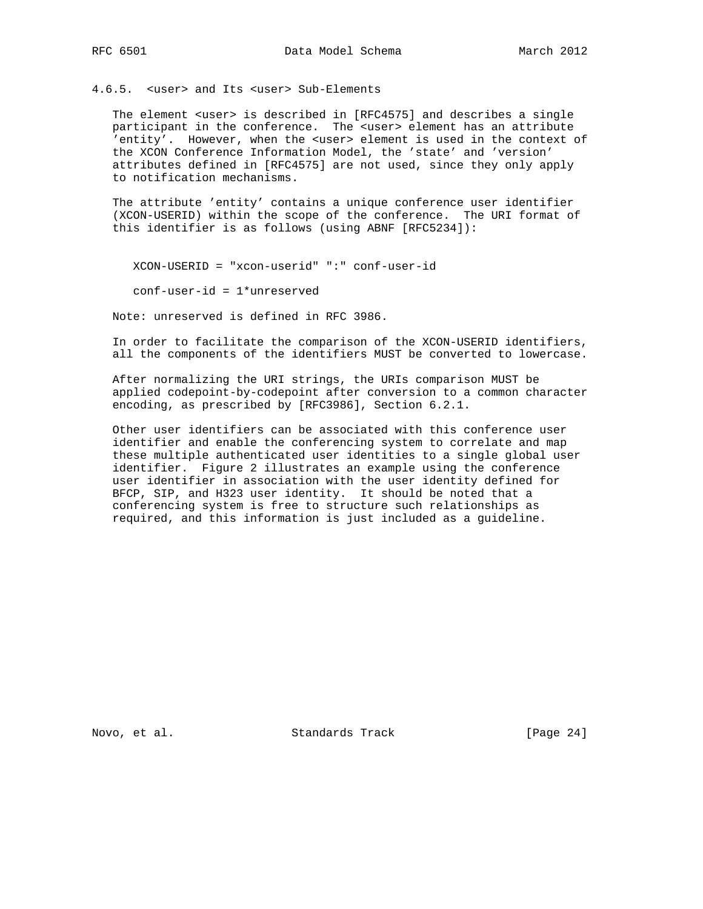4.6.5. <user> and Its <user> Sub-Elements

 The element <user> is described in [RFC4575] and describes a single participant in the conference. The <user> element has an attribute 'entity'. However, when the <user> element is used in the context of the XCON Conference Information Model, the 'state' and 'version' attributes defined in [RFC4575] are not used, since they only apply to notification mechanisms.

 The attribute 'entity' contains a unique conference user identifier (XCON-USERID) within the scope of the conference. The URI format of this identifier is as follows (using ABNF [RFC5234]):

XCON-USERID = "xcon-userid" ":" conf-user-id

conf-user-id = 1\*unreserved

Note: unreserved is defined in RFC 3986.

 In order to facilitate the comparison of the XCON-USERID identifiers, all the components of the identifiers MUST be converted to lowercase.

 After normalizing the URI strings, the URIs comparison MUST be applied codepoint-by-codepoint after conversion to a common character encoding, as prescribed by [RFC3986], Section 6.2.1.

 Other user identifiers can be associated with this conference user identifier and enable the conferencing system to correlate and map these multiple authenticated user identities to a single global user identifier. Figure 2 illustrates an example using the conference user identifier in association with the user identity defined for BFCP, SIP, and H323 user identity. It should be noted that a conferencing system is free to structure such relationships as required, and this information is just included as a guideline.

Novo, et al. Standards Track [Page 24]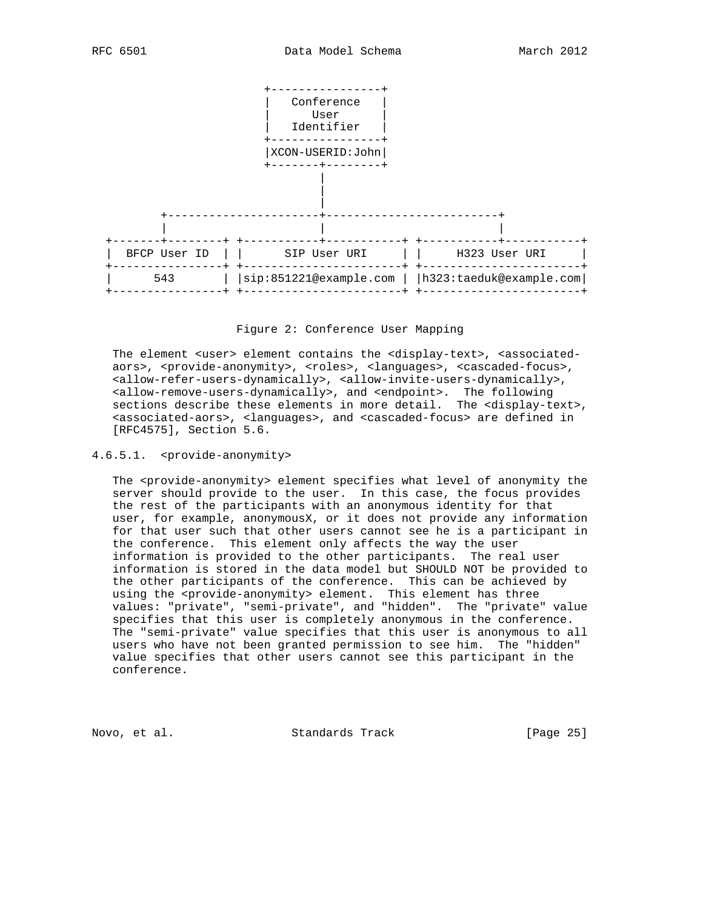

#### Figure 2: Conference User Mapping

The element <user> element contains the <display-text>, <associatedaors>, <provide-anonymity>, <roles>, <languages>, <cascaded-focus>, <allow-refer-users-dynamically>, <allow-invite-users-dynamically>, <allow-remove-users-dynamically>, and <endpoint>. The following sections describe these elements in more detail. The <display-text>, <associated-aors>, <languages>, and <cascaded-focus> are defined in [RFC4575], Section 5.6.

## 4.6.5.1. <provide-anonymity>

The <provide-anonymity> element specifies what level of anonymity the server should provide to the user. In this case, the focus provides the rest of the participants with an anonymous identity for that user, for example, anonymousX, or it does not provide any information for that user such that other users cannot see he is a participant in the conference. This element only affects the way the user information is provided to the other participants. The real user information is stored in the data model but SHOULD NOT be provided to the other participants of the conference. This can be achieved by using the <provide-anonymity> element. This element has three values: "private", "semi-private", and "hidden". The "private" value specifies that this user is completely anonymous in the conference. The "semi-private" value specifies that this user is anonymous to all users who have not been granted permission to see him. The "hidden" value specifies that other users cannot see this participant in the conference.

Novo, et al. Standards Track [Page 25]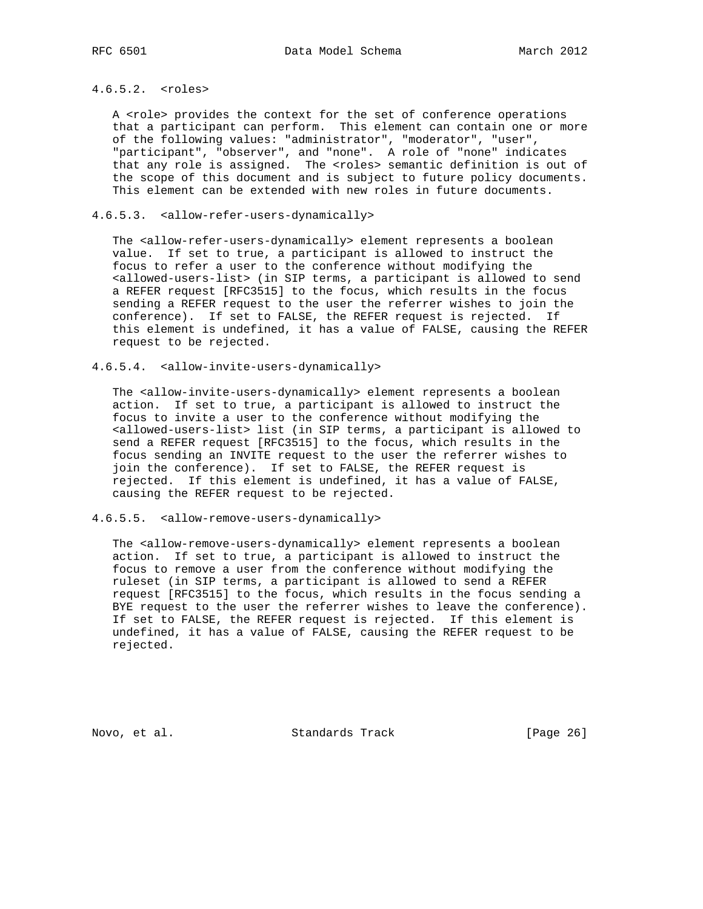# 4.6.5.2. <roles>

A <role> provides the context for the set of conference operations that a participant can perform. This element can contain one or more of the following values: "administrator", "moderator", "user", "participant", "observer", and "none". A role of "none" indicates that any role is assigned. The <roles> semantic definition is out of the scope of this document and is subject to future policy documents. This element can be extended with new roles in future documents.

#### 4.6.5.3. <allow-refer-users-dynamically>

 The <allow-refer-users-dynamically> element represents a boolean value. If set to true, a participant is allowed to instruct the focus to refer a user to the conference without modifying the <allowed-users-list> (in SIP terms, a participant is allowed to send a REFER request [RFC3515] to the focus, which results in the focus sending a REFER request to the user the referrer wishes to join the conference). If set to FALSE, the REFER request is rejected. If this element is undefined, it has a value of FALSE, causing the REFER request to be rejected.

#### 4.6.5.4. <allow-invite-users-dynamically>

 The <allow-invite-users-dynamically> element represents a boolean action. If set to true, a participant is allowed to instruct the focus to invite a user to the conference without modifying the <allowed-users-list> list (in SIP terms, a participant is allowed to send a REFER request [RFC3515] to the focus, which results in the focus sending an INVITE request to the user the referrer wishes to join the conference). If set to FALSE, the REFER request is rejected. If this element is undefined, it has a value of FALSE, causing the REFER request to be rejected.

### 4.6.5.5. <allow-remove-users-dynamically>

 The <allow-remove-users-dynamically> element represents a boolean action. If set to true, a participant is allowed to instruct the focus to remove a user from the conference without modifying the ruleset (in SIP terms, a participant is allowed to send a REFER request [RFC3515] to the focus, which results in the focus sending a BYE request to the user the referrer wishes to leave the conference). If set to FALSE, the REFER request is rejected. If this element is undefined, it has a value of FALSE, causing the REFER request to be rejected.

Novo, et al. Standards Track [Page 26]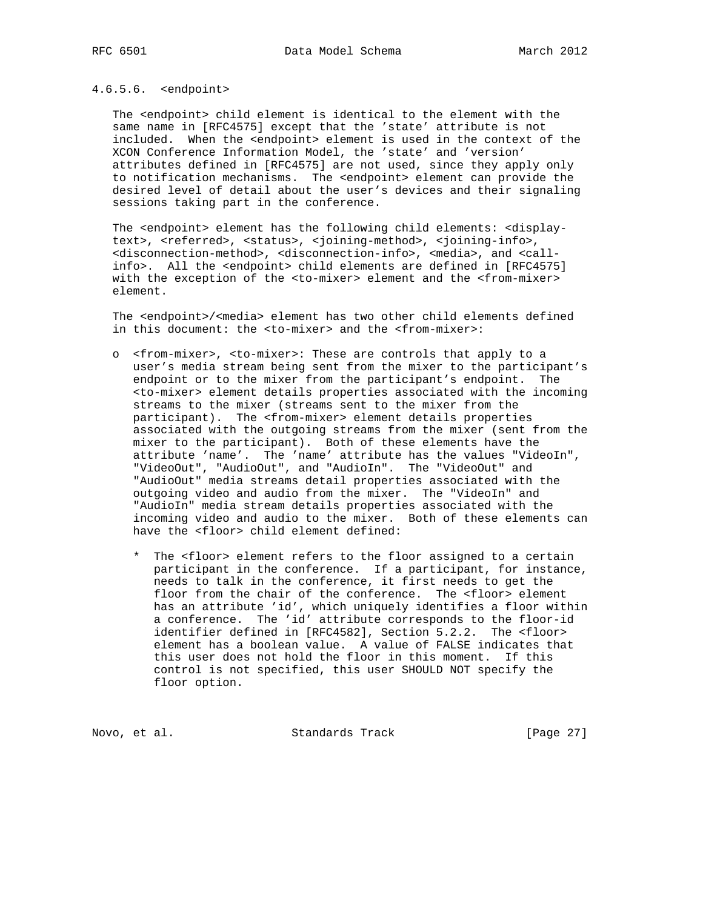## 4.6.5.6. <endpoint>

 The <endpoint> child element is identical to the element with the same name in [RFC4575] except that the 'state' attribute is not included. When the <endpoint> element is used in the context of the XCON Conference Information Model, the 'state' and 'version' attributes defined in [RFC4575] are not used, since they apply only to notification mechanisms. The <endpoint> element can provide the desired level of detail about the user's devices and their signaling sessions taking part in the conference.

 The <endpoint> element has the following child elements: <display text>, <referred>, <status>, <joining-method>, <joining-info>, <disconnection-method>, <disconnection-info>, <media>, and <call info>. All the <endpoint> child elements are defined in [RFC4575] with the exception of the <to-mixer> element and the <from-mixer> element.

 The <endpoint>/<media> element has two other child elements defined in this document: the <to-mixer> and the <from-mixer>:

- o <from-mixer>, <to-mixer>: These are controls that apply to a user's media stream being sent from the mixer to the participant's endpoint or to the mixer from the participant's endpoint. The <to-mixer> element details properties associated with the incoming streams to the mixer (streams sent to the mixer from the participant). The <from-mixer> element details properties associated with the outgoing streams from the mixer (sent from the mixer to the participant). Both of these elements have the attribute 'name'. The 'name' attribute has the values "VideoIn", "VideoOut", "AudioOut", and "AudioIn". The "VideoOut" and "AudioOut" media streams detail properties associated with the outgoing video and audio from the mixer. The "VideoIn" and "AudioIn" media stream details properties associated with the incoming video and audio to the mixer. Both of these elements can have the <floor> child element defined:
	- \* The <floor> element refers to the floor assigned to a certain participant in the conference. If a participant, for instance, needs to talk in the conference, it first needs to get the floor from the chair of the conference. The <floor> element has an attribute 'id', which uniquely identifies a floor within a conference. The 'id' attribute corresponds to the floor-id identifier defined in [RFC4582], Section 5.2.2. The <floor> element has a boolean value. A value of FALSE indicates that this user does not hold the floor in this moment. If this control is not specified, this user SHOULD NOT specify the floor option.

Novo, et al. Standards Track [Page 27]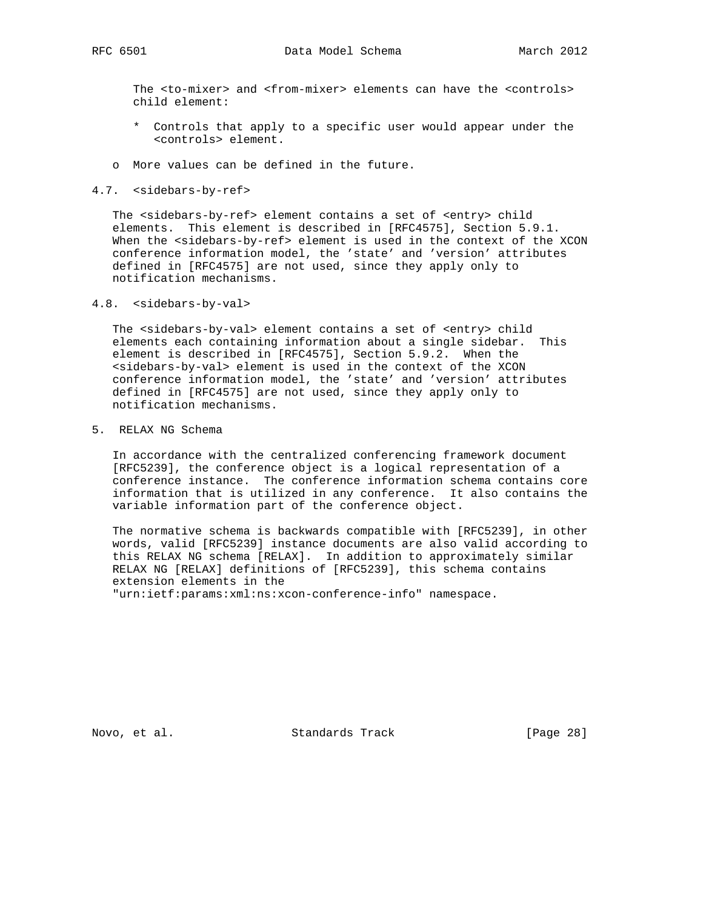The <to-mixer> and <from-mixer> elements can have the <controls> child element:

- \* Controls that apply to a specific user would appear under the <controls> element.
- o More values can be defined in the future.
- 4.7. <sidebars-by-ref>

 The <sidebars-by-ref> element contains a set of <entry> child elements. This element is described in [RFC4575], Section 5.9.1. When the <sidebars-by-ref> element is used in the context of the XCON conference information model, the 'state' and 'version' attributes defined in [RFC4575] are not used, since they apply only to notification mechanisms.

4.8. <sidebars-by-val>

The <sidebars-by-val> element contains a set of <entry> child elements each containing information about a single sidebar. This element is described in [RFC4575], Section 5.9.2. When the <sidebars-by-val> element is used in the context of the XCON conference information model, the 'state' and 'version' attributes defined in [RFC4575] are not used, since they apply only to notification mechanisms.

5. RELAX NG Schema

 In accordance with the centralized conferencing framework document [RFC5239], the conference object is a logical representation of a conference instance. The conference information schema contains core information that is utilized in any conference. It also contains the variable information part of the conference object.

 The normative schema is backwards compatible with [RFC5239], in other words, valid [RFC5239] instance documents are also valid according to this RELAX NG schema [RELAX]. In addition to approximately similar RELAX NG [RELAX] definitions of [RFC5239], this schema contains extension elements in the

"urn:ietf:params:xml:ns:xcon-conference-info" namespace.

Novo, et al. Standards Track [Page 28]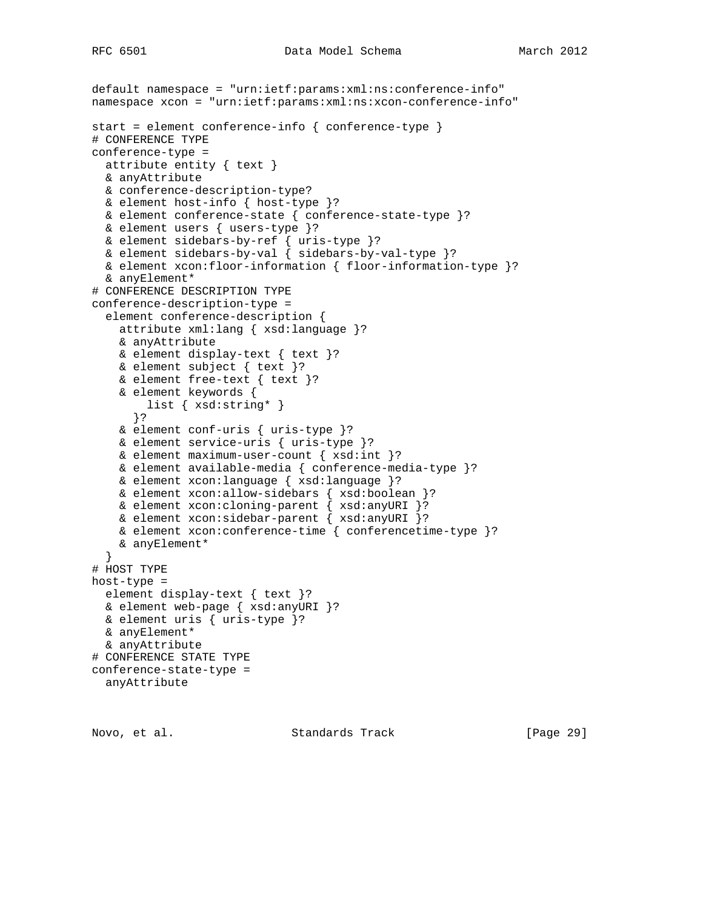```
default namespace = "urn:ietf:params:xml:ns:conference-info"
namespace xcon = "urn:ietf:params:xml:ns:xcon-conference-info"
start = element conference-info { conference-type }
# CONFERENCE TYPE
conference-type =
  attribute entity { text }
  & anyAttribute
   & conference-description-type?
   & element host-info { host-type }?
   & element conference-state { conference-state-type }?
   & element users { users-type }?
   & element sidebars-by-ref { uris-type }?
  & element sidebars-by-val \{ sidebars-by-val-type \}?
   & element xcon:floor-information { floor-information-type }?
   & anyElement*
# CONFERENCE DESCRIPTION TYPE
conference-description-type =
   element conference-description {
    attribute xml:lang { xsd:language }?
     & anyAttribute
     & element display-text { text }?
     & element subject { text }?
     & element free-text { text }?
     & element keywords {
         list { xsd:string* }
       }?
     & element conf-uris { uris-type }?
     & element service-uris { uris-type }?
     & element maximum-user-count { xsd:int }?
     & element available-media { conference-media-type }?
     & element xcon:language { xsd:language }?
     & element xcon:allow-sidebars { xsd:boolean }?
     & element xcon:cloning-parent { xsd:anyURI }?
     & element xcon:sidebar-parent { xsd:anyURI }?
     & element xcon:conference-time { conferencetime-type }?
     & anyElement*
   }
# HOST TYPE
host-type =
   element display-text { text }?
   & element web-page { xsd:anyURI }?
   & element uris { uris-type }?
   & anyElement*
   & anyAttribute
# CONFERENCE STATE TYPE
conference-state-type =
   anyAttribute
```
Novo, et al. Standards Track [Page 29]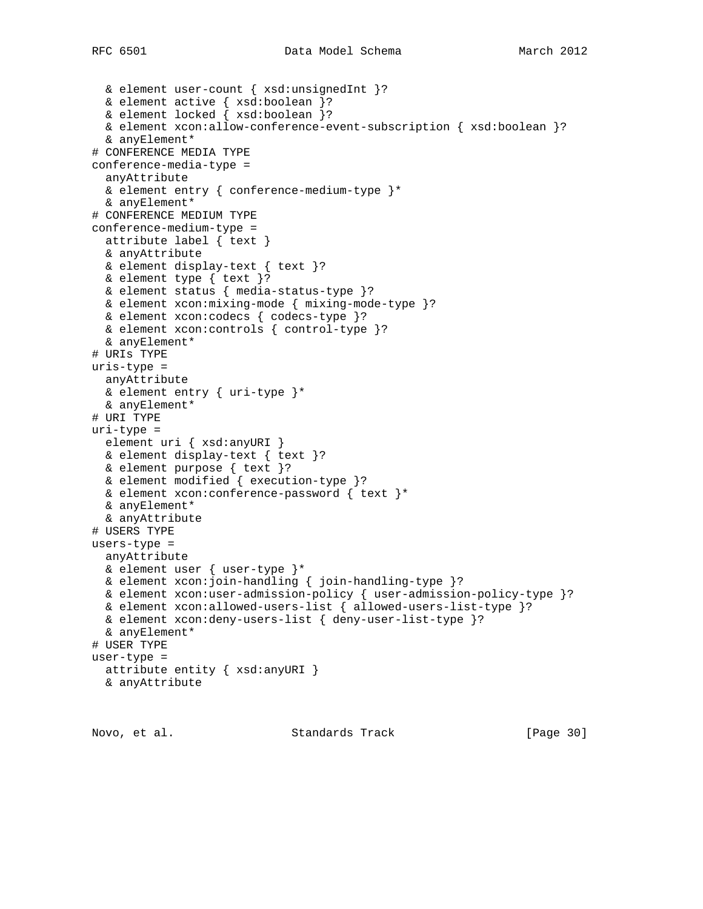```
 & element user-count { xsd:unsignedInt }?
 & element active { xsd:boolean }?
 & element locked { xsd:boolean }?
   & element xcon:allow-conference-event-subscription { xsd:boolean }?
   & anyElement*
# CONFERENCE MEDIA TYPE
conference-media-type =
   anyAttribute
   & element entry { conference-medium-type }*
   & anyElement*
# CONFERENCE MEDIUM TYPE
conference-medium-type =
   attribute label { text }
   & anyAttribute
  & element display-text { text }?
  & element type { text }?
   & element status { media-status-type }?
   & element xcon:mixing-mode { mixing-mode-type }?
   & element xcon:codecs { codecs-type }?
   & element xcon:controls { control-type }?
   & anyElement*
# URIs TYPE
uris-type =
   anyAttribute
   & element entry { uri-type }*
   & anyElement*
# URI TYPE
uri-type =
  element uri { xsd:anyURI }
   & element display-text { text }?
   & element purpose { text }?
   & element modified { execution-type }?
   & element xcon:conference-password { text }*
  & anyElement*
   & anyAttribute
# USERS TYPE
users-type =
   anyAttribute
   & element user { user-type }*
   & element xcon:join-handling { join-handling-type }?
   & element xcon:user-admission-policy { user-admission-policy-type }?
   & element xcon:allowed-users-list { allowed-users-list-type }?
   & element xcon:deny-users-list { deny-user-list-type }?
   & anyElement*
# USER TYPE
user-type =
  attribute entity { xsd:anyURI }
   & anyAttribute
```
Novo, et al. Standards Track [Page 30]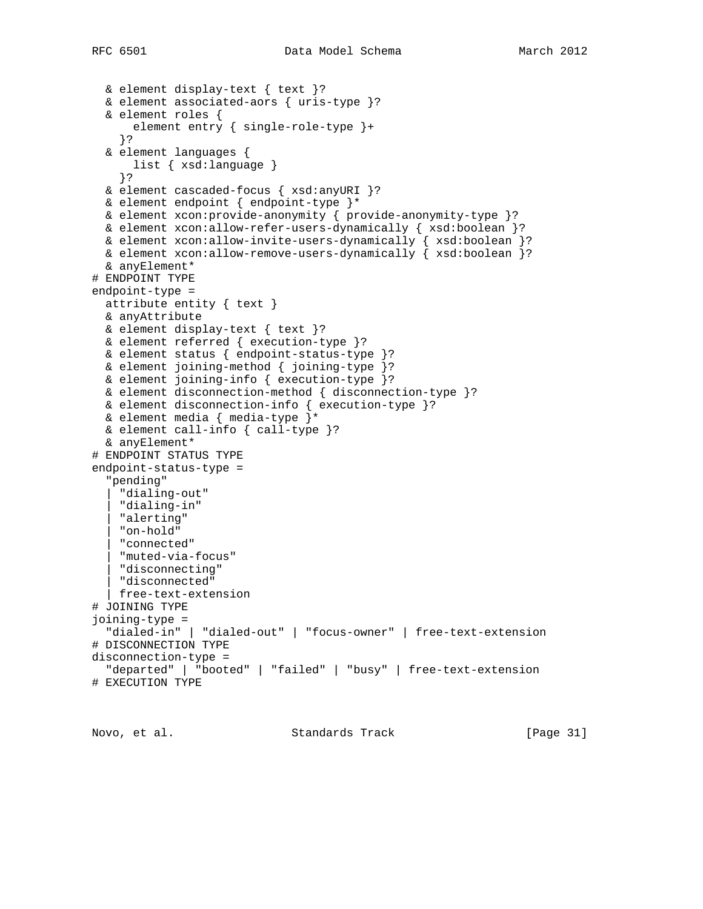```
 & element display-text { text }?
   & element associated-aors { uris-type }?
   & element roles {
       element entry { single-role-type }+
     }?
   & element languages {
       list { xsd:language }
     }?
   & element cascaded-focus { xsd:anyURI }?
   & element endpoint { endpoint-type }*
   & element xcon:provide-anonymity { provide-anonymity-type }?
   & element xcon:allow-refer-users-dynamically { xsd:boolean }?
   & element xcon:allow-invite-users-dynamically { xsd:boolean }?
   & element xcon:allow-remove-users-dynamically { xsd:boolean }?
   & anyElement*
# ENDPOINT TYPE
endpoint-type =
  attribute entity { text }
   & anyAttribute
   & element display-text { text }?
   & element referred { execution-type }?
   & element status { endpoint-status-type }?
   & element joining-method { joining-type }?
   & element joining-info { execution-type }?
   & element disconnection-method { disconnection-type }?
 & element disconnection-info { execution-type }?
 & element media { media-type }*
   & element call-info { call-type }?
   & anyElement*
# ENDPOINT STATUS TYPE
endpoint-status-type =
   "pending"
    | "dialing-out"
     | "dialing-in"
    "alerting"
     | "on-hold"
     | "connected"
     | "muted-via-focus"
     | "disconnecting"
    | "disconnected"
    | free-text-extension
# JOINING TYPE
joining-type =
   "dialed-in" | "dialed-out" | "focus-owner" | free-text-extension
# DISCONNECTION TYPE
disconnection-type =
   "departed" | "booted" | "failed" | "busy" | free-text-extension
# EXECUTION TYPE
```
Novo, et al. Standards Track [Page 31]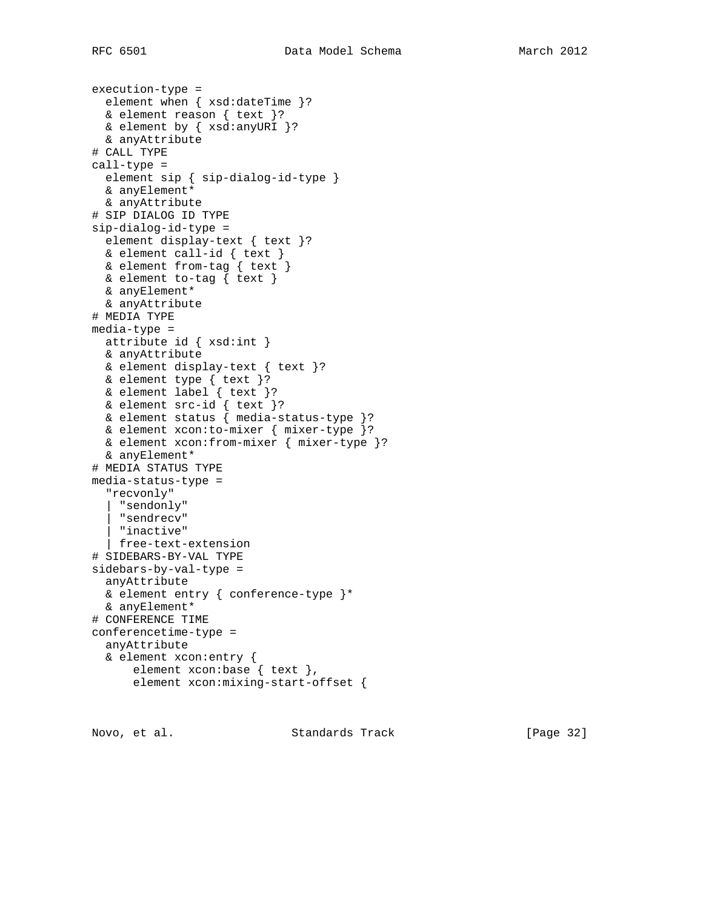execution-type = element when { xsd:dateTime }? & element reason { text }? & element by { xsd:anyURI }? & anyAttribute # CALL TYPE call-type = element sip { sip-dialog-id-type } & anyElement\* & anyAttribute # SIP DIALOG ID TYPE sip-dialog-id-type = element display-text { text }? & element call-id { text } & element from-tag { text } & element to-tag { text } & anyElement\* & anyAttribute # MEDIA TYPE media-type = attribute id  $\{ xsd: int \}$  & anyAttribute & element display-text { text }? & element type { text }? & element label { text }? & element src-id { text }? & element status { media-status-type }? & element xcon:to-mixer { mixer-type }? & element xcon:from-mixer { mixer-type }? & anyElement\* # MEDIA STATUS TYPE media-status-type = "recvonly" | "sendonly" | "sendrecv" | "inactive" | free-text-extension # SIDEBARS-BY-VAL TYPE sidebars-by-val-type = anyAttribute & element entry { conference-type }\* & anyElement\* # CONFERENCE TIME conferencetime-type = anyAttribute & element xcon:entry { element xcon:base { text }, element xcon:mixing-start-offset {

Novo, et al. Standards Track [Page 32]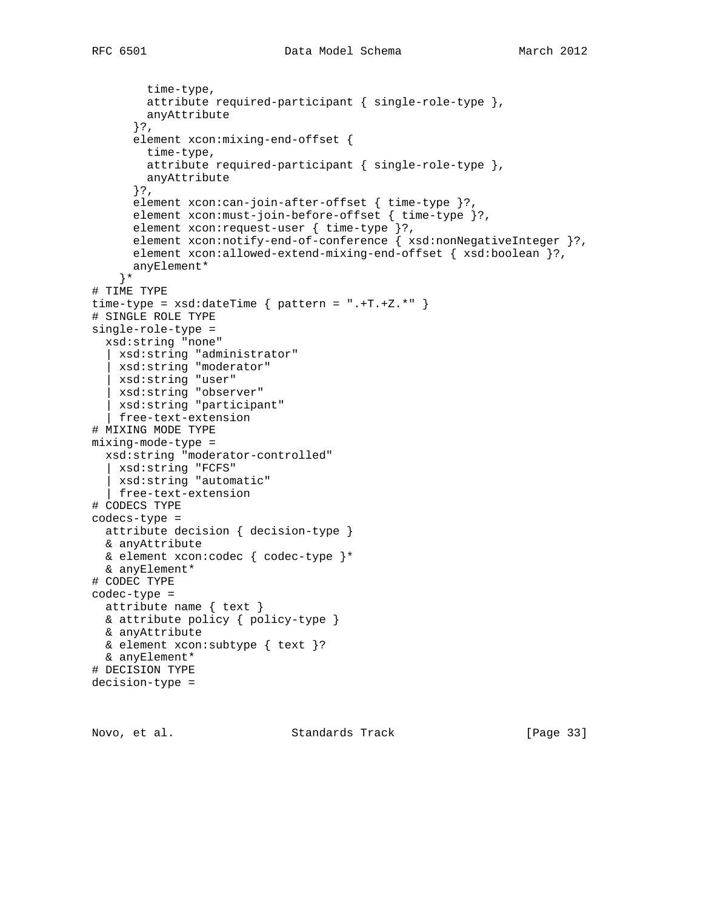```
 time-type,
        attribute required-participant { single-role-type },
         anyAttribute
       }?,
      element xcon: mixing-end-offset {
        time-type,
         attribute required-participant { single-role-type },
         anyAttribute
       }?,
       element xcon:can-join-after-offset { time-type }?,
       element xcon:must-join-before-offset { time-type }?,
      element xcon: request-user { time-type }?,
      element xcon:notify-end-of-conference { xsd:nonNegativeInteger }?,
       element xcon:allowed-extend-mixing-end-offset { xsd:boolean }?,
       anyElement*
     }*
# TIME TYPE
time-type = xsd:dateTime {\q   pattern = ".*T.*Z.*" }# SINGLE ROLE TYPE
single-role-type =
   xsd:string "none"
    | xsd:string "administrator"
    | xsd:string "moderator"
    | xsd:string "user"
    | xsd:string "observer"
    | xsd:string "participant"
    | free-text-extension
# MIXING MODE TYPE
mixing-mode-type =
  xsd:string "moderator-controlled"
   | xsd:string "FCFS"
    | xsd:string "automatic"
   | free-text-extension
# CODECS TYPE
codecs-type =
   attribute decision { decision-type }
   & anyAttribute
   & element xcon:codec { codec-type }*
   & anyElement*
# CODEC TYPE
codec-type =
  attribute name { text }
   & attribute policy { policy-type }
   & anyAttribute
   & element xcon:subtype { text }?
  & anyElement*
# DECISION TYPE
decision-type =
```
Novo, et al. Standards Track [Page 33]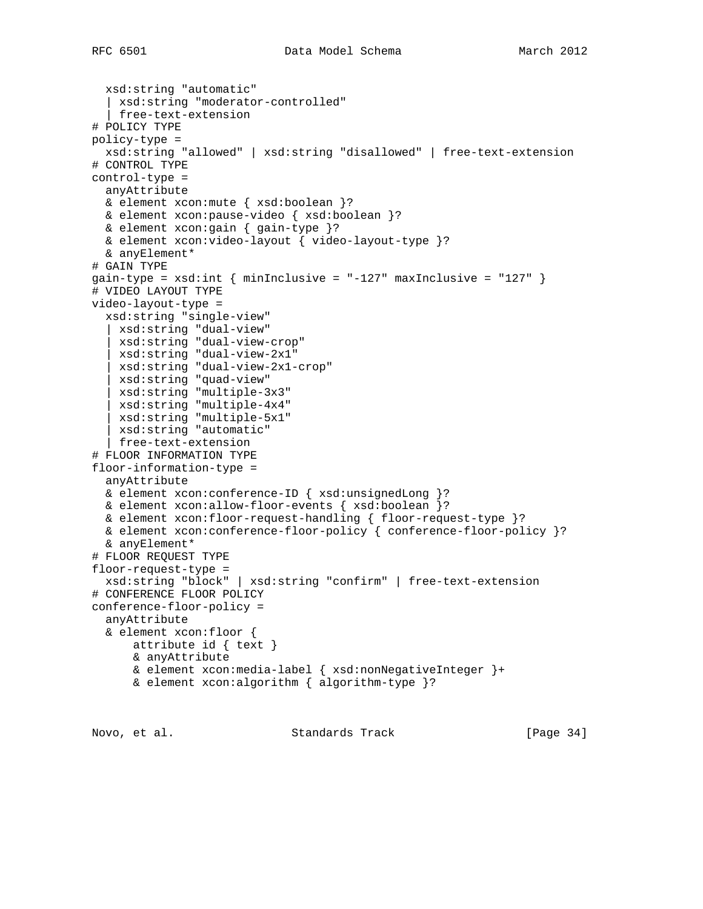```
 xsd:string "automatic"
   | xsd:string "moderator-controlled"
    | free-text-extension
# POLICY TYPE
policy-type =
  xsd:string "allowed" | xsd:string "disallowed" | free-text-extension
# CONTROL TYPE
control-type =
  anyAttribute
  & element xcon:mute { xsd:boolean }?
   & element xcon:pause-video { xsd:boolean }?
   & element xcon:gain { gain-type }?
   & element xcon:video-layout { video-layout-type }?
   & anyElement*
# GAIN TYPE
gain-type = xsd:int \{ minInclusive = "-127" maxInclusive = "127" }# VIDEO LAYOUT TYPE
video-layout-type =
   xsd:string "single-view"
    | xsd:string "dual-view"
    | xsd:string "dual-view-crop"
    | xsd:string "dual-view-2x1"
    | xsd:string "dual-view-2x1-crop"
    | xsd:string "quad-view"
    | xsd:string "multiple-3x3"
    | xsd:string "multiple-4x4"
    | xsd:string "multiple-5x1"
    | xsd:string "automatic"
    | free-text-extension
# FLOOR INFORMATION TYPE
floor-information-type =
   anyAttribute
   & element xcon:conference-ID { xsd:unsignedLong }?
   & element xcon:allow-floor-events { xsd:boolean }?
   & element xcon:floor-request-handling { floor-request-type }?
   & element xcon:conference-floor-policy { conference-floor-policy }?
   & anyElement*
# FLOOR REQUEST TYPE
floor-request-type =
  xsd:string "block" | xsd:string "confirm" | free-text-extension
# CONFERENCE FLOOR POLICY
conference-floor-policy =
   anyAttribute
   & element xcon:floor {
      attribute id \{ text \} & anyAttribute
       & element xcon:media-label { xsd:nonNegativeInteger }+
       & element xcon:algorithm { algorithm-type }?
```
Novo, et al. Standards Track [Page 34]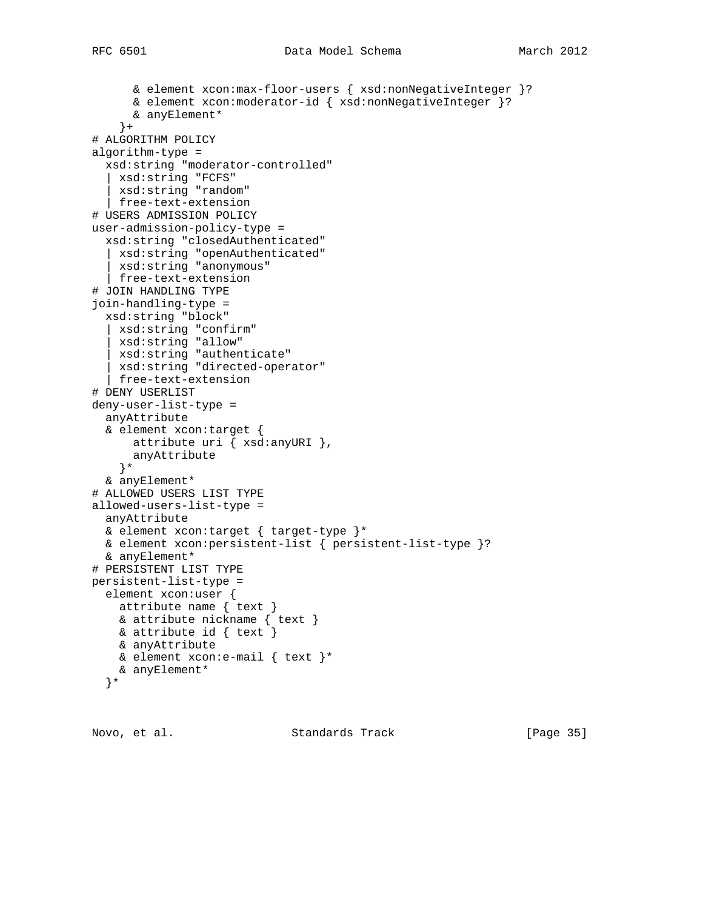```
 & element xcon:max-floor-users { xsd:nonNegativeInteger }?
       & element xcon:moderator-id { xsd:nonNegativeInteger }?
       & anyElement*
     }+
# ALGORITHM POLICY
algorithm-type =
   xsd:string "moderator-controlled"
   | xsd:string "FCFS"
    | xsd:string "random"
   | free-text-extension
# USERS ADMISSION POLICY
user-admission-policy-type =
   xsd:string "closedAuthenticated"
     | xsd:string "openAuthenticated"
     | xsd:string "anonymous"
    | free-text-extension
# JOIN HANDLING TYPE
join-handling-type =
   xsd:string "block"
     | xsd:string "confirm"
    | xsd:string "allow"
    | xsd:string "authenticate"
    | xsd:string "directed-operator"
    | free-text-extension
# DENY USERLIST
deny-user-list-type =
   anyAttribute
   & element xcon:target {
       attribute uri { xsd:anyURI },
       anyAttribute
     }*
   & anyElement*
# ALLOWED USERS LIST TYPE
allowed-users-list-type =
   anyAttribute
   & element xcon:target { target-type }*
   & element xcon:persistent-list { persistent-list-type }?
   & anyElement*
# PERSISTENT LIST TYPE
persistent-list-type =
   element xcon:user {
    attribute name { text }
    & attribute nickname { text }
   & attribute id \{ text \} & anyAttribute
    & element xcon:e-mail { text }*
     & anyElement*
   }*
```
Novo, et al. Standards Track [Page 35]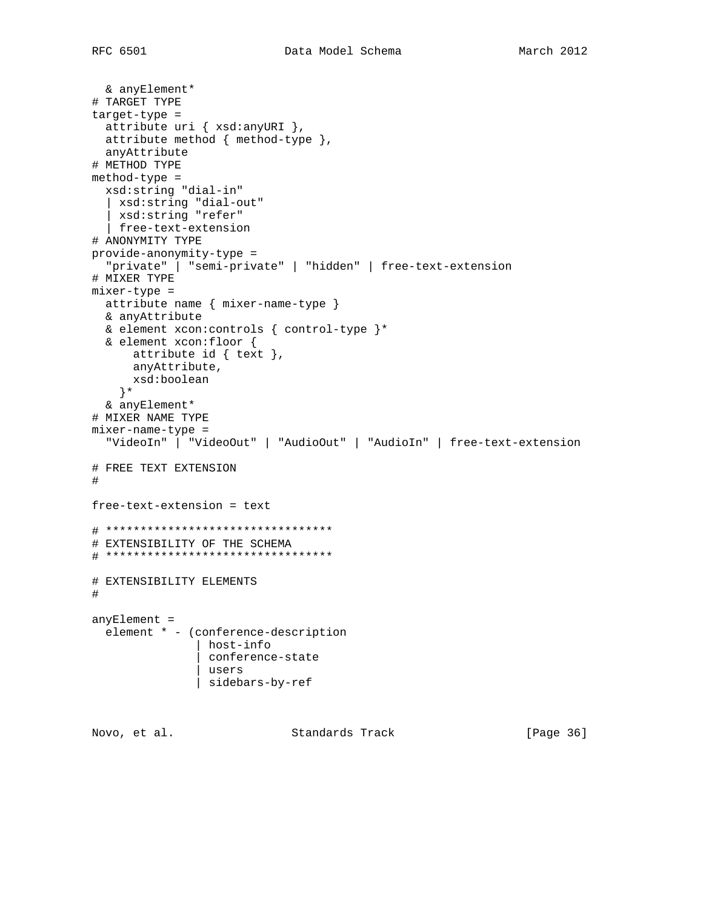& anyElement\* # TARGET TYPE target-type = attribute uri { xsd:anyURI }, attribute method { method-type }, anyAttribute # METHOD TYPE method-type = xsd:string "dial-in" | xsd:string "dial-out" | xsd:string "refer" | free-text-extension # ANONYMITY TYPE provide-anonymity-type = "private" | "semi-private" | "hidden" | free-text-extension # MIXER TYPE mixer-type = attribute name { mixer-name-type } & anyAttribute & element xcon:controls { control-type }\* & element xcon:floor { attribute id { text }, anyAttribute, xsd:boolean }\* & anyElement\* # MIXER NAME TYPE mixer-name-type = "VideoIn" | "VideoOut" | "AudioOut" | "AudioIn" | free-text-extension # FREE TEXT EXTENSION # free-text-extension = text # \*\*\*\*\*\*\*\*\*\*\*\*\*\*\*\*\*\*\*\*\*\*\*\*\*\*\*\*\*\*\*\*\* # EXTENSIBILITY OF THE SCHEMA # \*\*\*\*\*\*\*\*\*\*\*\*\*\*\*\*\*\*\*\*\*\*\*\*\*\*\*\*\*\*\*\*\* # EXTENSIBILITY ELEMENTS # anyElement = element \* - (conference-description | host-info | conference-state | users | sidebars-by-ref

Novo, et al. Standards Track [Page 36]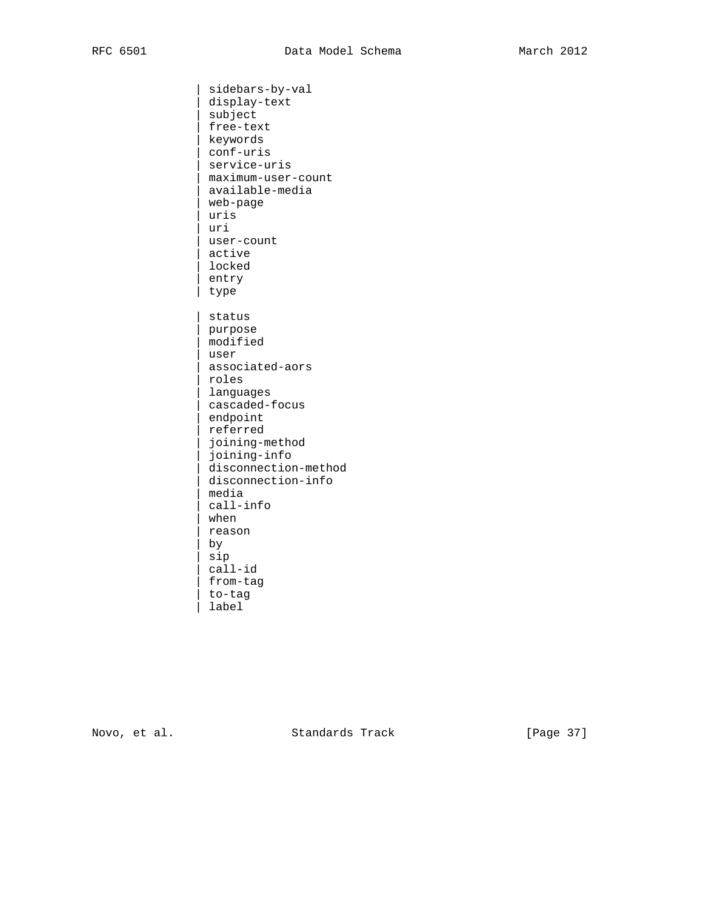| sidebars-by-val display-text subject | free-text | keywords | conf-uris service-uris | maximum-user-count available-media | web-page | uris uri user-count active | locked entry | type | status | purpose | modified | user | associated-aors | roles | languages | cascaded-focus endpoint | referred joining-method | joining-info disconnection-method disconnection-info | media | call-info | when | reason | by sip | call-id | from-tag | to-tag | label

Novo, et al. Standards Track [Page 37]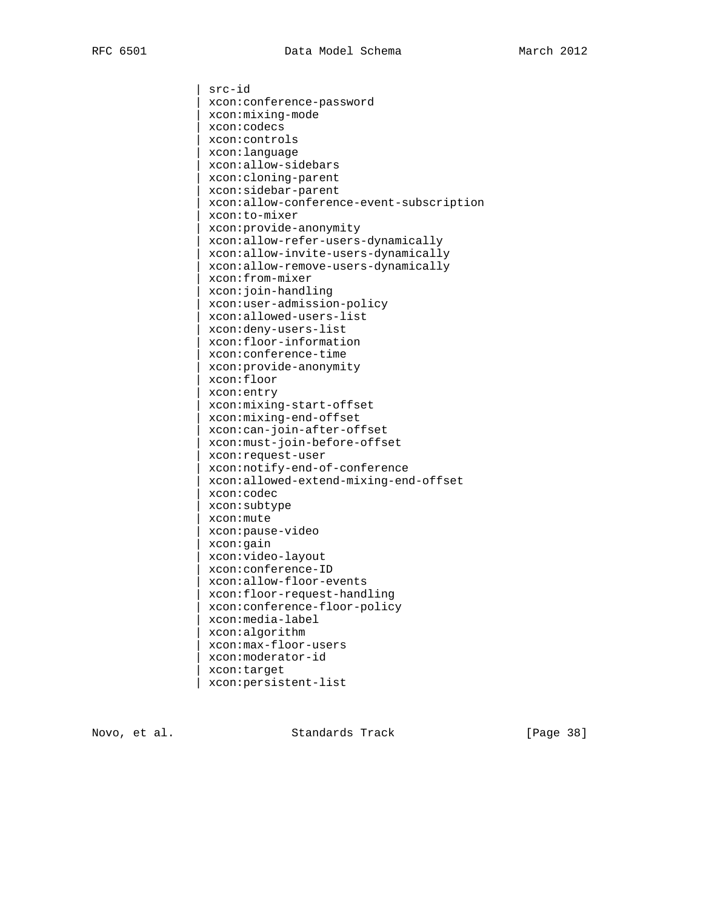| src-id | xcon:conference-password | xcon:mixing-mode | xcon:codecs | xcon:controls | xcon:language | xcon:allow-sidebars | xcon:cloning-parent | xcon:sidebar-parent | xcon:allow-conference-event-subscription | xcon:to-mixer | xcon:provide-anonymity | xcon:allow-refer-users-dynamically | xcon:allow-invite-users-dynamically | xcon:allow-remove-users-dynamically | xcon:from-mixer | xcon:join-handling | xcon:user-admission-policy | xcon:allowed-users-list | xcon:deny-users-list | xcon:floor-information | xcon:conference-time | xcon:provide-anonymity | xcon:floor | xcon:entry | xcon:mixing-start-offset | xcon:mixing-end-offset | xcon:can-join-after-offset | xcon:must-join-before-offset | xcon:request-user | xcon:notify-end-of-conference | xcon:allowed-extend-mixing-end-offset | xcon:codec | xcon:subtype | xcon:mute | xcon:pause-video | xcon:gain | xcon:video-layout | xcon:conference-ID | xcon:allow-floor-events | xcon:floor-request-handling | xcon:conference-floor-policy | xcon:media-label | xcon:algorithm | xcon:max-floor-users | xcon:moderator-id | xcon:target | xcon:persistent-list

Novo, et al. Standards Track [Page 38]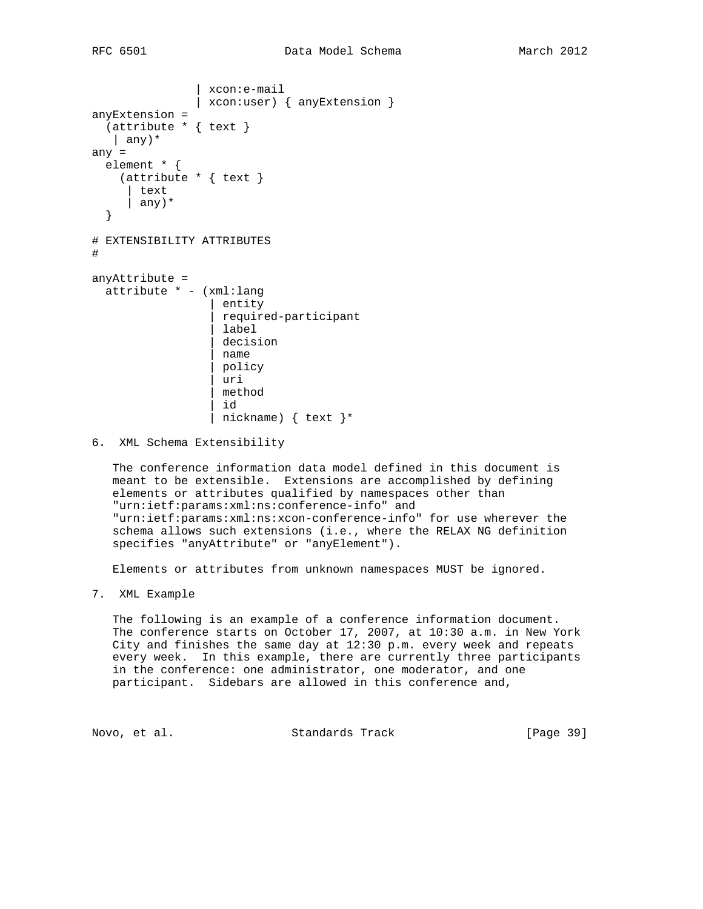```
 | xcon:e-mail
                  | xcon:user) { anyExtension }
anyExtension =
   (attribute * { text }
    | any)*
any =
   element * {
     (attribute * { text }
       | text
      | any)*
   }
# EXTENSIBILITY ATTRIBUTES
#
anyAttribute =
  attribute * - (xml:lang
                    entity
                     | required-participant
                     | label
                    decision
                     | name
                    policy
                    uri
                     | method
                      | id
                     nickname) { text }*
```
6. XML Schema Extensibility

 The conference information data model defined in this document is meant to be extensible. Extensions are accomplished by defining elements or attributes qualified by namespaces other than "urn:ietf:params:xml:ns:conference-info" and "urn:ietf:params:xml:ns:xcon-conference-info" for use wherever the schema allows such extensions (i.e., where the RELAX NG definition specifies "anyAttribute" or "anyElement").

Elements or attributes from unknown namespaces MUST be ignored.

7. XML Example

 The following is an example of a conference information document. The conference starts on October 17, 2007, at 10:30 a.m. in New York City and finishes the same day at 12:30 p.m. every week and repeats every week. In this example, there are currently three participants in the conference: one administrator, one moderator, and one participant. Sidebars are allowed in this conference and,

Novo, et al. Standards Track [Page 39]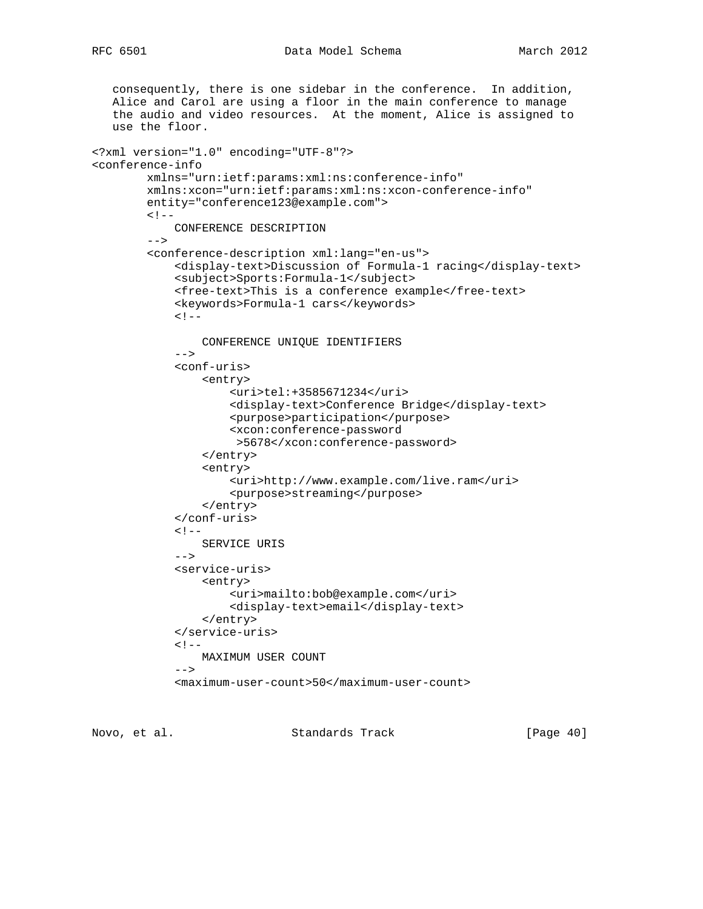```
 consequently, there is one sidebar in the conference. In addition,
    Alice and Carol are using a floor in the main conference to manage
    the audio and video resources. At the moment, Alice is assigned to
    use the floor.
<?xml version="1.0" encoding="UTF-8"?>
<conference-info
         xmlns="urn:ietf:params:xml:ns:conference-info"
         xmlns:xcon="urn:ietf:params:xml:ns:xcon-conference-info"
         entity="conference123@example.com">
        <! - CONFERENCE DESCRIPTION
        --\rightarrow <conference-description xml:lang="en-us">
             <display-text>Discussion of Formula-1 racing</display-text>
             <subject>Sports:Formula-1</subject>
             <free-text>This is a conference example</free-text>
             <keywords>Formula-1 cars</keywords>
            < ! -- CONFERENCE UNIQUE IDENTIFIERS
            --&> <conf-uris>
                 <entry>
                      <uri>tel:+3585671234</uri>
                      <display-text>Conference Bridge</display-text>
                      <purpose>participation</purpose>
                     <xcon:conference-password
                      >5678</xcon:conference-password>
                 </entry>
                 <entry>
                      <uri>http://www.example.com/live.ram</uri>
                      <purpose>streaming</purpose>
                 </entry>
             </conf-uris>
            <! - SERVICE URIS
             -->
             <service-uris>
                 <entry>
                      <uri>mailto:bob@example.com</uri>
                      <display-text>email</display-text>
                 </entry>
             </service-uris>
            < ! -- MAXIMUM USER COUNT
            --&> <maximum-user-count>50</maximum-user-count>
```
Novo, et al. Standards Track [Page 40]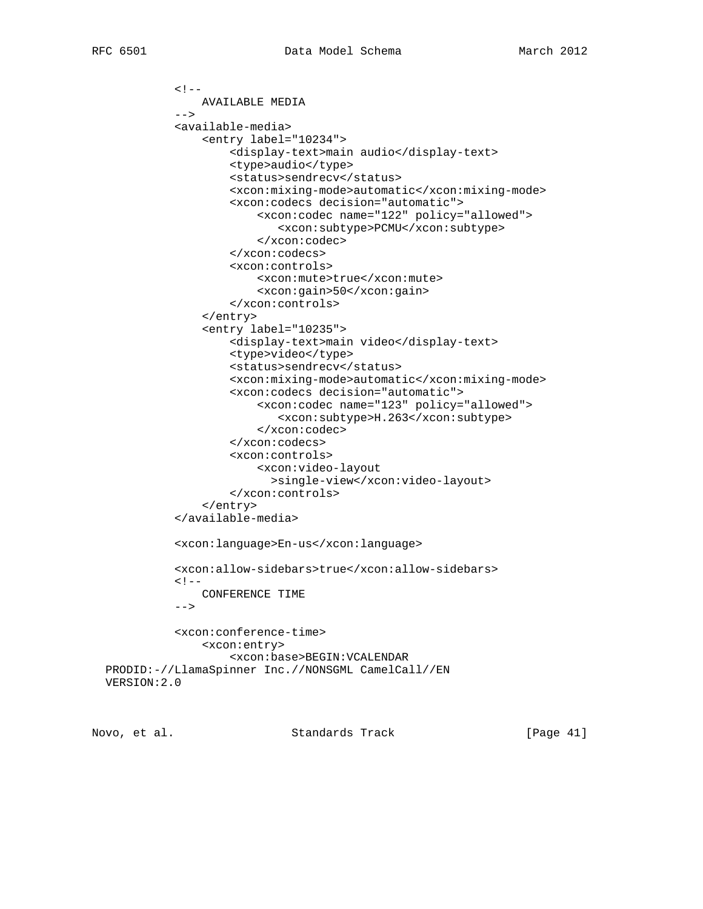```
<! - AVAILABLE MEDIA
--> <available-media>
                 <entry label="10234">
                     <display-text>main audio</display-text>
                     <type>audio</type>
                     <status>sendrecv</status>
                     <xcon:mixing-mode>automatic</xcon:mixing-mode>
                     <xcon:codecs decision="automatic">
                          <xcon:codec name="122" policy="allowed">
                             <xcon:subtype>PCMU</xcon:subtype>
                          </xcon:codec>
                     </xcon:codecs>
                     <xcon:controls>
                          <xcon:mute>true</xcon:mute>
                          <xcon:gain>50</xcon:gain>
                     </xcon:controls>
                 </entry>
                 <entry label="10235">
                     <display-text>main video</display-text>
                     <type>video</type>
                     <status>sendrecv</status>
                     <xcon:mixing-mode>automatic</xcon:mixing-mode>
                     <xcon:codecs decision="automatic">
                          <xcon:codec name="123" policy="allowed">
                             <xcon:subtype>H.263</xcon:subtype>
                          </xcon:codec>
                     </xcon:codecs>
                     <xcon:controls>
                         <xcon:video-layout
                           >single-view</xcon:video-layout>
                     </xcon:controls>
                 </entry>
             </available-media>
             <xcon:language>En-us</xcon:language>
             <xcon:allow-sidebars>true</xcon:allow-sidebars>
            <! - CONFERENCE TIME
            --&> <xcon:conference-time>
                 <xcon:entry>
                     <xcon:base>BEGIN:VCALENDAR
  PRODID:-//LlamaSpinner Inc.//NONSGML CamelCall//EN
  VERSION:2.0
```
Novo, et al. Standards Track [Page 41]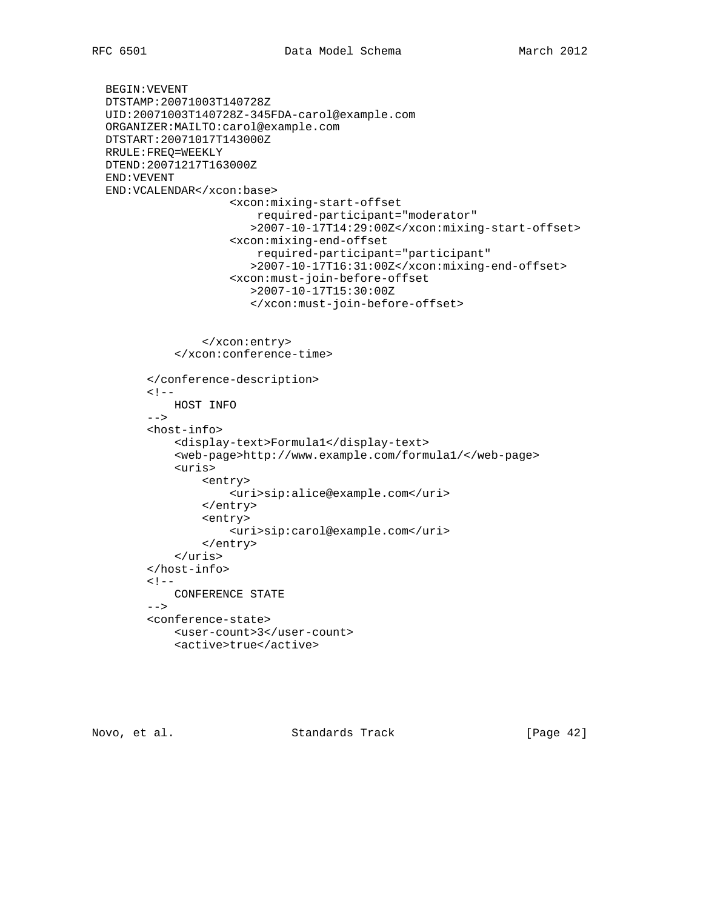BEGIN:VEVENT DTSTAMP:20071003T140728Z UID:20071003T140728Z-345FDA-carol@example.com ORGANIZER:MAILTO:carol@example.com DTSTART:20071017T143000Z RRULE:FREQ=WEEKLY DTEND:20071217T163000Z END:VEVENT END:VCALENDAR</xcon:base> <xcon:mixing-start-offset required-participant="moderator" >2007-10-17T14:29:00Z</xcon:mixing-start-offset> <xcon:mixing-end-offset required-participant="participant" >2007-10-17T16:31:00Z</xcon:mixing-end-offset> <xcon:must-join-before-offset >2007-10-17T15:30:00Z </xcon:must-join-before-offset> </xcon:entry> </xcon:conference-time> </conference-description>  $< ! - -$  HOST INFO  $\sim$  <host-info> <display-text>Formula1</display-text> <web-page>http://www.example.com/formula1/</web-page> <uris> <entry> <uri>sip:alice@example.com</uri> </entry> <entry> <uri>sip:carol@example.com</uri> </entry> </uris> </host-info>  $$  CONFERENCE STATE  $--&>$  <conference-state> <user-count>3</user-count> <active>true</active>

Novo, et al. Standards Track [Page 42]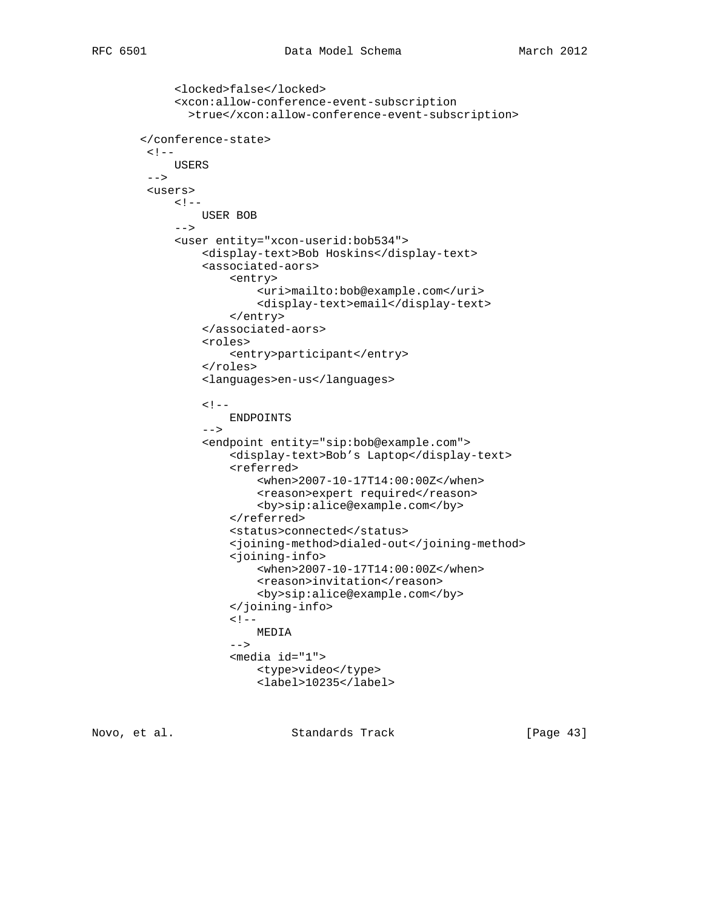```
 <locked>false</locked>
             <xcon:allow-conference-event-subscription
               >true</xcon:allow-conference-event-subscription>
        </conference-state>
        1 - - USERS
        --&> <users>
            < ! -- USER BOB
            -- <user entity="xcon-userid:bob534">
                 <display-text>Bob Hoskins</display-text>
                 <associated-aors>
                     <entry>
                          <uri>mailto:bob@example.com</uri>
                          <display-text>email</display-text>
                     </entry>
                 </associated-aors>
                 <roles>
                     <entry>participant</entry>
                 </roles>
                 <languages>en-us</languages>
                < ! -- ENDPOINTS
                --&> <endpoint entity="sip:bob@example.com">
                     <display-text>Bob's Laptop</display-text>
                     <referred>
                          <when>2007-10-17T14:00:00Z</when>
                          <reason>expert required</reason>
                          <by>sip:alice@example.com</by>
                     </referred>
                     <status>connected</status>
                     <joining-method>dialed-out</joining-method>
                     <joining-info>
                          <when>2007-10-17T14:00:00Z</when>
                          <reason>invitation</reason>
                          <by>sip:alice@example.com</by>
                     </joining-info>
                    <! -- MEDIA
--><br>-->
                     <media id="1">
                          <type>video</type>
                          <label>10235</label>
```
Novo, et al. Standards Track [Page 43]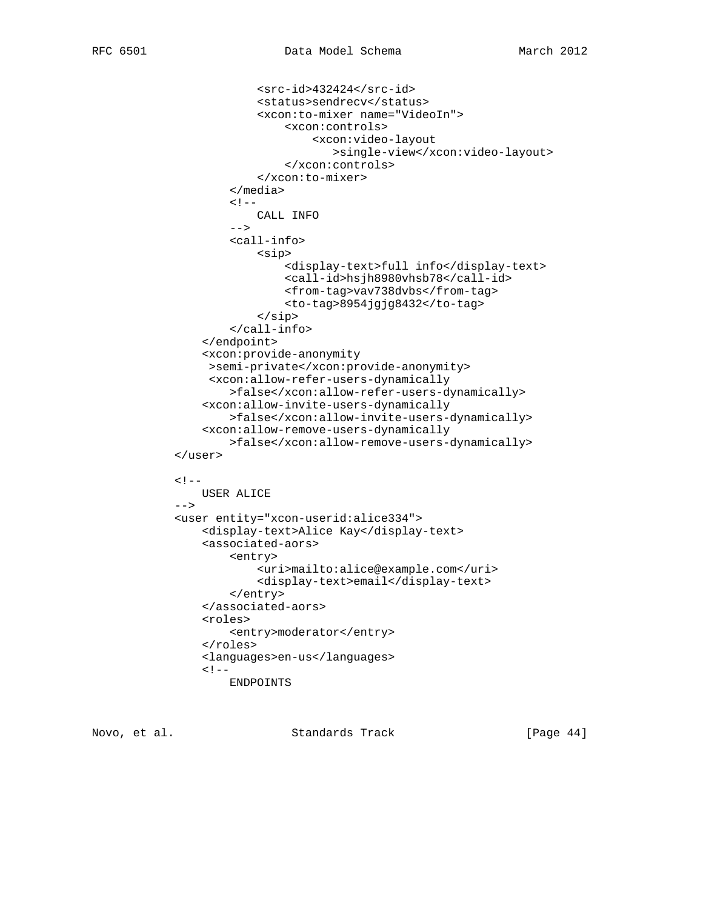```
 <src-id>432424</src-id>
                          <status>sendrecv</status>
                          <xcon:to-mixer name="VideoIn">
                              <xcon:controls>
                                  <xcon:video-layout
                                     >single-view</xcon:video-layout>
                              </xcon:controls>
                          </xcon:to-mixer>
                      </media>
                     < ! - - CALL INFO
--><br>-->
                      <call-info>
                          <sip>
                              <display-text>full info</display-text>
                              <call-id>hsjh8980vhsb78</call-id>
                              <from-tag>vav738dvbs</from-tag>
                              <to-tag>8954jgjg8432</to-tag>
                          </sip>
                      </call-info>
                 </endpoint>
                 <xcon:provide-anonymity
                  >semi-private</xcon:provide-anonymity>
                  <xcon:allow-refer-users-dynamically
                      >false</xcon:allow-refer-users-dynamically>
                 <xcon:allow-invite-users-dynamically
                      >false</xcon:allow-invite-users-dynamically>
                 <xcon:allow-remove-users-dynamically
                     >false</xcon:allow-remove-users-dynamically>
             </user>
            < ! -- USER ALICE
             -->
             <user entity="xcon-userid:alice334">
                 <display-text>Alice Kay</display-text>
                 <associated-aors>
                      <entry>
                          <uri>mailto:alice@example.com</uri>
                          <display-text>email</display-text>
                      </entry>
                 </associated-aors>
                 <roles>
                     <entry>moderator</entry>
                 </roles>
                 <languages>en-us</languages>
                \lt! --
                     ENDPOINTS
```
Novo, et al. Standards Track [Page 44]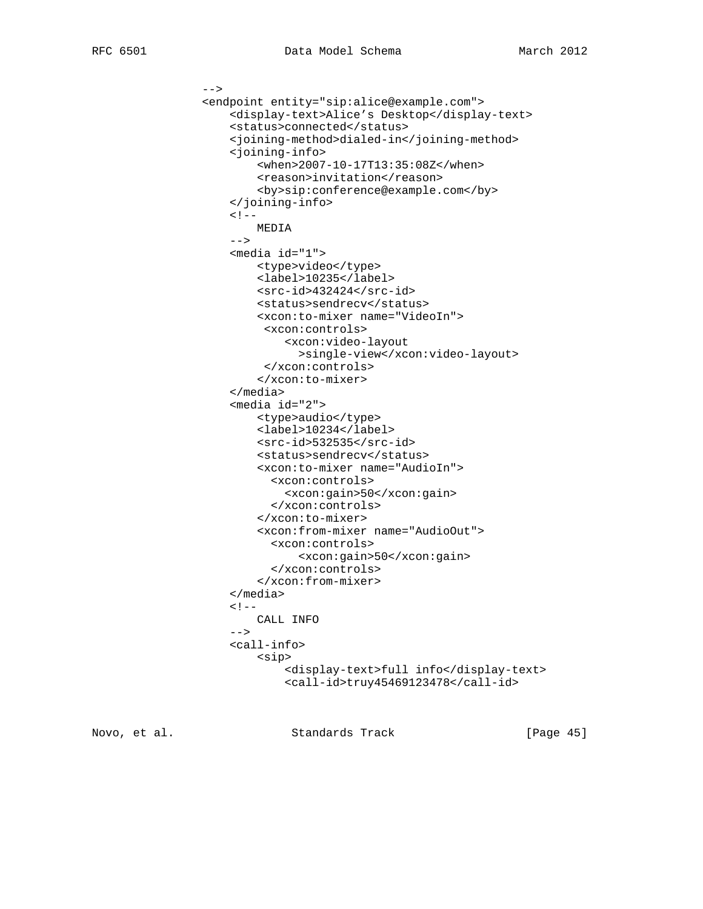$--$ 

```
 <endpoint entity="sip:alice@example.com">
                     <display-text>Alice's Desktop</display-text>
                     <status>connected</status>
                     <joining-method>dialed-in</joining-method>
                     <joining-info>
                         <when>2007-10-17T13:35:08Z</when>
                         <reason>invitation</reason>
                         <by>sip:conference@example.com</by>
                     </joining-info>
                    < ! -- MEDIA
 -->
                     <media id="1">
                         <type>video</type>
                         <label>10235</label>
                         <src-id>432424</src-id>
                         <status>sendrecv</status>
                         <xcon:to-mixer name="VideoIn">
                          <xcon:controls>
                             <xcon:video-layout
                               >single-view</xcon:video-layout>
                          </xcon:controls>
                         </xcon:to-mixer>
                     </media>
                     <media id="2">
                         <type>audio</type>
                         <label>10234</label>
                         <src-id>532535</src-id>
                         <status>sendrecv</status>
                         <xcon:to-mixer name="AudioIn">
                           <xcon:controls>
                             <xcon:gain>50</xcon:gain>
                           </xcon:controls>
                         </xcon:to-mixer>
                         <xcon:from-mixer name="AudioOut">
                           <xcon:controls>
                               <xcon:gain>50</xcon:gain>
                           </xcon:controls>
                         </xcon:from-mixer>
                     </media>
                    < ! - - CALL INFO
 -->
                     <call-info>
                         <sip>
                             <display-text>full info</display-text>
                             <call-id>truy45469123478</call-id>
```
Novo, et al. Standards Track [Page 45]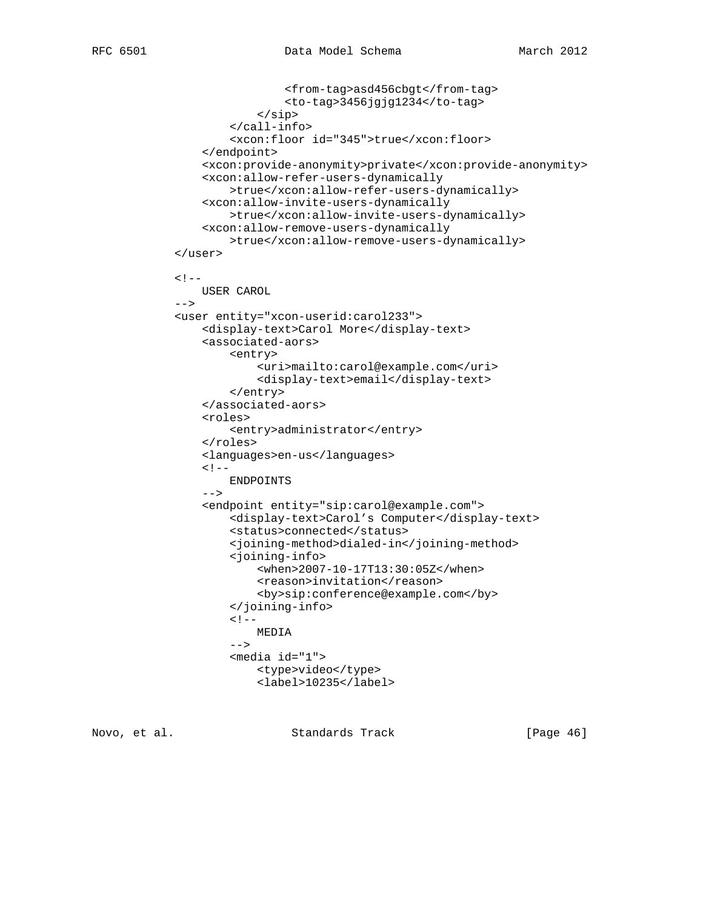```
 <from-tag>asd456cbgt</from-tag>
                             <to-tag>3456jgjg1234</to-tag>
                         </sip>
                     </call-info>
                     <xcon:floor id="345">true</xcon:floor>
                 </endpoint>
                 <xcon:provide-anonymity>private</xcon:provide-anonymity>
                 <xcon:allow-refer-users-dynamically
                     >true</xcon:allow-refer-users-dynamically>
                 <xcon:allow-invite-users-dynamically
                     >true</xcon:allow-invite-users-dynamically>
                 <xcon:allow-remove-users-dynamically
                     >true</xcon:allow-remove-users-dynamically>
             </user>
            < ! -- USER CAROL
             -->
             <user entity="xcon-userid:carol233">
                 <display-text>Carol More</display-text>
                 <associated-aors>
                     <entry>
                         <uri>mailto:carol@example.com</uri>
                         <display-text>email</display-text>
                     </entry>
                 </associated-aors>
                 <roles>
                     <entry>administrator</entry>
                 </roles>
                 <languages>en-us</languages>
                < ! -- ENDPOINTS
 -->
                 <endpoint entity="sip:carol@example.com">
                     <display-text>Carol's Computer</display-text>
                     <status>connected</status>
                     <joining-method>dialed-in</joining-method>
                     <joining-info>
                         <when>2007-10-17T13:30:05Z</when>
                         <reason>invitation</reason>
                         <by>sip:conference@example.com</by>
                     </joining-info>
                    <! -- MEDIA
--><br>-->
                     <media id="1">
                         <type>video</type>
                         <label>10235</label>
```
Novo, et al. Standards Track [Page 46]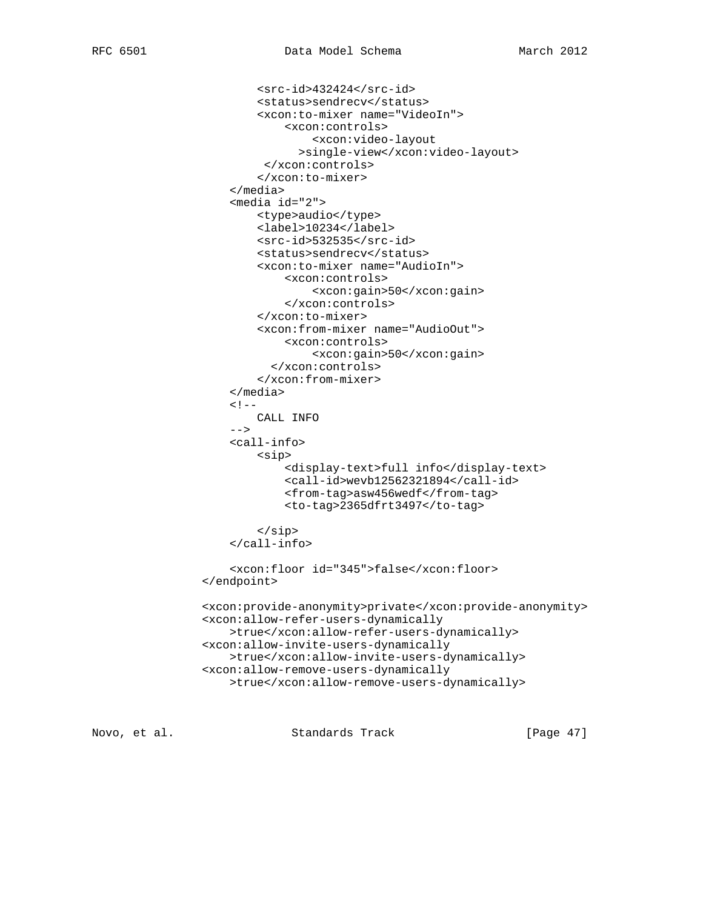```
 <src-id>432424</src-id>
                          <status>sendrecv</status>
                          <xcon:to-mixer name="VideoIn">
                              <xcon:controls>
                                  <xcon:video-layout
                                >single-view</xcon:video-layout>
                          </xcon:controls>
                          </xcon:to-mixer>
                     </media>
                     <media id="2">
                          <type>audio</type>
                          <label>10234</label>
                          <src-id>532535</src-id>
                          <status>sendrecv</status>
                          <xcon:to-mixer name="AudioIn">
                              <xcon:controls>
                                  <xcon:gain>50</xcon:gain>
                              </xcon:controls>
                          </xcon:to-mixer>
                          <xcon:from-mixer name="AudioOut">
                              <xcon:controls>
                                  <xcon:gain>50</xcon:gain>
                           </xcon:controls>
                          </xcon:from-mixer>
                     </media>
                    < ! -- CALL INFO
 -->
                     <call-info>
                          <sip>
                              <display-text>full info</display-text>
                              <call-id>wevb12562321894</call-id>
                              <from-tag>asw456wedf</from-tag>
                              <to-tag>2365dfrt3497</to-tag>
                          </sip>
                     </call-info>
                     <xcon:floor id="345">false</xcon:floor>
                 </endpoint>
                 <xcon:provide-anonymity>private</xcon:provide-anonymity>
                 <xcon:allow-refer-users-dynamically
                     >true</xcon:allow-refer-users-dynamically>
                 <xcon:allow-invite-users-dynamically
                     >true</xcon:allow-invite-users-dynamically>
                 <xcon:allow-remove-users-dynamically
                     >true</xcon:allow-remove-users-dynamically>
```
Novo, et al. Standards Track [Page 47]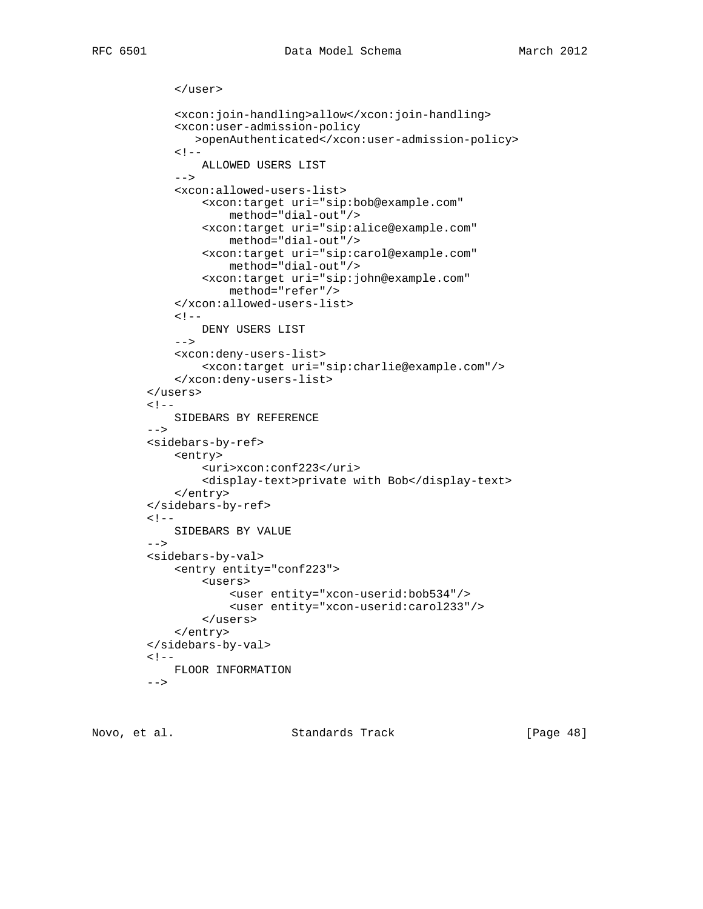```
 </user>
     <xcon:join-handling>allow</xcon:join-handling>
     <xcon:user-admission-policy
        >openAuthenticated</xcon:user-admission-policy>
    < 1 - - ALLOWED USERS LIST
     -->
     <xcon:allowed-users-list>
         <xcon:target uri="sip:bob@example.com"
             method="dial-out"/>
         <xcon:target uri="sip:alice@example.com"
            method="dial-out"/>
         <xcon:target uri="sip:carol@example.com"
             method="dial-out"/>
         <xcon:target uri="sip:john@example.com"
            method="refer"/>
     </xcon:allowed-users-list>
    <! -- DENY USERS LIST
    --&> <xcon:deny-users-list>
         <xcon:target uri="sip:charlie@example.com"/>
     </xcon:deny-users-list>
 </users>
\lt! --
     SIDEBARS BY REFERENCE
 -->
 <sidebars-by-ref>
    <entry>
        <uri>xcon:conf223</uri>
         <display-text>private with Bob</display-text>
     </entry>
 </sidebars-by-ref>
<! - SIDEBARS BY VALUE
-- <sidebars-by-val>
     <entry entity="conf223">
         <users>
             <user entity="xcon-userid:bob534"/>
             <user entity="xcon-userid:carol233"/>
         </users>
     </entry>
 </sidebars-by-val>
<! -- FLOOR INFORMATION
--
```
Novo, et al. Standards Track [Page 48]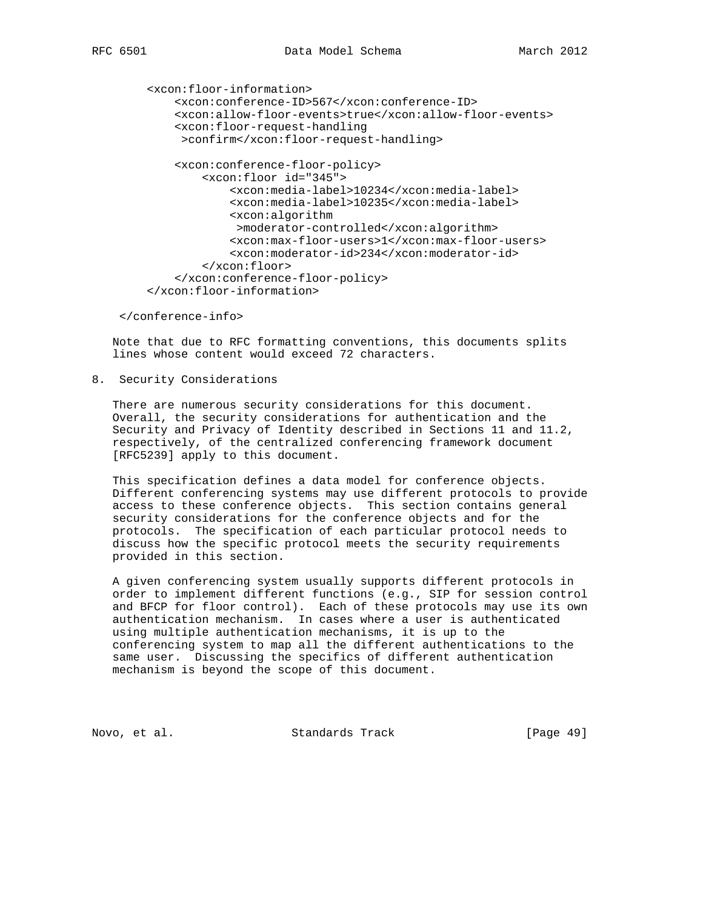```
 <xcon:floor-information>
     <xcon:conference-ID>567</xcon:conference-ID>
     <xcon:allow-floor-events>true</xcon:allow-floor-events>
     <xcon:floor-request-handling
     >confirm</xcon:floor-request-handling>
     <xcon:conference-floor-policy>
         <xcon:floor id="345">
             <xcon:media-label>10234</xcon:media-label>
             <xcon:media-label>10235</xcon:media-label>
             <xcon:algorithm
             >moderator-controlled</xcon:algorithm>
             <xcon:max-floor-users>1</xcon:max-floor-users>
             <xcon:moderator-id>234</xcon:moderator-id>
         </xcon:floor>
     </xcon:conference-floor-policy>
 </xcon:floor-information>
```
</conference-info>

 Note that due to RFC formatting conventions, this documents splits lines whose content would exceed 72 characters.

8. Security Considerations

 There are numerous security considerations for this document. Overall, the security considerations for authentication and the Security and Privacy of Identity described in Sections 11 and 11.2, respectively, of the centralized conferencing framework document [RFC5239] apply to this document.

 This specification defines a data model for conference objects. Different conferencing systems may use different protocols to provide access to these conference objects. This section contains general security considerations for the conference objects and for the protocols. The specification of each particular protocol needs to discuss how the specific protocol meets the security requirements provided in this section.

 A given conferencing system usually supports different protocols in order to implement different functions (e.g., SIP for session control and BFCP for floor control). Each of these protocols may use its own authentication mechanism. In cases where a user is authenticated using multiple authentication mechanisms, it is up to the conferencing system to map all the different authentications to the same user. Discussing the specifics of different authentication mechanism is beyond the scope of this document.

Novo, et al. Standards Track [Page 49]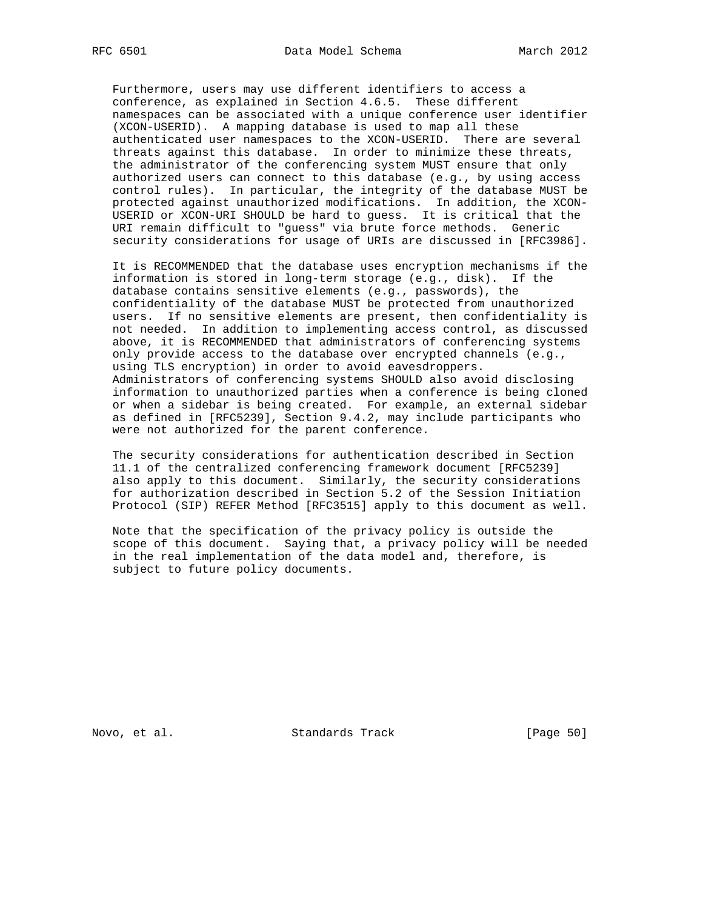Furthermore, users may use different identifiers to access a conference, as explained in Section 4.6.5. These different namespaces can be associated with a unique conference user identifier (XCON-USERID). A mapping database is used to map all these authenticated user namespaces to the XCON-USERID. There are several threats against this database. In order to minimize these threats, the administrator of the conferencing system MUST ensure that only authorized users can connect to this database (e.g., by using access control rules). In particular, the integrity of the database MUST be protected against unauthorized modifications. In addition, the XCON- USERID or XCON-URI SHOULD be hard to guess. It is critical that the URI remain difficult to "guess" via brute force methods. Generic security considerations for usage of URIs are discussed in [RFC3986].

 It is RECOMMENDED that the database uses encryption mechanisms if the information is stored in long-term storage (e.g., disk). If the database contains sensitive elements (e.g., passwords), the confidentiality of the database MUST be protected from unauthorized users. If no sensitive elements are present, then confidentiality is not needed. In addition to implementing access control, as discussed above, it is RECOMMENDED that administrators of conferencing systems only provide access to the database over encrypted channels (e.g., using TLS encryption) in order to avoid eavesdroppers. Administrators of conferencing systems SHOULD also avoid disclosing information to unauthorized parties when a conference is being cloned or when a sidebar is being created. For example, an external sidebar as defined in [RFC5239], Section 9.4.2, may include participants who were not authorized for the parent conference.

 The security considerations for authentication described in Section 11.1 of the centralized conferencing framework document [RFC5239] also apply to this document. Similarly, the security considerations for authorization described in Section 5.2 of the Session Initiation Protocol (SIP) REFER Method [RFC3515] apply to this document as well.

 Note that the specification of the privacy policy is outside the scope of this document. Saying that, a privacy policy will be needed in the real implementation of the data model and, therefore, is subject to future policy documents.

Novo, et al. Standards Track [Page 50]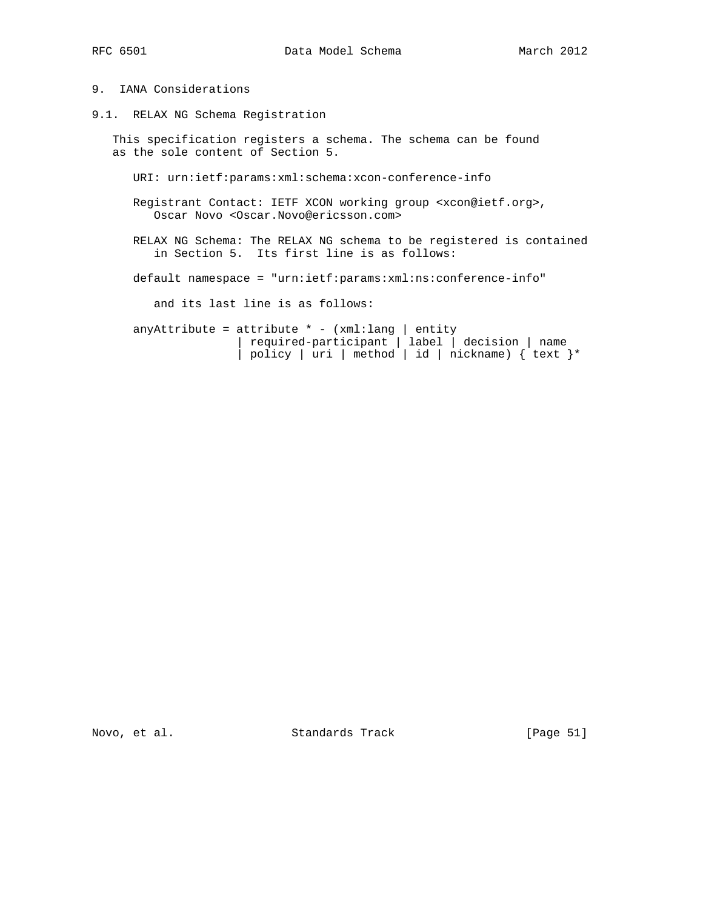## 9. IANA Considerations

9.1. RELAX NG Schema Registration

 This specification registers a schema. The schema can be found as the sole content of Section 5.

URI: urn:ietf:params:xml:schema:xcon-conference-info

 Registrant Contact: IETF XCON working group <xcon@ietf.org>, Oscar Novo <Oscar.Novo@ericsson.com>

 RELAX NG Schema: The RELAX NG schema to be registered is contained in Section 5. Its first line is as follows:

default namespace = "urn:ietf:params:xml:ns:conference-info"

and its last line is as follows:

anyAttribute = attribute \* -  $(xml:lang \mid entity$  | required-participant | label | decision | name | policy | uri | method | id | nickname) { text }\*

Novo, et al. Standards Track [Page 51]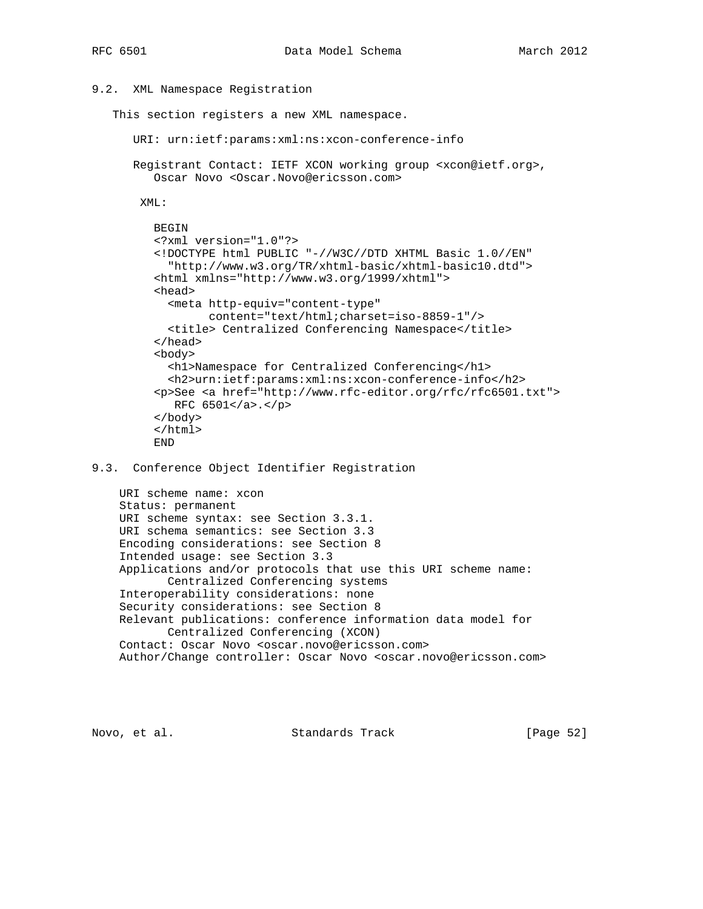## 9.2. XML Namespace Registration

This section registers a new XML namespace.

URI: urn:ietf:params:xml:ns:xcon-conference-info

 Registrant Contact: IETF XCON working group <xcon@ietf.org>, Oscar Novo <Oscar.Novo@ericsson.com>

XML:

```
 BEGIN
 <?xml version="1.0"?>
 <!DOCTYPE html PUBLIC "-//W3C//DTD XHTML Basic 1.0//EN"
   "http://www.w3.org/TR/xhtml-basic/xhtml-basic10.dtd">
 <html xmlns="http://www.w3.org/1999/xhtml">
 <head>
   <meta http-equiv="content-type"
         content="text/html;charset=iso-8859-1"/>
   <title> Centralized Conferencing Namespace</title>
 </head>
 <body>
   <h1>Namespace for Centralized Conferencing</h1>
   <h2>urn:ietf:params:xml:ns:xcon-conference-info</h2>
 <p>See <a href="http://www.rfc-editor.org/rfc/rfc6501.txt">
   RFC 6501 < /a > . < /p > </body>
 </html>
 END
```
### 9.3. Conference Object Identifier Registration

 URI scheme name: xcon Status: permanent URI scheme syntax: see Section 3.3.1. URI schema semantics: see Section 3.3 Encoding considerations: see Section 8 Intended usage: see Section 3.3 Applications and/or protocols that use this URI scheme name: Centralized Conferencing systems Interoperability considerations: none Security considerations: see Section 8 Relevant publications: conference information data model for Centralized Conferencing (XCON) Contact: Oscar Novo <oscar.novo@ericsson.com> Author/Change controller: Oscar Novo <oscar.novo@ericsson.com>

Novo, et al. Standards Track [Page 52]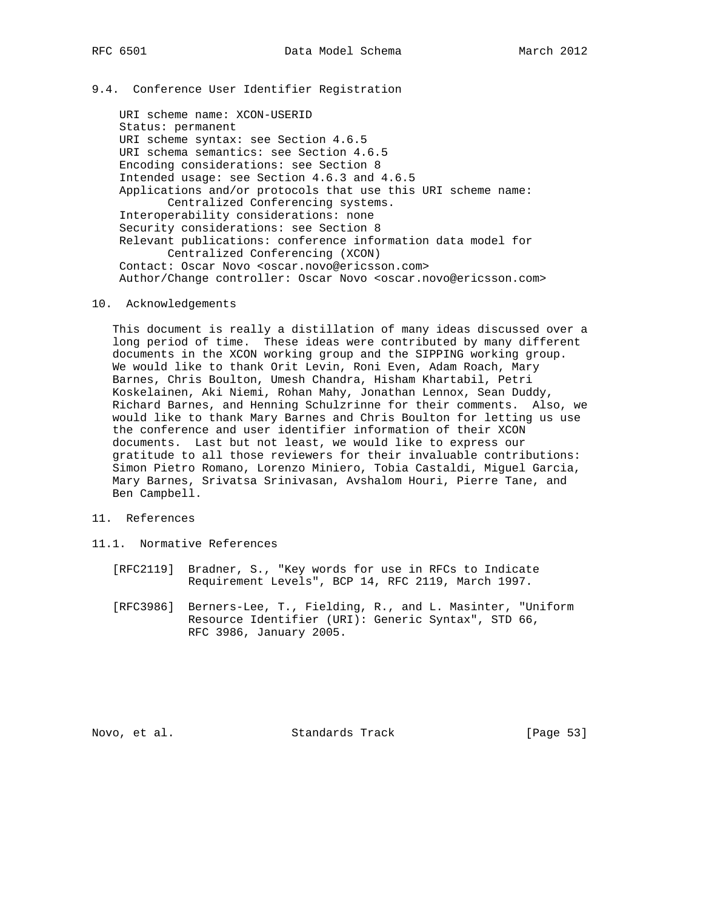# 9.4. Conference User Identifier Registration

 URI scheme name: XCON-USERID Status: permanent URI scheme syntax: see Section 4.6.5 URI schema semantics: see Section 4.6.5 Encoding considerations: see Section 8 Intended usage: see Section 4.6.3 and 4.6.5 Applications and/or protocols that use this URI scheme name: Centralized Conferencing systems. Interoperability considerations: none Security considerations: see Section 8 Relevant publications: conference information data model for Centralized Conferencing (XCON) Contact: Oscar Novo <oscar.novo@ericsson.com> Author/Change controller: Oscar Novo <oscar.novo@ericsson.com>

#### 10. Acknowledgements

 This document is really a distillation of many ideas discussed over a long period of time. These ideas were contributed by many different documents in the XCON working group and the SIPPING working group. We would like to thank Orit Levin, Roni Even, Adam Roach, Mary Barnes, Chris Boulton, Umesh Chandra, Hisham Khartabil, Petri Koskelainen, Aki Niemi, Rohan Mahy, Jonathan Lennox, Sean Duddy, Richard Barnes, and Henning Schulzrinne for their comments. Also, we would like to thank Mary Barnes and Chris Boulton for letting us use the conference and user identifier information of their XCON documents. Last but not least, we would like to express our gratitude to all those reviewers for their invaluable contributions: Simon Pietro Romano, Lorenzo Miniero, Tobia Castaldi, Miguel Garcia, Mary Barnes, Srivatsa Srinivasan, Avshalom Houri, Pierre Tane, and Ben Campbell.

- 11. References
- 11.1. Normative References
	- [RFC2119] Bradner, S., "Key words for use in RFCs to Indicate Requirement Levels", BCP 14, RFC 2119, March 1997.
	- [RFC3986] Berners-Lee, T., Fielding, R., and L. Masinter, "Uniform Resource Identifier (URI): Generic Syntax", STD 66, RFC 3986, January 2005.

Novo, et al. Standards Track [Page 53]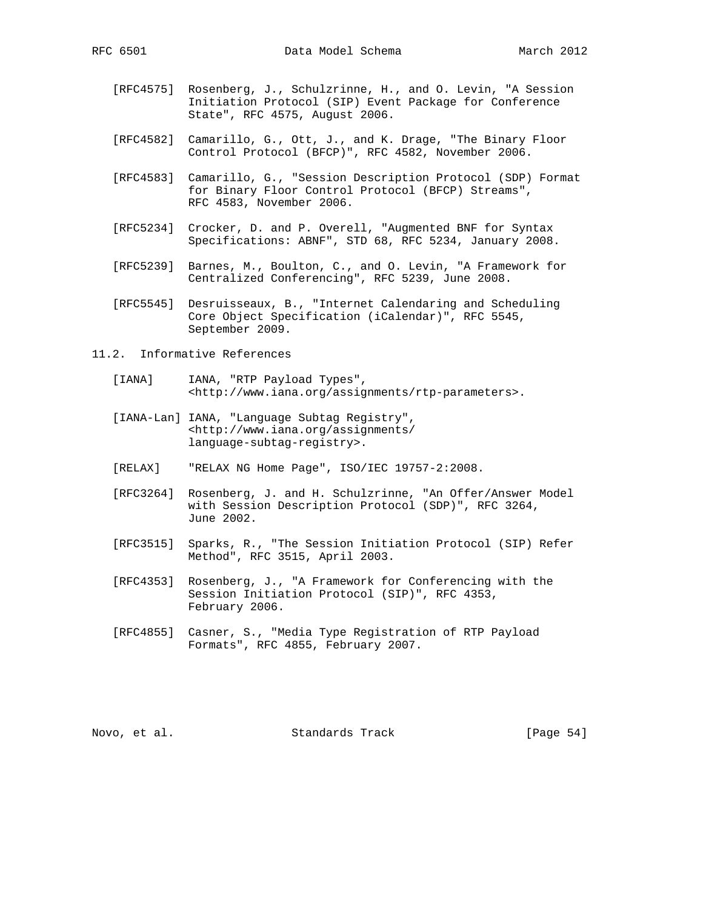- [RFC4575] Rosenberg, J., Schulzrinne, H., and O. Levin, "A Session Initiation Protocol (SIP) Event Package for Conference State", RFC 4575, August 2006.
- [RFC4582] Camarillo, G., Ott, J., and K. Drage, "The Binary Floor Control Protocol (BFCP)", RFC 4582, November 2006.
- [RFC4583] Camarillo, G., "Session Description Protocol (SDP) Format for Binary Floor Control Protocol (BFCP) Streams", RFC 4583, November 2006.
- [RFC5234] Crocker, D. and P. Overell, "Augmented BNF for Syntax Specifications: ABNF", STD 68, RFC 5234, January 2008.
- [RFC5239] Barnes, M., Boulton, C., and O. Levin, "A Framework for Centralized Conferencing", RFC 5239, June 2008.
- [RFC5545] Desruisseaux, B., "Internet Calendaring and Scheduling Core Object Specification (iCalendar)", RFC 5545, September 2009.
- 11.2. Informative References
	- [IANA] IANA, "RTP Payload Types", <http://www.iana.org/assignments/rtp-parameters>.
	- [IANA-Lan] IANA, "Language Subtag Registry", <http://www.iana.org/assignments/ language-subtag-registry>.
	- [RELAX] "RELAX NG Home Page", ISO/IEC 19757-2:2008.
	- [RFC3264] Rosenberg, J. and H. Schulzrinne, "An Offer/Answer Model with Session Description Protocol (SDP)", RFC 3264, June 2002.
	- [RFC3515] Sparks, R., "The Session Initiation Protocol (SIP) Refer Method", RFC 3515, April 2003.
	- [RFC4353] Rosenberg, J., "A Framework for Conferencing with the Session Initiation Protocol (SIP)", RFC 4353, February 2006.
	- [RFC4855] Casner, S., "Media Type Registration of RTP Payload Formats", RFC 4855, February 2007.

Novo, et al. Standards Track [Page 54]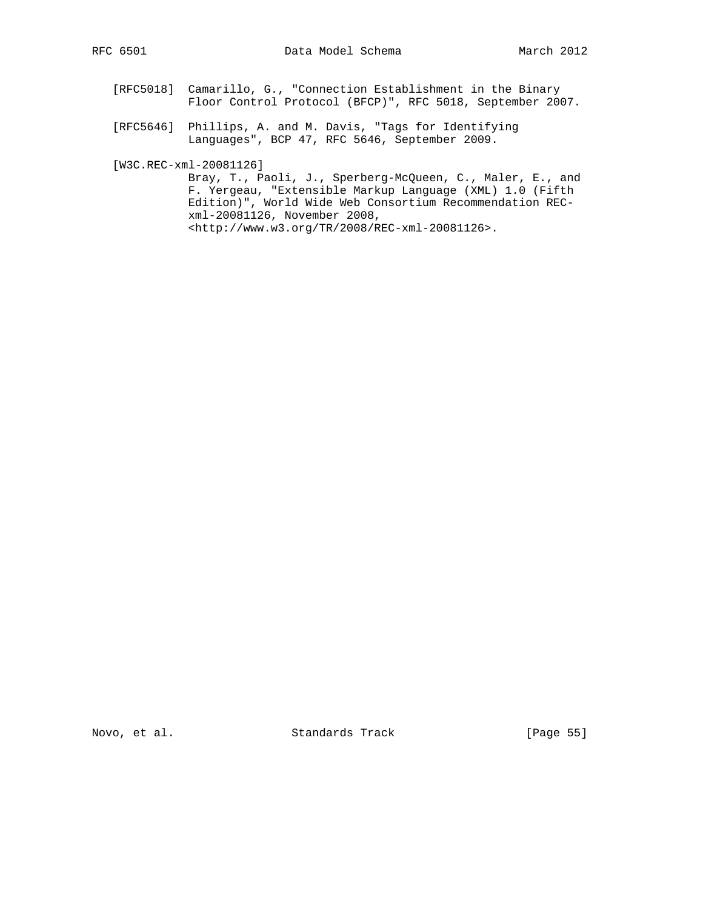- [RFC5018] Camarillo, G., "Connection Establishment in the Binary Floor Control Protocol (BFCP)", RFC 5018, September 2007.
- [RFC5646] Phillips, A. and M. Davis, "Tags for Identifying Languages", BCP 47, RFC 5646, September 2009.

[W3C.REC-xml-20081126]

 Bray, T., Paoli, J., Sperberg-McQueen, C., Maler, E., and F. Yergeau, "Extensible Markup Language (XML) 1.0 (Fifth Edition)", World Wide Web Consortium Recommendation REC xml-20081126, November 2008, <http://www.w3.org/TR/2008/REC-xml-20081126>.

Novo, et al. Standards Track [Page 55]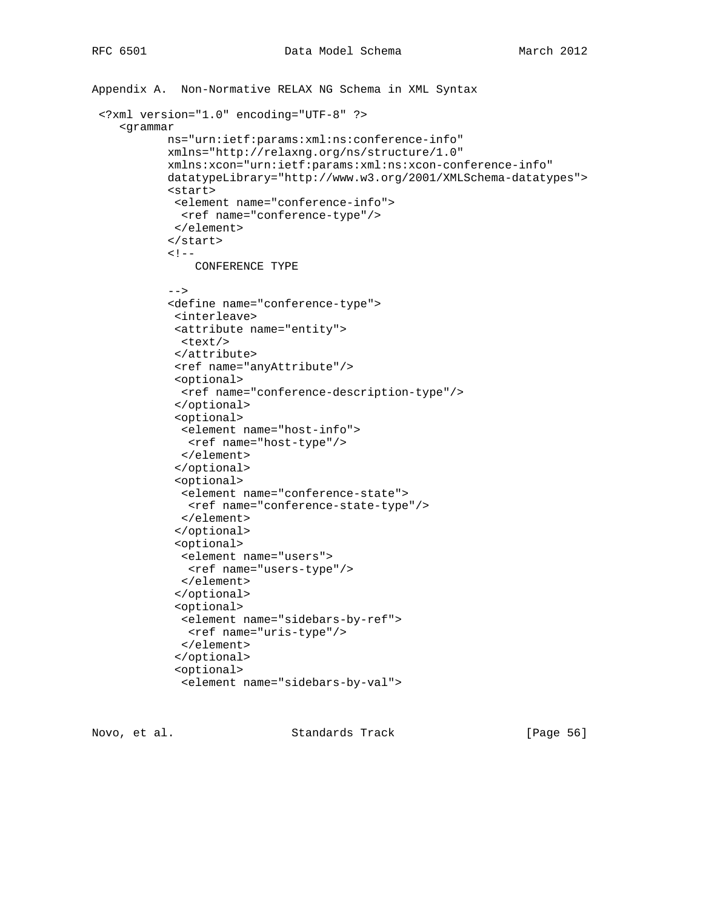```
Appendix A. Non-Normative RELAX NG Schema in XML Syntax
  <?xml version="1.0" encoding="UTF-8" ?>
     <grammar
            ns="urn:ietf:params:xml:ns:conference-info"
            xmlns="http://relaxng.org/ns/structure/1.0"
            xmlns:xcon="urn:ietf:params:xml:ns:xcon-conference-info"
            datatypeLibrary="http://www.w3.org/2001/XMLSchema-datatypes">
            <start>
             <element name="conference-info">
              <ref name="conference-type"/>
             </element>
            </start>
           < ! -- CONFERENCE TYPE
           --&> <define name="conference-type">
             <interleave>
             <attribute name="entity">
             <text/>
             </attribute>
             <ref name="anyAttribute"/>
             <optional>
              <ref name="conference-description-type"/>
             </optional>
             <optional>
              <element name="host-info">
               <ref name="host-type"/>
              </element>
             </optional>
             <optional>
              <element name="conference-state">
               <ref name="conference-state-type"/>
              </element>
             </optional>
             <optional>
              <element name="users">
               <ref name="users-type"/>
              </element>
             </optional>
             <optional>
              <element name="sidebars-by-ref">
               <ref name="uris-type"/>
              </element>
             </optional>
             <optional>
              <element name="sidebars-by-val">
```
Novo, et al. Standards Track [Page 56]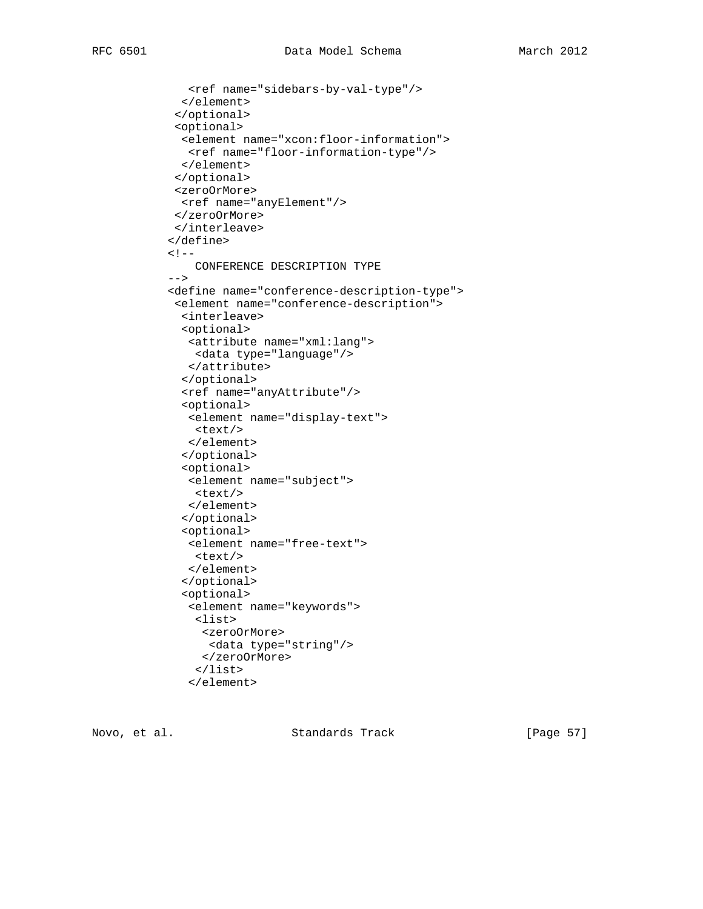```
 <ref name="sidebars-by-val-type"/>
   </element>
  </optional>
  <optional>
   <element name="xcon:floor-information">
   <ref name="floor-information-type"/>
   </element>
 </optional>
 <zeroOrMore>
  <ref name="anyElement"/>
 </zeroOrMore>
 </interleave>
 </define>
< ! -- CONFERENCE DESCRIPTION TYPE
--&> <define name="conference-description-type">
 <element name="conference-description">
  <interleave>
  <optional>
   <attribute name="xml:lang">
    <data type="language"/>
   </attribute>
   </optional>
   <ref name="anyAttribute"/>
   <optional>
   <element name="display-text">
    <text/>
   </element>
   </optional>
   <optional>
   <element name="subject">
    <text/>
   </element>
   </optional>
   <optional>
    <element name="free-text">
     <text/>
    </element>
   </optional>
   <optional>
    <element name="keywords">
    <list>
     <zeroOrMore>
      <data type="string"/>
     </zeroOrMore>
     </list>
    </element>
```
Novo, et al. Standards Track [Page 57]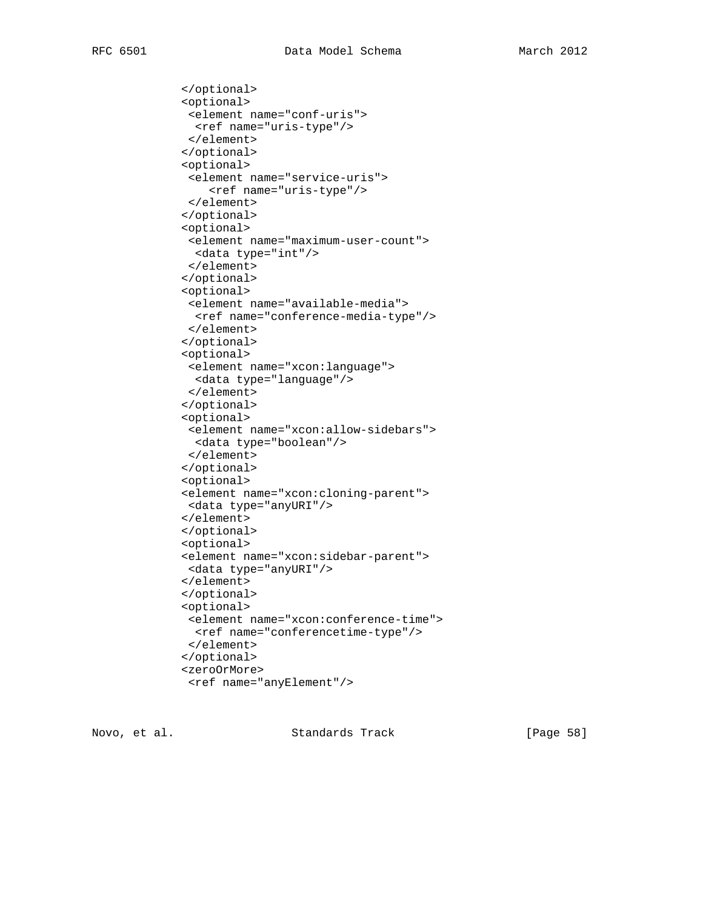</optional> <optional> <element name="conf-uris"> <ref name="uris-type"/> </element> </optional> <optional> <element name="service-uris"> <ref name="uris-type"/> </element> </optional> <optional> <element name="maximum-user-count"> <data type="int"/> </element> </optional> <optional> <element name="available-media"> <ref name="conference-media-type"/> </element> </optional> <optional> <element name="xcon:language"> <data type="language"/> </element> </optional> <optional> <element name="xcon:allow-sidebars"> <data type="boolean"/> </element> </optional> <optional> <element name="xcon:cloning-parent"> <data type="anyURI"/> </element> </optional> <optional> <element name="xcon:sidebar-parent"> <data type="anyURI"/> </element> </optional> <optional> <element name="xcon:conference-time"> <ref name="conferencetime-type"/> </element> </optional> <zeroOrMore> <ref name="anyElement"/>

Novo, et al. Standards Track [Page 58]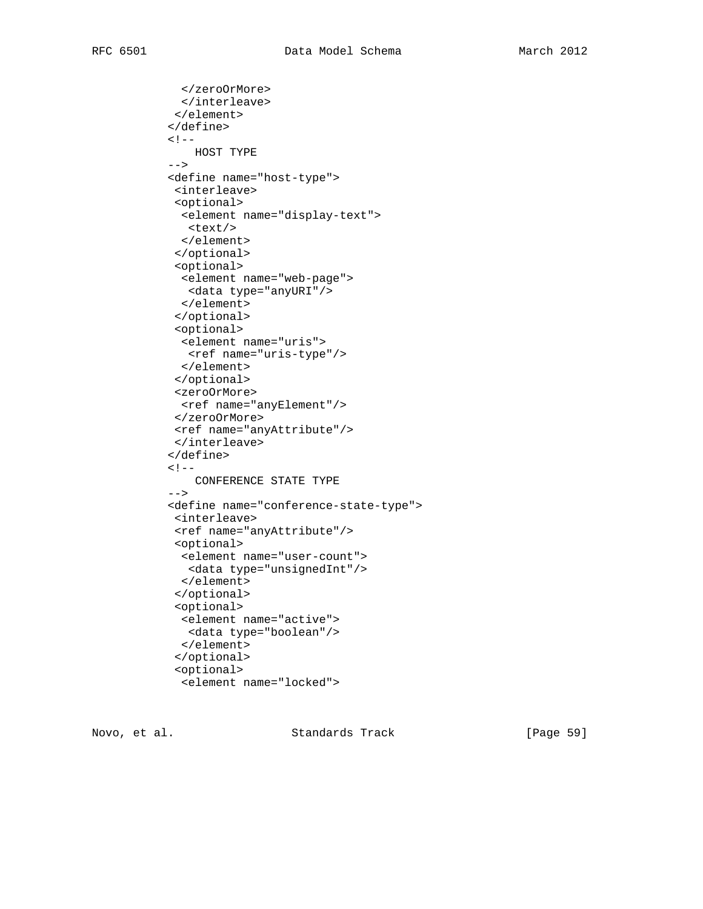</zeroOrMore> </interleave> </element> </define>  $\lt$  !  $---$  HOST TYPE  $--&>$  <define name="host-type"> <interleave> <optional> <element name="display-text"> <text/> </element> </optional> <optional> <element name="web-page"> <data type="anyURI"/> </element> </optional> <optional> <element name="uris"> <ref name="uris-type"/> </element> </optional> <zeroOrMore> <ref name="anyElement"/> </zeroOrMore> <ref name="anyAttribute"/> </interleave> </define>  $<$  !  $--$  CONFERENCE STATE TYPE  $--$  <define name="conference-state-type"> <interleave> <ref name="anyAttribute"/> <optional> <element name="user-count"> <data type="unsignedInt"/> </element> </optional> <optional> <element name="active"> <data type="boolean"/> </element> </optional> <optional> <element name="locked">

Novo, et al. Standards Track [Page 59]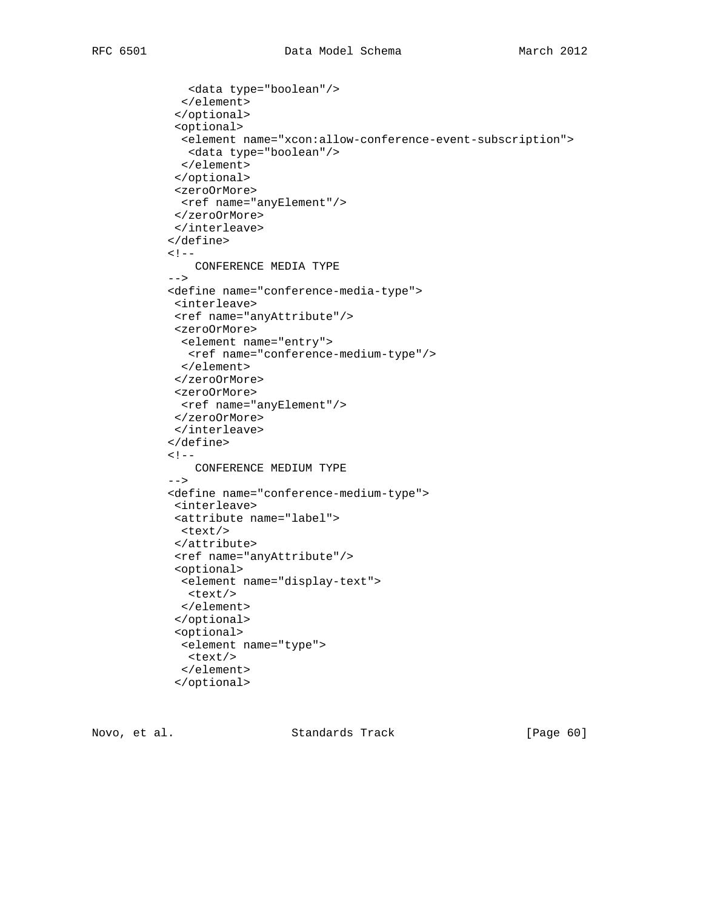```
 <data type="boolean"/>
   </element>
  </optional>
  <optional>
   <element name="xcon:allow-conference-event-subscription">
   <data type="boolean"/>
   </element>
  </optional>
 <zeroOrMore>
  <ref name="anyElement"/>
 </zeroOrMore>
  </interleave>
 </define>
< ! -- CONFERENCE MEDIA TYPE
--&> <define name="conference-media-type">
 <interleave>
 <ref name="anyAttribute"/>
 <zeroOrMore>
  <element name="entry">
   <ref name="conference-medium-type"/>
  </element>
  </zeroOrMore>
  <zeroOrMore>
  <ref name="anyElement"/>
  </zeroOrMore>
 </interleave>
 </define>
< ! - - CONFERENCE MEDIUM TYPE
--&> <define name="conference-medium-type">
 <interleave>
 <attribute name="label">
  <text/>
 </attribute>
  <ref name="anyAttribute"/>
  <optional>
  <element name="display-text">
   <text/>
   </element>
  </optional>
  <optional>
   <element name="type">
   <text/>
   </element>
  </optional>
```
Novo, et al. Standards Track [Page 60]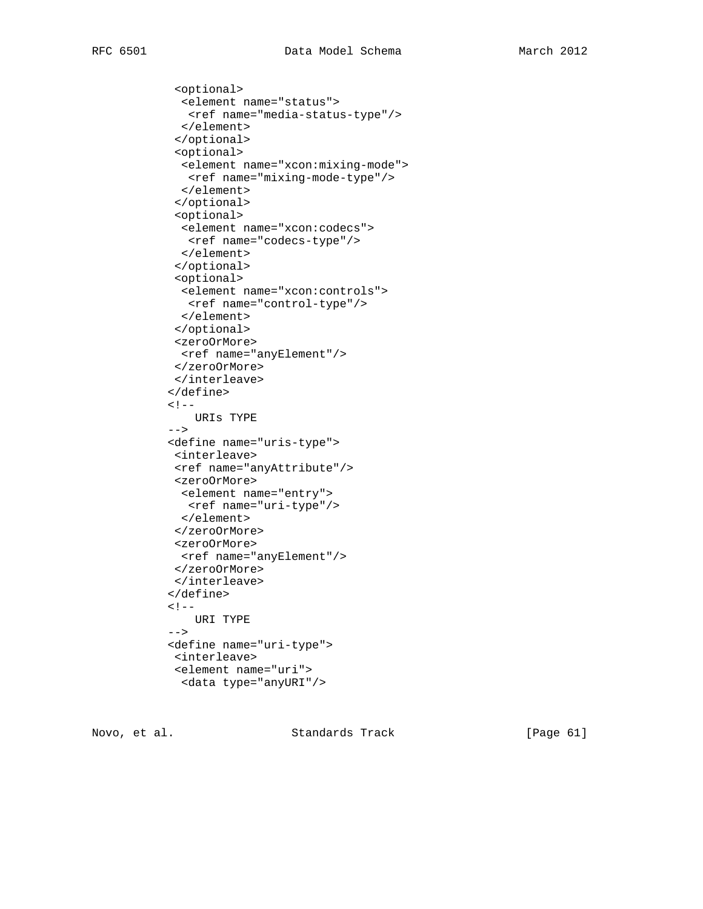```
 <optional>
   <element name="status">
   <ref name="media-status-type"/>
   </element>
  </optional>
  <optional>
   <element name="xcon:mixing-mode">
   <ref name="mixing-mode-type"/>
   </element>
 </optional>
  <optional>
   <element name="xcon:codecs">
    <ref name="codecs-type"/>
   </element>
  </optional>
  <optional>
   <element name="xcon:controls">
   <ref name="control-type"/>
  </element>
 </optional>
 <zeroOrMore>
  <ref name="anyElement"/>
 </zeroOrMore>
 </interleave>
 </define>
\lt ! -- URIs TYPE
 -->
 <define name="uris-type">
 <interleave>
 <ref name="anyAttribute"/>
 <zeroOrMore>
  <element name="entry">
   <ref name="uri-type"/>
  </element>
 </zeroOrMore>
 <zeroOrMore>
  <ref name="anyElement"/>
 </zeroOrMore>
 </interleave>
 </define>
< ! - - URI TYPE
 -->
 <define name="uri-type">
 <interleave>
 <element name="uri">
  <data type="anyURI"/>
```
Novo, et al. Standards Track [Page 61]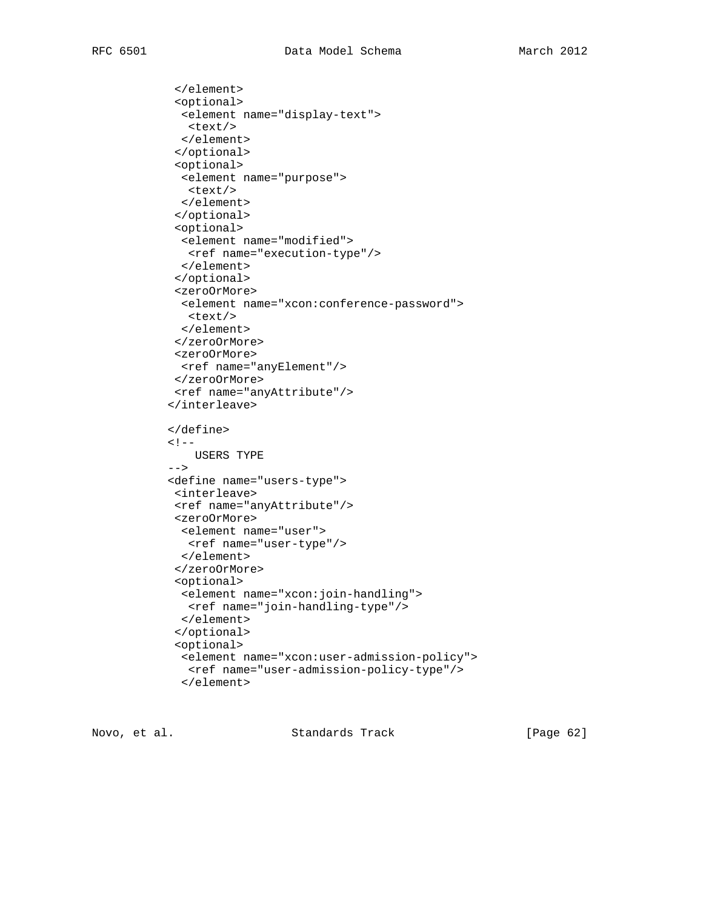```
 </element>
  <optional>
   <element name="display-text">
   <text/>
   </element>
  </optional>
  <optional>
   <element name="purpose">
   <text/>
   </element>
  </optional>
  <optional>
   <element name="modified">
    <ref name="execution-type"/>
   </element>
  </optional>
  <zeroOrMore>
   <element name="xcon:conference-password">
   <text/>
   </element>
  </zeroOrMore>
 <zeroOrMore>
  <ref name="anyElement"/>
 </zeroOrMore>
  <ref name="anyAttribute"/>
 </interleave>
 </define>
\lt ! --- USERS TYPE
-- <define name="users-type">
 <interleave>
 <ref name="anyAttribute"/>
 <zeroOrMore>
  <element name="user">
   <ref name="user-type"/>
   </element>
  </zeroOrMore>
  <optional>
   <element name="xcon:join-handling">
   <ref name="join-handling-type"/>
   </element>
  </optional>
  <optional>
   <element name="xcon:user-admission-policy">
   <ref name="user-admission-policy-type"/>
   </element>
```
Novo, et al. Standards Track [Page 62]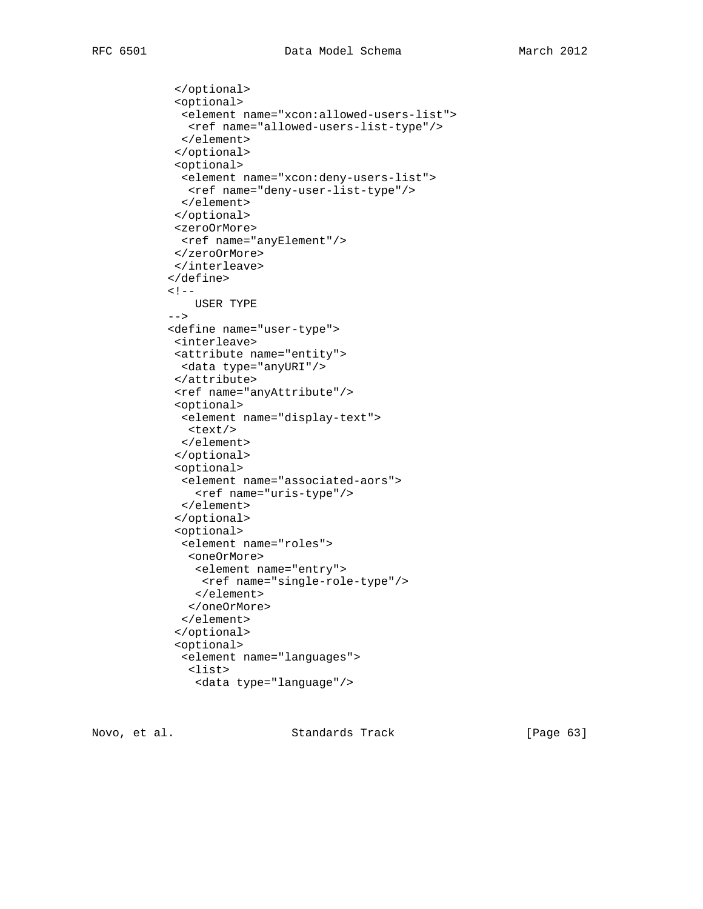```
 </optional>
  <optional>
   <element name="xcon:allowed-users-list">
   <ref name="allowed-users-list-type"/>
   </element>
  </optional>
  <optional>
   <element name="xcon:deny-users-list">
   <ref name="deny-user-list-type"/>
  </element>
 </optional>
 <zeroOrMore>
  <ref name="anyElement"/>
 </zeroOrMore>
 </interleave>
 </define>
\lt ! -- USER TYPE
--&> <define name="user-type">
 <interleave>
 <attribute name="entity">
  <data type="anyURI"/>
 </attribute>
  <ref name="anyAttribute"/>
  <optional>
  <element name="display-text">
   <text/>
  </element>
 </optional>
  <optional>
  <element name="associated-aors">
     <ref name="uris-type"/>
   </element>
  </optional>
  <optional>
   <element name="roles">
    <oneOrMore>
     <element name="entry">
      <ref name="single-role-type"/>
     </element>
    </oneOrMore>
   </element>
  </optional>
  <optional>
   <element name="languages">
    <list>
     <data type="language"/>
```
Novo, et al. Standards Track [Page 63]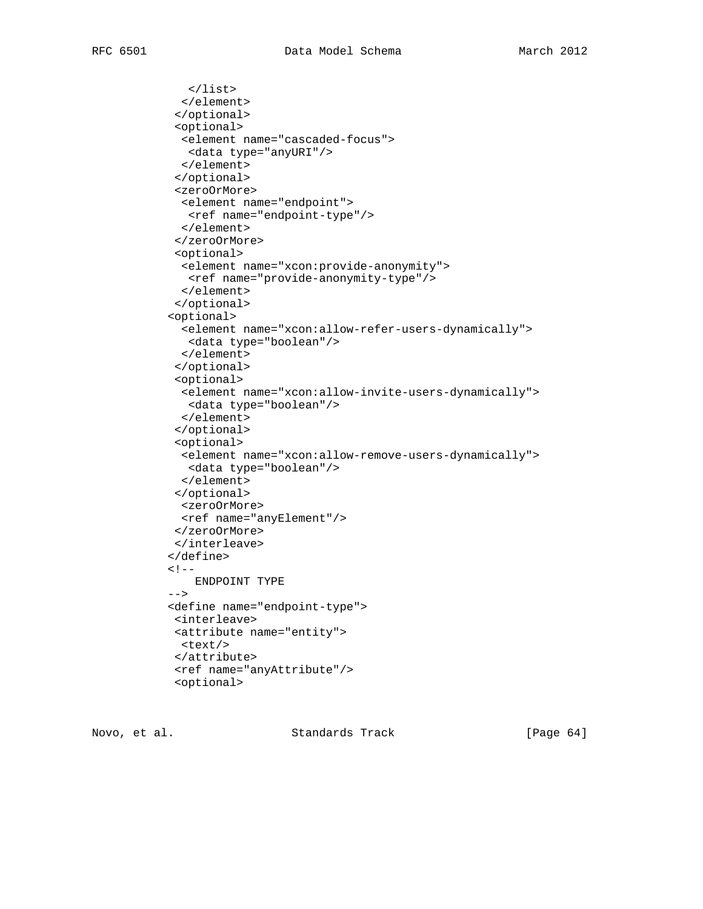</list> </element> </optional> <optional> <element name="cascaded-focus"> <data type="anyURI"/> </element> </optional> <zeroOrMore> <element name="endpoint"> <ref name="endpoint-type"/> </element> </zeroOrMore> <optional> <element name="xcon:provide-anonymity"> <ref name="provide-anonymity-type"/> </element> </optional> <optional> <element name="xcon:allow-refer-users-dynamically"> <data type="boolean"/> </element> </optional> <optional> <element name="xcon:allow-invite-users-dynamically"> <data type="boolean"/> </element> </optional> <optional> <element name="xcon:allow-remove-users-dynamically"> <data type="boolean"/> </element> </optional> <zeroOrMore> <ref name="anyElement"/> </zeroOrMore> </interleave> </define>  $<$ !  $-$  ENDPOINT TYPE  $--&>$  <define name="endpoint-type"> <interleave> <attribute name="entity">  $<$ text/> </attribute> <ref name="anyAttribute"/> <optional>

Novo, et al. Standards Track [Page 64]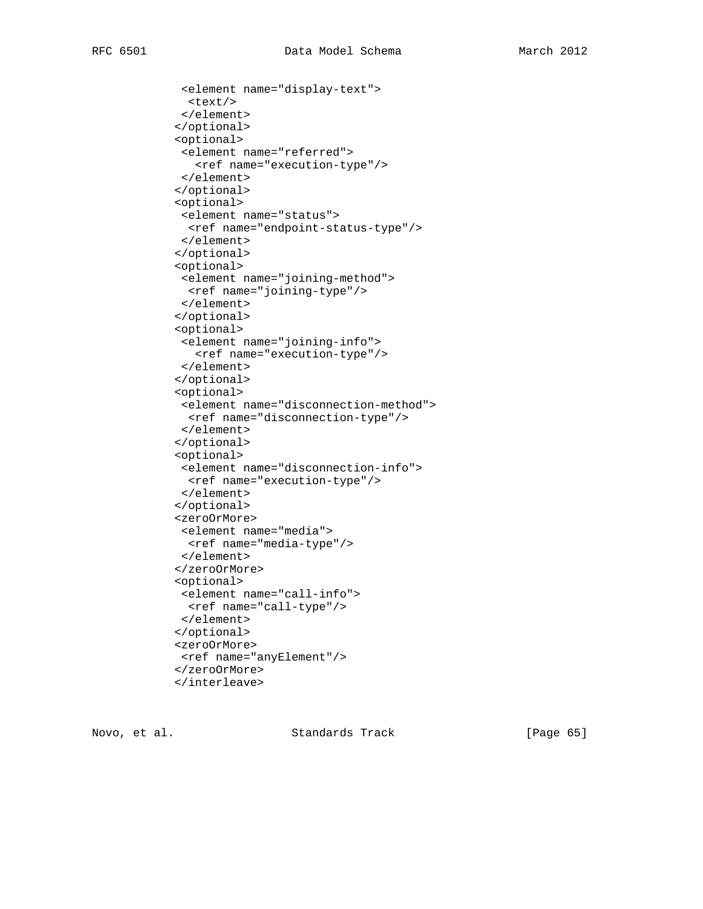```
 <element name="display-text">
  <text/>
  </element>
 </optional>
 <optional>
 <element name="referred">
    <ref name="execution-type"/>
  </element>
 </optional>
 <optional>
  <element name="status">
  <ref name="endpoint-status-type"/>
  </element>
 </optional>
 <optional>
  <element name="joining-method">
   <ref name="joining-type"/>
  </element>
 </optional>
 <optional>
  <element name="joining-info">
    <ref name="execution-type"/>
  </element>
 </optional>
 <optional>
  <element name="disconnection-method">
  <ref name="disconnection-type"/>
  </element>
 </optional>
 <optional>
 <element name="disconnection-info">
  <ref name="execution-type"/>
  </element>
 </optional>
 <zeroOrMore>
  <element name="media">
   <ref name="media-type"/>
  </element>
 </zeroOrMore>
 <optional>
  <element name="call-info">
  <ref name="call-type"/>
 </element>
 </optional>
 <zeroOrMore>
 <ref name="anyElement"/>
 </zeroOrMore>
 </interleave>
```
Novo, et al. Standards Track [Page 65]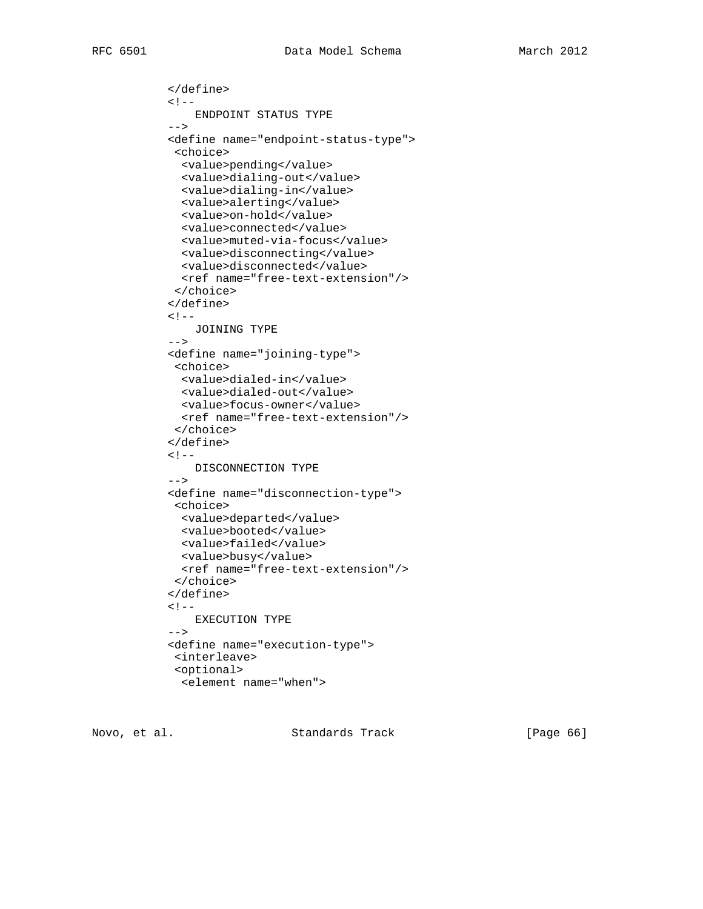```
 </define>
           \lt ! -- ENDPOINT STATUS TYPE
 -->
            <define name="endpoint-status-type">
             <choice>
              <value>pending</value>
              <value>dialing-out</value>
              <value>dialing-in</value>
              <value>alerting</value>
              <value>on-hold</value>
              <value>connected</value>
              <value>muted-via-focus</value>
              <value>disconnecting</value>
              <value>disconnected</value>
              <ref name="free-text-extension"/>
             </choice>
            </define>
           < ! - - JOINING TYPE
           -- <define name="joining-type">
             <choice>
              <value>dialed-in</value>
              <value>dialed-out</value>
              <value>focus-owner</value>
              <ref name="free-text-extension"/>
             </choice>
            </define>
           < ! - - DISCONNECTION TYPE
           --&> <define name="disconnection-type">
             <choice>
              <value>departed</value>
              <value>booted</value>
              <value>failed</value>
              <value>busy</value>
              <ref name="free-text-extension"/>
             </choice>
            </define>
           < ! - - EXECUTION TYPE
           --&> <define name="execution-type">
             <interleave>
             <optional>
              <element name="when">
```
Novo, et al. Standards Track [Page 66]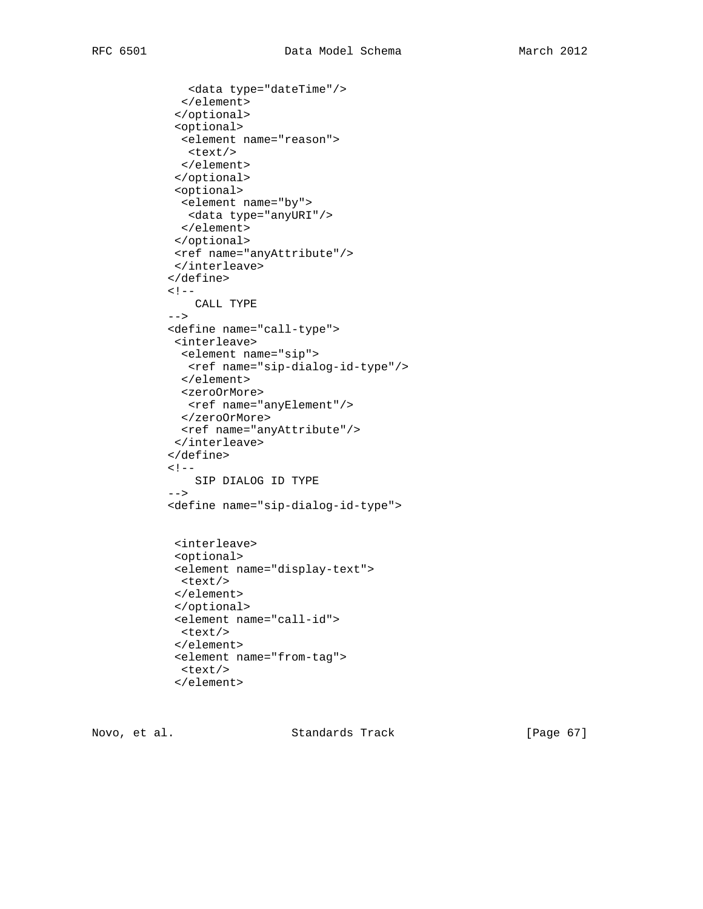```
 <data type="dateTime"/>
   </element>
  </optional>
  <optional>
   <element name="reason">
    <text/>
   </element>
  </optional>
  <optional>
  <element name="by">
   <data type="anyURI"/>
  </element>
  </optional>
  <ref name="anyAttribute"/>
  </interleave>
 </define>
< ! -- CALL TYPE
--&> <define name="call-type">
 <interleave>
  <element name="sip">
   <ref name="sip-dialog-id-type"/>
   </element>
   <zeroOrMore>
   <ref name="anyElement"/>
   </zeroOrMore>
  <ref name="anyAttribute"/>
 </interleave>
 </define>
< ! -- SIP DIALOG ID TYPE
--\sim <define name="sip-dialog-id-type">
 <interleave>
  <optional>
  <element name="display-text">
  <text/>
  </element>
  </optional>
 <element name="call-id">
  <text/>
 </element>
 <element name="from-tag">
  <text/>
  </element>
```
Novo, et al. Standards Track [Page 67]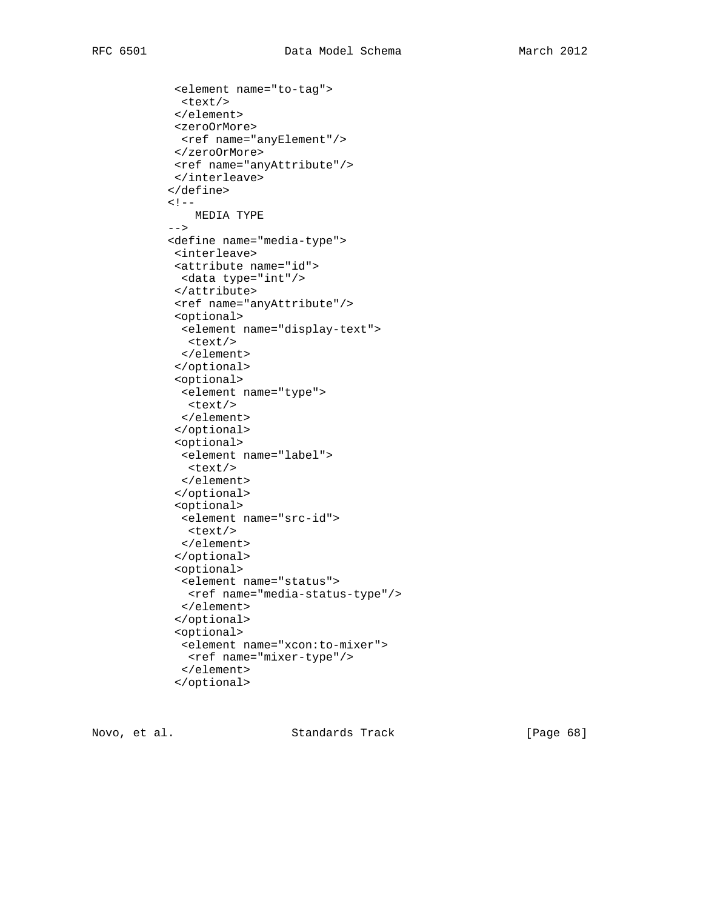<element name="to-tag"> <text/> </element> <zeroOrMore> <ref name="anyElement"/> </zeroOrMore> <ref name="anyAttribute"/> </interleave> </define>  $<$  !  $--$  MEDIA TYPE  $--&>$  <define name="media-type"> <interleave> <attribute name="id"> <data type="int"/> </attribute> <ref name="anyAttribute"/> <optional> <element name="display-text"> <text/> </element> </optional> <optional> <element name="type"> <text/> </element> </optional> <optional> <element name="label">  $<$ text/> </element> </optional> <optional> <element name="src-id"> <text/> </element> </optional> <optional> <element name="status"> <ref name="media-status-type"/> </element> </optional> <optional> <element name="xcon:to-mixer"> <ref name="mixer-type"/> </element> </optional>

Novo, et al. Standards Track [Page 68]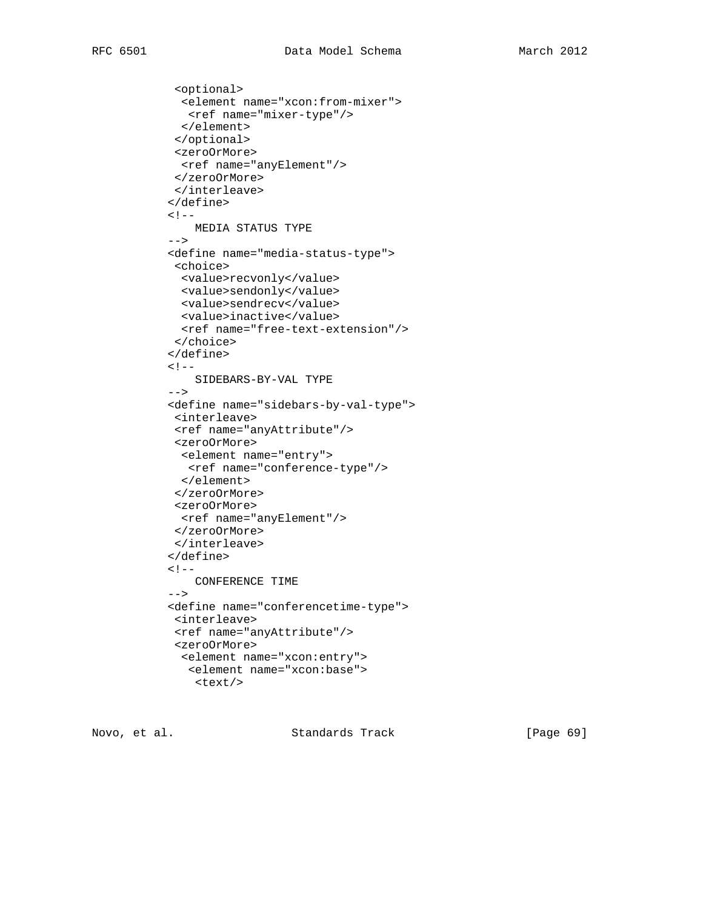```
 <optional>
   <element name="xcon:from-mixer">
   <ref name="mixer-type"/>
   </element>
  </optional>
 <zeroOrMore>
  <ref name="anyElement"/>
 </zeroOrMore>
 </interleave>
 </define>
< ! -- MEDIA STATUS TYPE
--\rightarrow <define name="media-status-type">
 <choice>
   <value>recvonly</value>
  <value>sendonly</value>
   <value>sendrecv</value>
   <value>inactive</value>
   <ref name="free-text-extension"/>
  </choice>
 </define>
\lt! --
    SIDEBARS-BY-VAL TYPE
--\rightarrow <define name="sidebars-by-val-type">
 <interleave>
 <ref name="anyAttribute"/>
 <zeroOrMore>
  <element name="entry">
   <ref name="conference-type"/>
  </element>
  </zeroOrMore>
 <zeroOrMore>
  <ref name="anyElement"/>
 </zeroOrMore>
 </interleave>
 </define>
\lt ! -- CONFERENCE TIME
--&> <define name="conferencetime-type">
 <interleave>
 <ref name="anyAttribute"/>
 <zeroOrMore>
  <element name="xcon:entry">
    <element name="xcon:base">
    <text/>
```
Novo, et al. Standards Track [Page 69]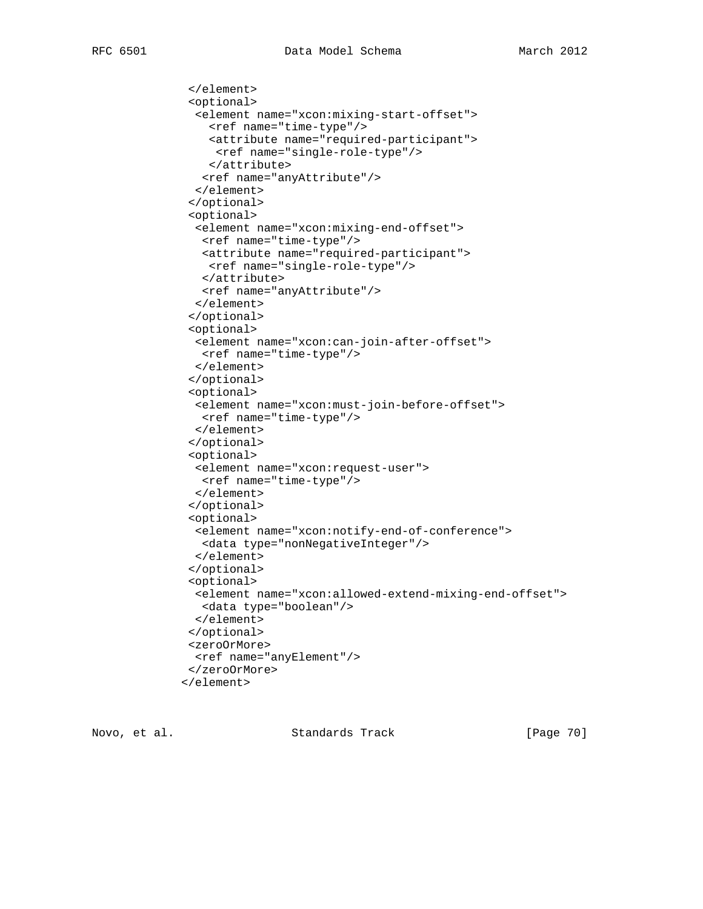```
 </element>
  <optional>
   <element name="xcon:mixing-start-offset">
     <ref name="time-type"/>
     <attribute name="required-participant">
     <ref name="single-role-type"/>
     </attribute>
    <ref name="anyAttribute"/>
   </element>
  </optional>
  <optional>
   <element name="xcon:mixing-end-offset">
    <ref name="time-type"/>
    <attribute name="required-participant">
     <ref name="single-role-type"/>
    </attribute>
    <ref name="anyAttribute"/>
   </element>
  </optional>
  <optional>
  <element name="xcon:can-join-after-offset">
   <ref name="time-type"/>
  </element>
  </optional>
  <optional>
   <element name="xcon:must-join-before-offset">
   <ref name="time-type"/>
   </element>
 </optional>
 <optional>
  <element name="xcon:request-user">
   <ref name="time-type"/>
   </element>
 </optional>
  <optional>
   <element name="xcon:notify-end-of-conference">
    <data type="nonNegativeInteger"/>
   </element>
  </optional>
  <optional>
   <element name="xcon:allowed-extend-mixing-end-offset">
   <data type="boolean"/>
  </element>
 </optional>
 <zeroOrMore>
  <ref name="anyElement"/>
 </zeroOrMore>
 </element>
```
Novo, et al. Standards Track [Page 70]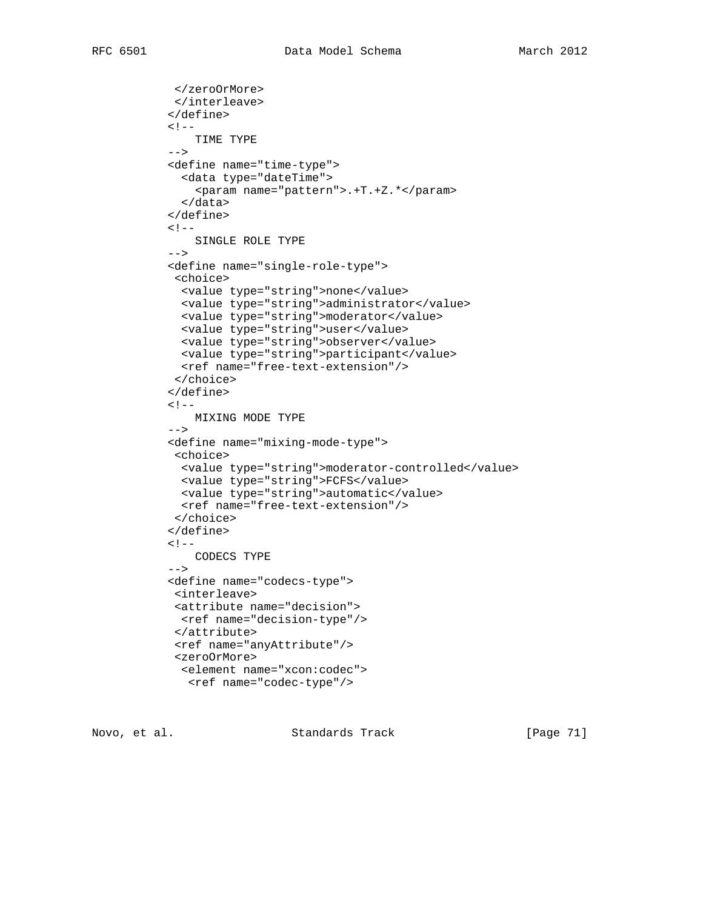```
 </zeroOrMore>
  </interleave>
 </define>
\lt! --
     TIME TYPE
--&> <define name="time-type">
   <data type="dateTime">
     <param name="pattern">.+T.+Z.*</param>
   </data>
 </define>
< ! - - SINGLE ROLE TYPE
--&> <define name="single-role-type">
  <choice>
   <value type="string">none</value>
   <value type="string">administrator</value>
   <value type="string">moderator</value>
   <value type="string">user</value>
   <value type="string">observer</value>
   <value type="string">participant</value>
   <ref name="free-text-extension"/>
  </choice>
 </define>
\lt ! -- MIXING MODE TYPE
 -->
 <define name="mixing-mode-type">
 <choice>
  <value type="string">moderator-controlled</value>
  <value type="string">FCFS</value>
  <value type="string">automatic</value>
   <ref name="free-text-extension"/>
 </choice>
 </define>
<! - CODECS TYPE
 -->
 <define name="codecs-type">
 <interleave>
 <attribute name="decision">
  <ref name="decision-type"/>
  </attribute>
  <ref name="anyAttribute"/>
  <zeroOrMore>
   <element name="xcon:codec">
    <ref name="codec-type"/>
```
Novo, et al. Standards Track [Page 71]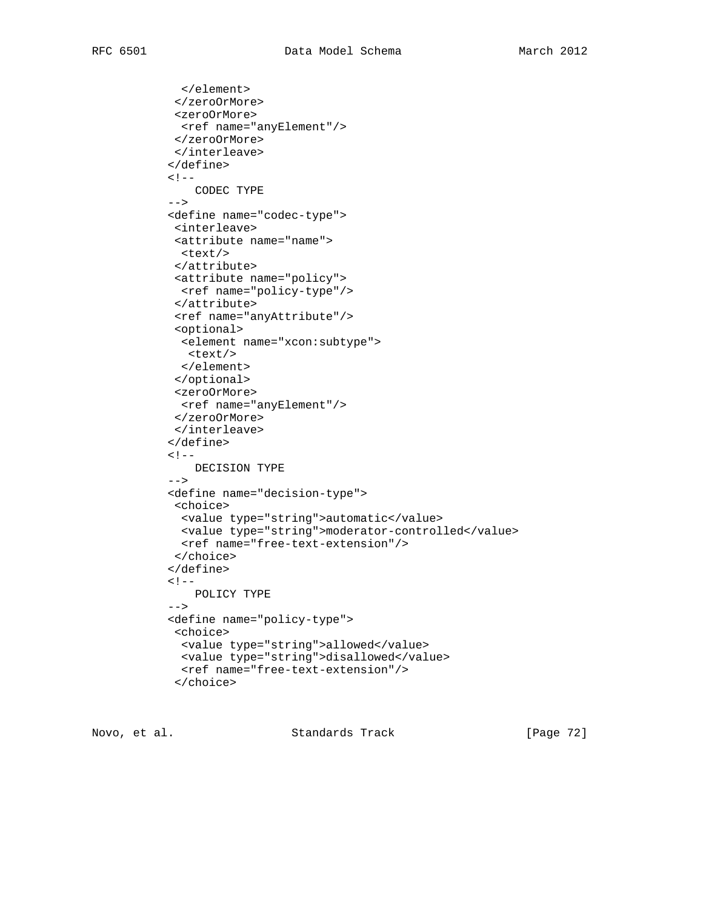</element> </zeroOrMore> <zeroOrMore> <ref name="anyElement"/> </zeroOrMore> </interleave> </define>  $\lt$  !  $--$  CODEC TYPE  $--&>$  <define name="codec-type"> <interleave> <attribute name="name"> <text/> </attribute> <attribute name="policy"> <ref name="policy-type"/> </attribute> <ref name="anyAttribute"/> <optional> <element name="xcon:subtype"> <text/> </element> </optional> <zeroOrMore> <ref name="anyElement"/> </zeroOrMore> </interleave> </define>  $$  DECISION TYPE  $--&>$  <define name="decision-type"> <choice> <value type="string">automatic</value> <value type="string">moderator-controlled</value> <ref name="free-text-extension"/> </choice> </define>  $\lt$ ! -- POLICY TYPE  $--&>$  <define name="policy-type"> <choice> <value type="string">allowed</value> <value type="string">disallowed</value> <ref name="free-text-extension"/> </choice>

Novo, et al. Standards Track [Page 72]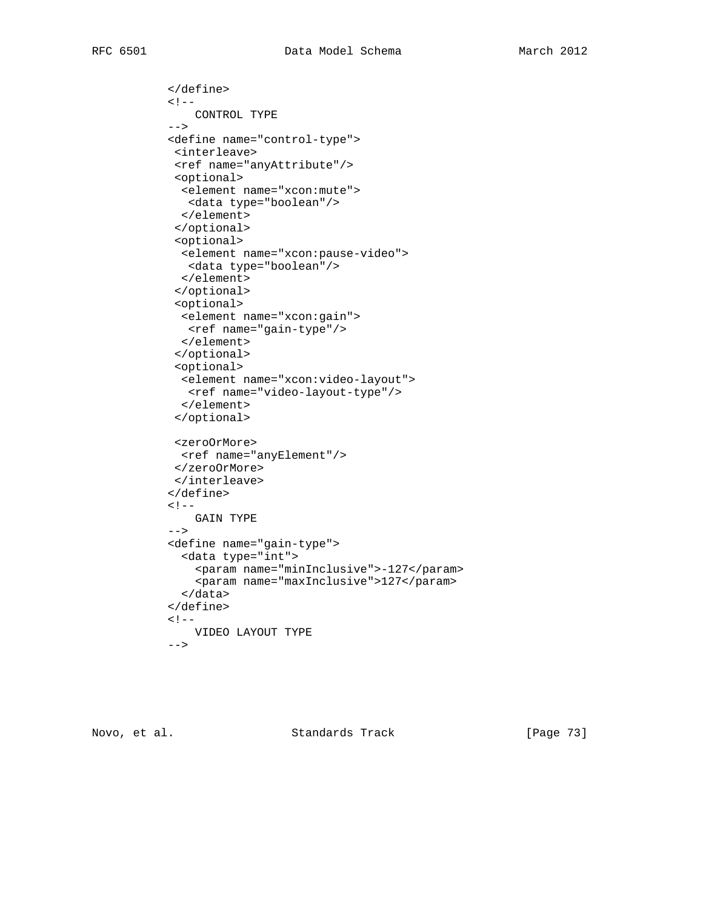</define>  $<$ !  $-$  CONTROL TYPE --> <define name="control-type"> <interleave> <ref name="anyAttribute"/> <optional> <element name="xcon:mute"> <data type="boolean"/> </element> </optional> <optional> <element name="xcon:pause-video"> <data type="boolean"/> </element> </optional> <optional> <element name="xcon:gain"> <ref name="gain-type"/> </element> </optional> <optional> <element name="xcon:video-layout"> <ref name="video-layout-type"/> </element> </optional> <zeroOrMore> <ref name="anyElement"/> </zeroOrMore> </interleave> </define>  $<$  !  $--$  GAIN TYPE  $--&>$  <define name="gain-type"> <data type="int"> <param name="minInclusive">-127</param> <param name="maxInclusive">127</param> </data> </define>  $<$ !  $-$  VIDEO LAYOUT TYPE  $--\rightarrow$ 

Novo, et al. Standards Track [Page 73]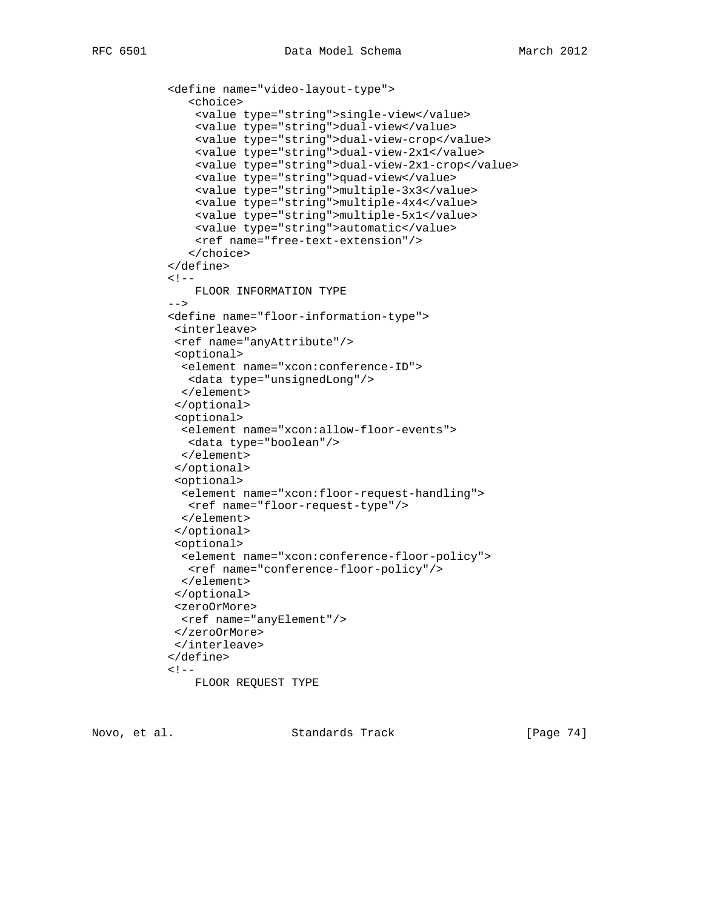```
 <define name="video-layout-type">
    <choice>
     <value type="string">single-view</value>
     <value type="string">dual-view</value>
     <value type="string">dual-view-crop</value>
     <value type="string">dual-view-2x1</value>
     <value type="string">dual-view-2x1-crop</value>
     <value type="string">quad-view</value>
     <value type="string">multiple-3x3</value>
     <value type="string">multiple-4x4</value>
     <value type="string">multiple-5x1</value>
     <value type="string">automatic</value>
     <ref name="free-text-extension"/>
    </choice>
 </define>
<! - FLOOR INFORMATION TYPE
 -->
 <define name="floor-information-type">
 <interleave>
 <ref name="anyAttribute"/>
 <optional>
  <element name="xcon:conference-ID">
   <data type="unsignedLong"/>
  </element>
  </optional>
  <optional>
  <element name="xcon:allow-floor-events">
   <data type="boolean"/>
  </element>
  </optional>
  <optional>
  <element name="xcon:floor-request-handling">
   <ref name="floor-request-type"/>
  </element>
  </optional>
  <optional>
  <element name="xcon:conference-floor-policy">
   <ref name="conference-floor-policy"/>
  </element>
  </optional>
 <zeroOrMore>
  <ref name="anyElement"/>
 </zeroOrMore>
 </interleave>
 </define>
< ! -- FLOOR REQUEST TYPE
```
Novo, et al. Standards Track [Page 74]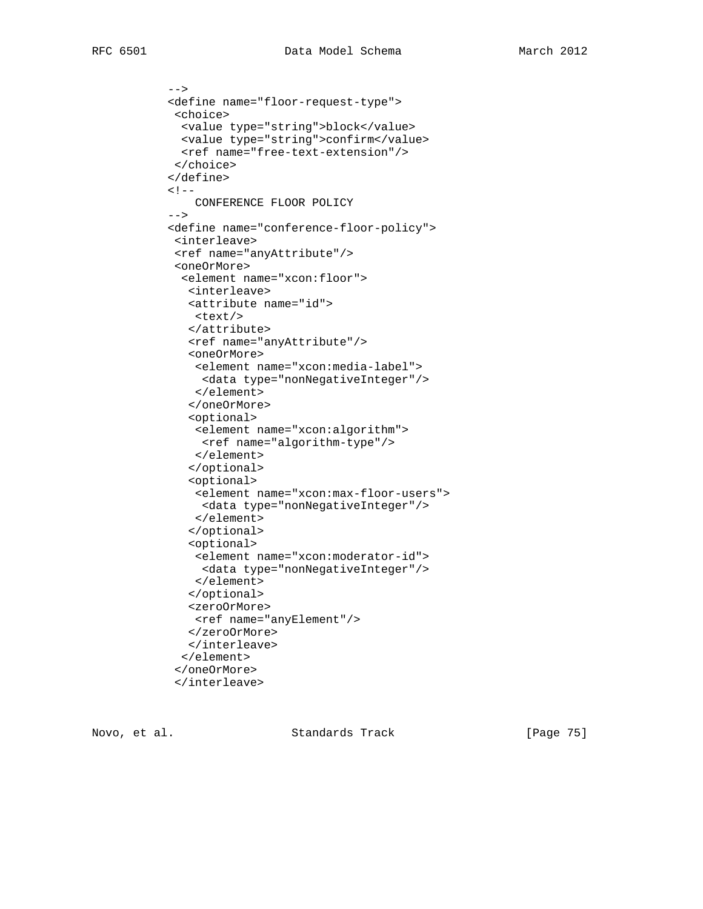```
-- <define name="floor-request-type">
 <choice>
  <value type="string">block</value>
  <value type="string">confirm</value>
  <ref name="free-text-extension"/>
 </choice>
 </define>
< ! -- CONFERENCE FLOOR POLICY
--&> <define name="conference-floor-policy">
 <interleave>
 <ref name="anyAttribute"/>
  <oneOrMore>
   <element name="xcon:floor">
    <interleave>
    <attribute name="id">
    <text/>
    </attribute>
    <ref name="anyAttribute"/>
    <oneOrMore>
    <element name="xcon:media-label">
     <data type="nonNegativeInteger"/>
    </element>
    </oneOrMore>
    <optional>
     <element name="xcon:algorithm">
     <ref name="algorithm-type"/>
     </element>
    </optional>
    <optional>
     <element name="xcon:max-floor-users">
     <data type="nonNegativeInteger"/>
     </element>
    </optional>
    <optional>
     <element name="xcon:moderator-id">
      <data type="nonNegativeInteger"/>
     </element>
    </optional>
    <zeroOrMore>
    <ref name="anyElement"/>
    </zeroOrMore>
    </interleave>
   </element>
  </oneOrMore>
  </interleave>
```
Novo, et al. Standards Track [Page 75]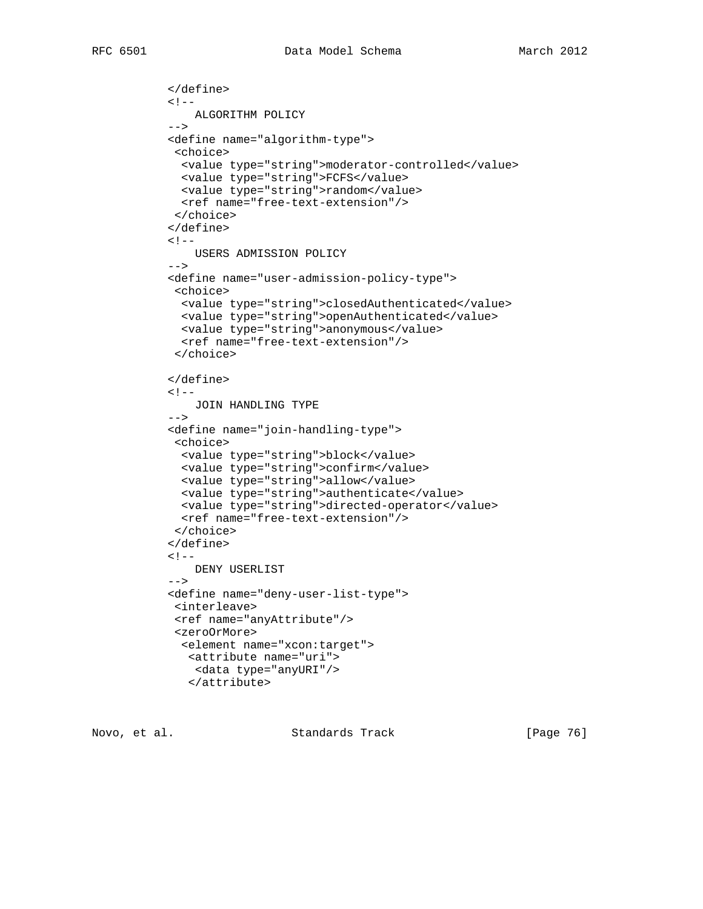```
 </define>
           \lt ! -- ALGORITHM POLICY
 -->
            <define name="algorithm-type">
             <choice>
              <value type="string">moderator-controlled</value>
             <value type="string">FCFS</value>
             <value type="string">random</value>
             <ref name="free-text-extension"/>
             </choice>
            </define>
           <! - USERS ADMISSION POLICY
           -- <define name="user-admission-policy-type">
             <choice>
              <value type="string">closedAuthenticated</value>
              <value type="string">openAuthenticated</value>
              <value type="string">anonymous</value>
              <ref name="free-text-extension"/>
             </choice>
            </define>
           2 - 1 - 1 JOIN HANDLING TYPE
            -->
            <define name="join-handling-type">
             <choice>
              <value type="string">block</value>
             <value type="string">confirm</value>
              <value type="string">allow</value>
              <value type="string">authenticate</value>
              <value type="string">directed-operator</value>
              <ref name="free-text-extension"/>
             </choice>
            </define>
           \lt ! -- DENY USERLIST
           --&> <define name="deny-user-list-type">
             <interleave>
             <ref name="anyAttribute"/>
             <zeroOrMore>
              <element name="xcon:target">
               <attribute name="uri">
               <data type="anyURI"/>
               </attribute>
```
Novo, et al. Standards Track [Page 76]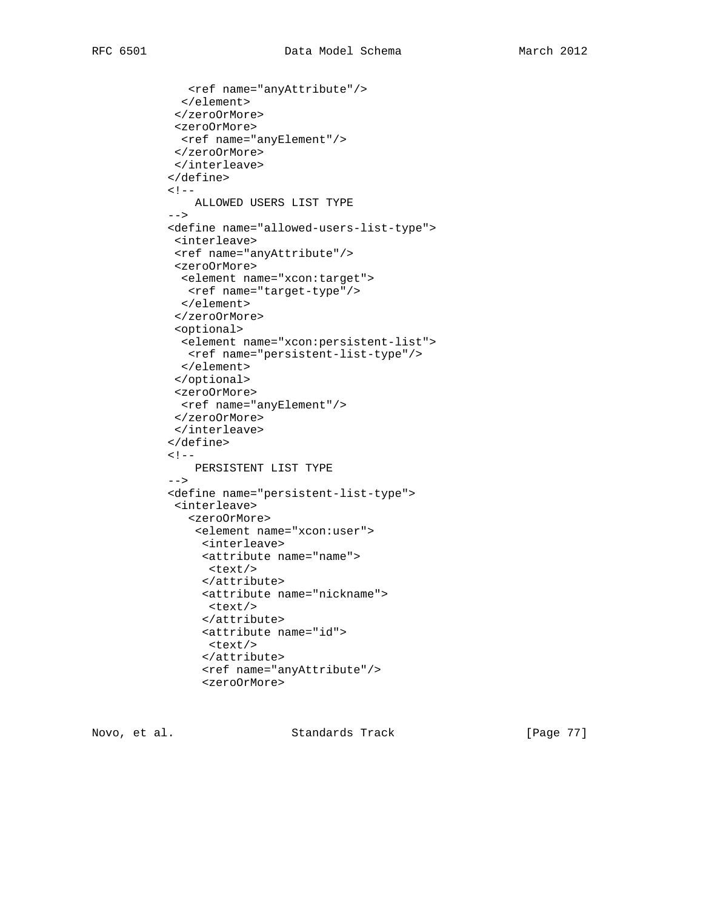<ref name="anyAttribute"/> </element> </zeroOrMore> <zeroOrMore> <ref name="anyElement"/> </zeroOrMore> </interleave> </define>  $<$  !  $--$  ALLOWED USERS LIST TYPE  $--&>$  <define name="allowed-users-list-type"> <interleave> <ref name="anyAttribute"/> <zeroOrMore> <element name="xcon:target"> <ref name="target-type"/> </element> </zeroOrMore> <optional> <element name="xcon:persistent-list"> <ref name="persistent-list-type"/> </element> </optional> <zeroOrMore> <ref name="anyElement"/> </zeroOrMore> </interleave> </define>  $$  PERSISTENT LIST TYPE  $--&>$  <define name="persistent-list-type"> <interleave> <zeroOrMore> <element name="xcon:user"> <interleave> <attribute name="name"> <text/> </attribute> <attribute name="nickname"> <text/> </attribute> <attribute name="id"> <text/> </attribute> <ref name="anyAttribute"/> <zeroOrMore>

Novo, et al. Standards Track [Page 77]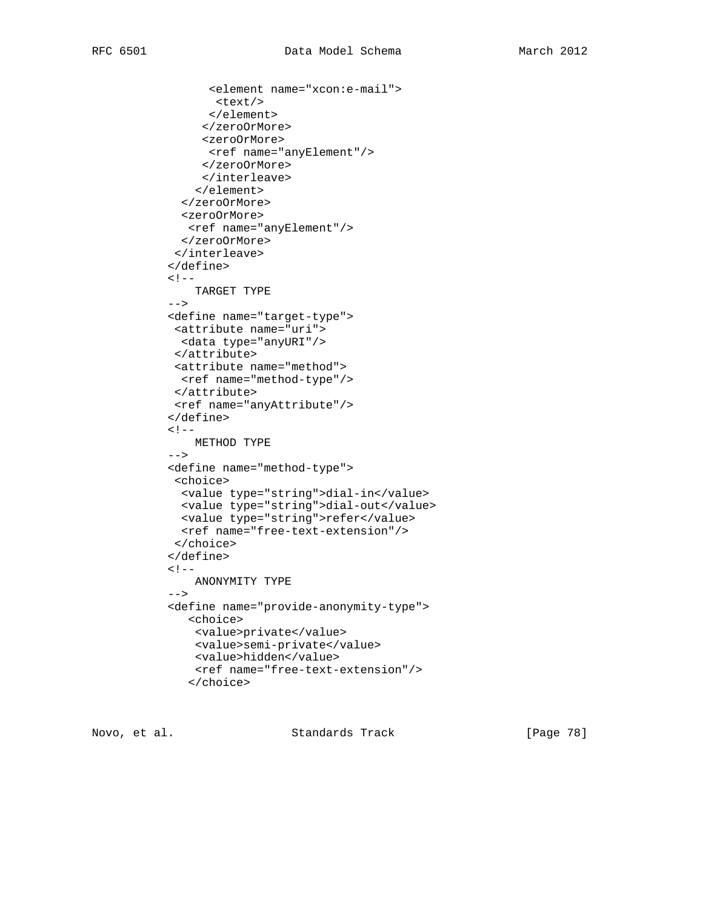```
 <element name="xcon:e-mail">
        <text/>
       </element>
      </zeroOrMore>
      <zeroOrMore>
      <ref name="anyElement"/>
      </zeroOrMore>
      </interleave>
     </element>
   </zeroOrMore>
   <zeroOrMore>
   <ref name="anyElement"/>
  </zeroOrMore>
  </interleave>
 </define>
\lt! --
    TARGET TYPE
--&> <define name="target-type">
 <attribute name="uri">
  <data type="anyURI"/>
 </attribute>
 <attribute name="method">
  <ref name="method-type"/>
 </attribute>
 <ref name="anyAttribute"/>
 </define>
< ! -- METHOD TYPE
-- <define name="method-type">
 <choice>
  <value type="string">dial-in</value>
  <value type="string">dial-out</value>
  <value type="string">refer</value>
   <ref name="free-text-extension"/>
 </choice>
 </define>
<! - ANONYMITY TYPE
--&> <define name="provide-anonymity-type">
   <choice>
    <value>private</value>
    <value>semi-private</value>
    <value>hidden</value>
     <ref name="free-text-extension"/>
    </choice>
```
Novo, et al. Standards Track [Page 78]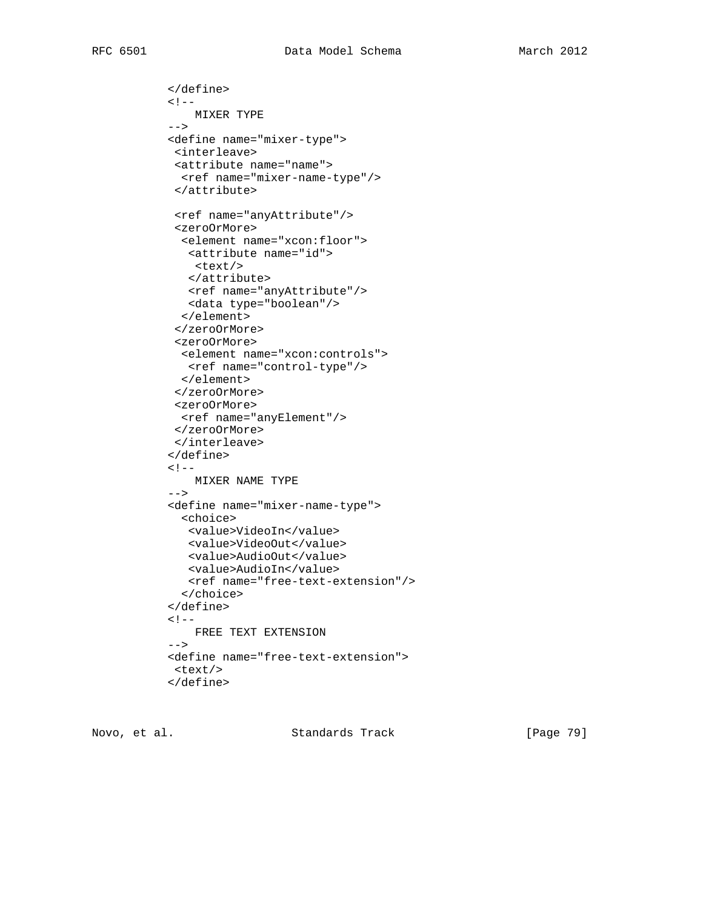</define>  $<$ ! -- MIXER TYPE  $--&>$  <define name="mixer-type"> <interleave> <attribute name="name"> <ref name="mixer-name-type"/> </attribute> <ref name="anyAttribute"/> <zeroOrMore> <element name="xcon:floor"> <attribute name="id">  $<$ text/> </attribute> <ref name="anyAttribute"/> <data type="boolean"/> </element> </zeroOrMore> <zeroOrMore> <element name="xcon:controls"> <ref name="control-type"/> </element> </zeroOrMore> <zeroOrMore> <ref name="anyElement"/> </zeroOrMore> </interleave> </define>  $<$  !  $--$  MIXER NAME TYPE  $--$  <define name="mixer-name-type"> <choice> <value>VideoIn</value> <value>VideoOut</value> <value>AudioOut</value> <value>AudioIn</value> <ref name="free-text-extension"/> </choice> </define>  $< ! - -$  FREE TEXT EXTENSION  $--$  <define name="free-text-extension"> <text/> </define>

Novo, et al. Standards Track [Page 79]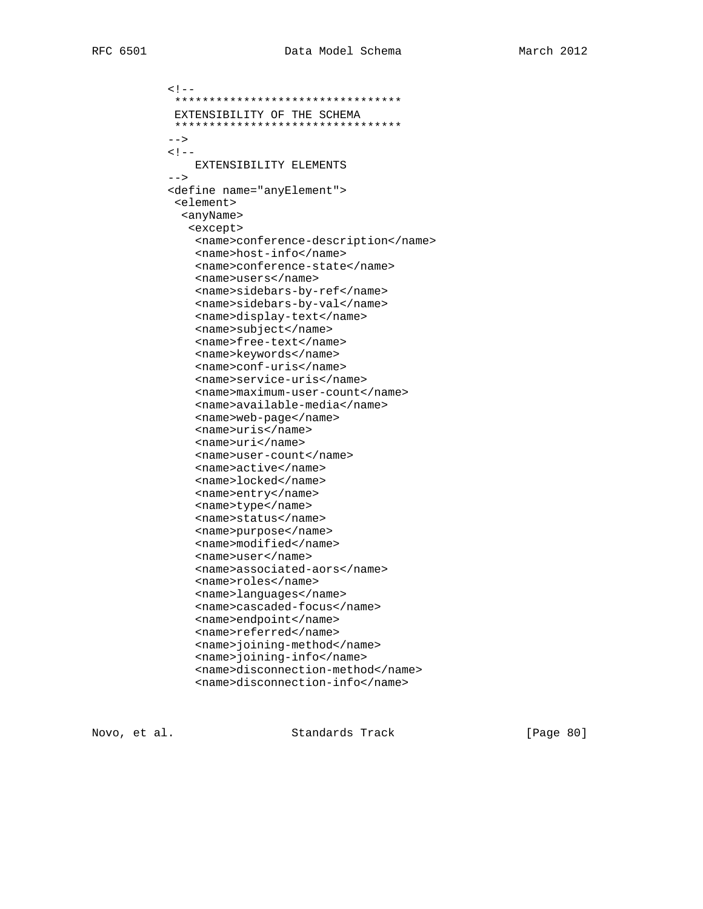$<$ !  $-$  \*\*\*\*\*\*\*\*\*\*\*\*\*\*\*\*\*\*\*\*\*\*\*\*\*\*\*\*\*\*\*\*\* EXTENSIBILITY OF THE SCHEMA \*\*\*\*\*\*\*\*\*\*\*\*\*\*\*\*\*\*\*\*\*\*\*\*\*\*\*\*\*\*\*\*\*  $--&>$  $< 1 - -$  EXTENSIBILITY ELEMENTS --> <define name="anyElement"> <element> <anyName> <except> <name>conference-description</name> <name>host-info</name> <name>conference-state</name> <name>users</name> <name>sidebars-by-ref</name> <name>sidebars-by-val</name> <name>display-text</name> <name>subject</name> <name>free-text</name> <name>keywords</name> <name>conf-uris</name> <name>service-uris</name> <name>maximum-user-count</name> <name>available-media</name> <name>web-page</name> <name>uris</name> <name>uri</name> <name>user-count</name> <name>active</name> <name>locked</name> <name>entry</name> <name>type</name> <name>status</name> <name>purpose</name> <name>modified</name> <name>user</name> <name>associated-aors</name> <name>roles</name> <name>languages</name> <name>cascaded-focus</name> <name>endpoint</name> <name>referred</name> <name>joining-method</name> <name>joining-info</name> <name>disconnection-method</name> <name>disconnection-info</name>

Novo, et al. Standards Track [Page 80]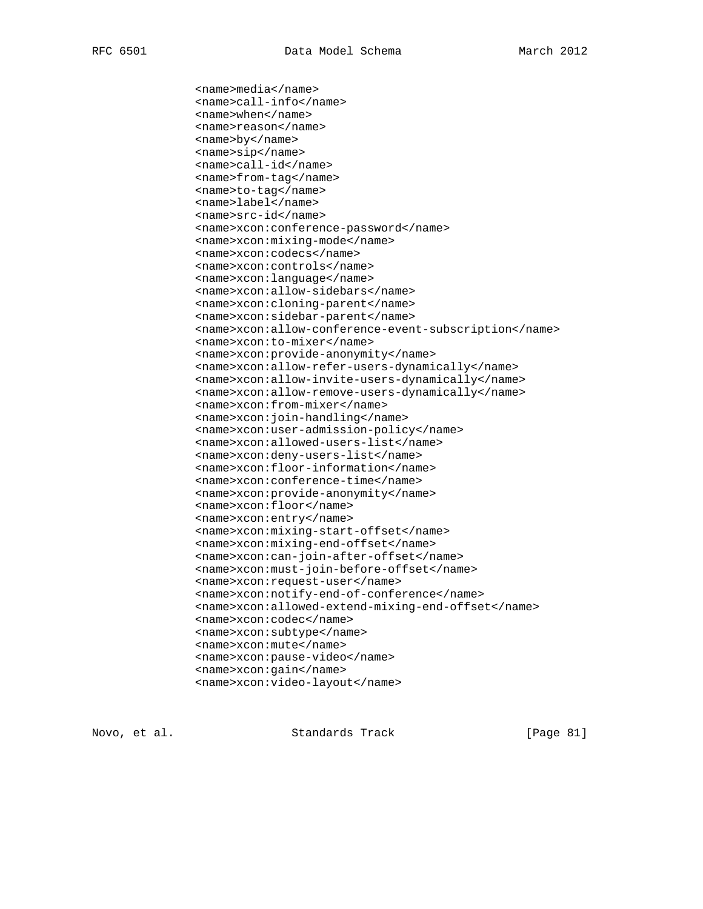<name>media</name> <name>call-info</name> <name>when</name> <name>reason</name> <name>by</name> <name>sip</name> <name>call-id</name> <name>from-tag</name> <name>to-tag</name> <name>label</name> <name>src-id</name> <name>xcon:conference-password</name> <name>xcon:mixing-mode</name> <name>xcon:codecs</name> <name>xcon:controls</name> <name>xcon:language</name> <name>xcon:allow-sidebars</name> <name>xcon:cloning-parent</name> <name>xcon:sidebar-parent</name> <name>xcon:allow-conference-event-subscription</name> <name>xcon:to-mixer</name> <name>xcon:provide-anonymity</name> <name>xcon:allow-refer-users-dynamically</name> <name>xcon:allow-invite-users-dynamically</name> <name>xcon:allow-remove-users-dynamically</name> <name>xcon:from-mixer</name> <name>xcon:join-handling</name> <name>xcon:user-admission-policy</name> <name>xcon:allowed-users-list</name> <name>xcon:deny-users-list</name> <name>xcon:floor-information</name> <name>xcon:conference-time</name> <name>xcon:provide-anonymity</name> <name>xcon:floor</name> <name>xcon:entry</name> <name>xcon:mixing-start-offset</name> <name>xcon:mixing-end-offset</name> <name>xcon:can-join-after-offset</name> <name>xcon:must-join-before-offset</name> <name>xcon:request-user</name> <name>xcon:notify-end-of-conference</name> <name>xcon:allowed-extend-mixing-end-offset</name> <name>xcon:codec</name> <name>xcon:subtype</name> <name>xcon:mute</name> <name>xcon:pause-video</name> <name>xcon:gain</name> <name>xcon:video-layout</name>

Novo, et al. Standards Track [Page 81]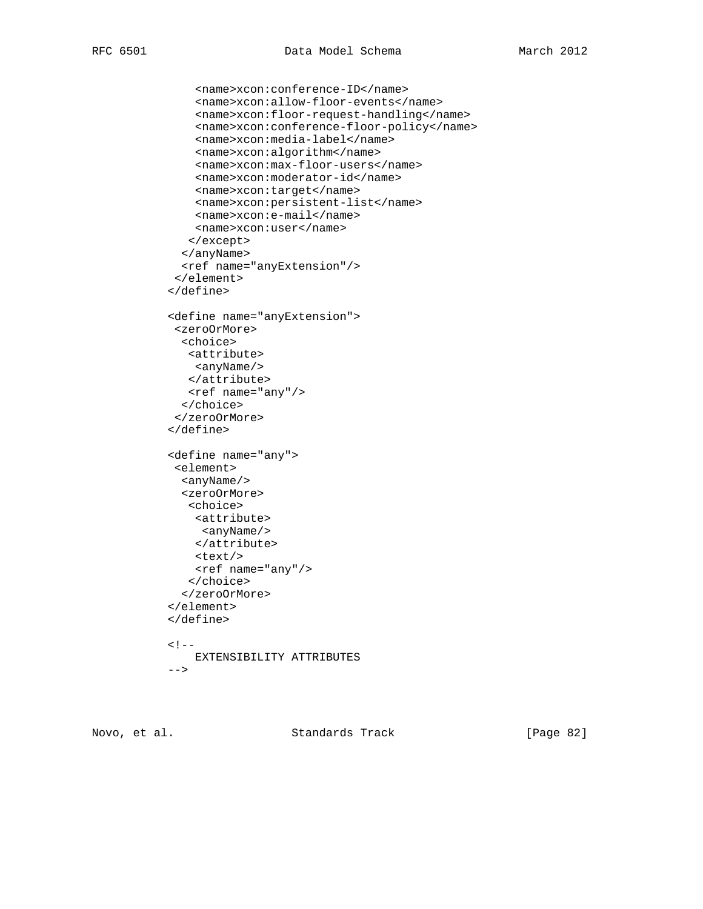```
 <name>xcon:conference-ID</name>
     <name>xcon:allow-floor-events</name>
     <name>xcon:floor-request-handling</name>
     <name>xcon:conference-floor-policy</name>
     <name>xcon:media-label</name>
     <name>xcon:algorithm</name>
     <name>xcon:max-floor-users</name>
     <name>xcon:moderator-id</name>
     <name>xcon:target</name>
    <name>xcon:persistent-list</name>
     <name>xcon:e-mail</name>
     <name>xcon:user</name>
    </except>
   </anyName>
   <ref name="anyExtension"/>
  </element>
 </define>
 <define name="anyExtension">
 <zeroOrMore>
  <choice>
   <attribute>
    <anyName/>
   </attribute>
   <ref name="any"/>
   </choice>
  </zeroOrMore>
 </define>
 <define name="any">
 <element>
  <anyName/>
  <zeroOrMore>
   <choice>
    <attribute>
     <anyName/>
    </attribute>
     <text/>
     <ref name="any"/>
   </choice>
   </zeroOrMore>
 </element>
 </define>
<! -- EXTENSIBILITY ATTRIBUTES
 -->
```
Novo, et al. Standards Track [Page 82]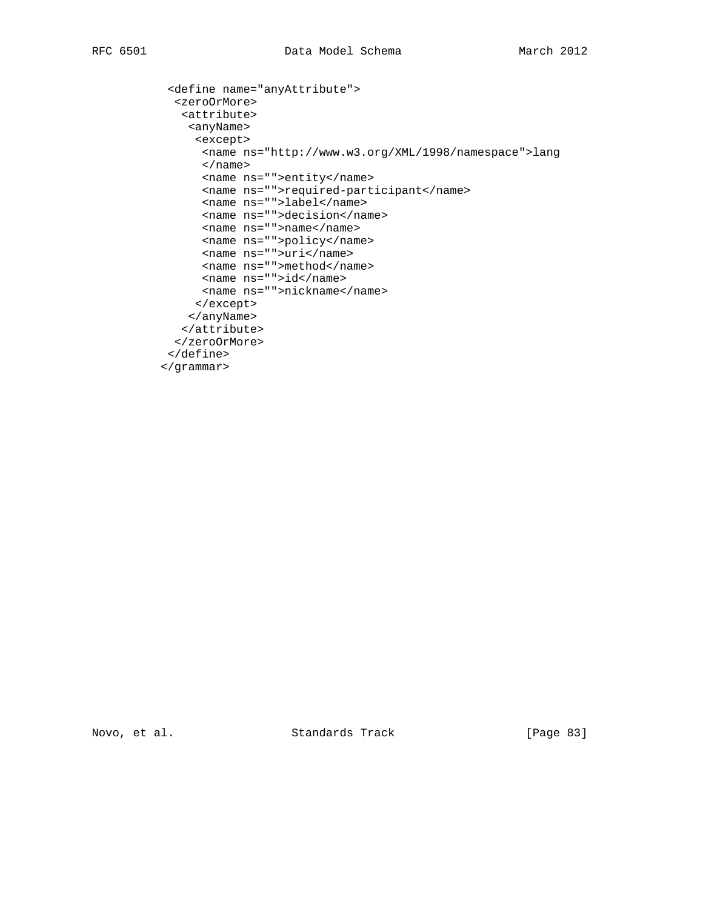```
 <define name="anyAttribute">
  <zeroOrMore>
    <attribute>
    <anyName>
     <except>
       <name ns="http://www.w3.org/XML/1998/namespace">lang
       </name>
       <name ns="">entity</name>
       <name ns="">required-participant</name>
       <name ns="">label</name>
       <name ns="">decision</name>
       <name ns="">name</name>
       <name ns="">policy</name>
       <name ns="">uri</name>
       <name ns="">method</name>
      <name ns="">id</name>
      <name ns="">nickname</name>
     </except>
    </anyName>
   </attribute>
   </zeroOrMore>
 </define>
 </grammar>
```
Novo, et al. Standards Track [Page 83]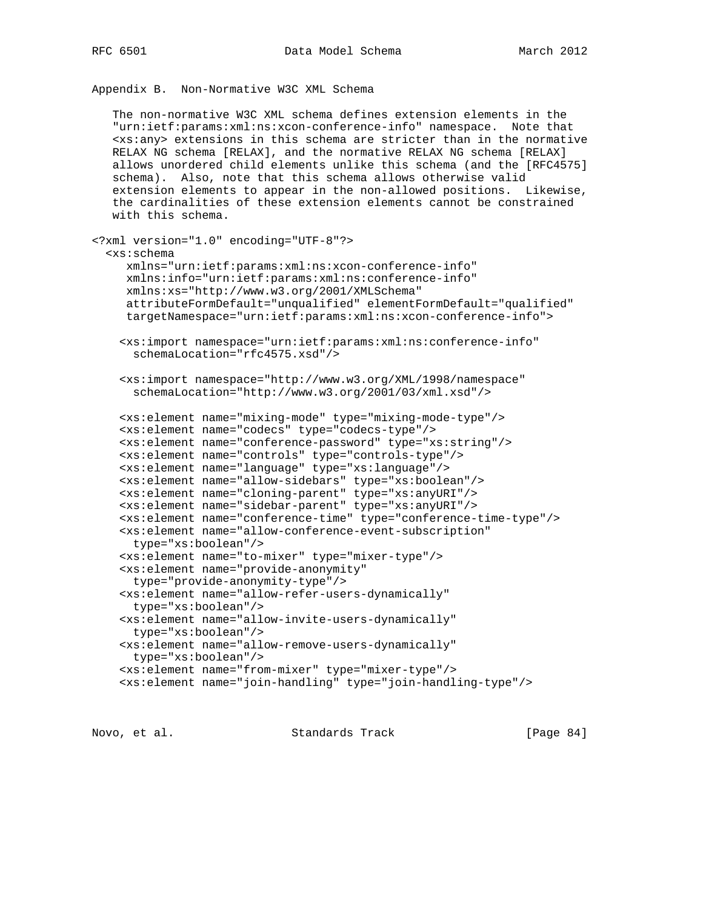Appendix B. Non-Normative W3C XML Schema

 The non-normative W3C XML schema defines extension elements in the "urn:ietf:params:xml:ns:xcon-conference-info" namespace. Note that <xs:any> extensions in this schema are stricter than in the normative RELAX NG schema [RELAX], and the normative RELAX NG schema [RELAX] allows unordered child elements unlike this schema (and the [RFC4575] schema). Also, note that this schema allows otherwise valid extension elements to appear in the non-allowed positions. Likewise, the cardinalities of these extension elements cannot be constrained with this schema.

```
<?xml version="1.0" encoding="UTF-8"?>
```

```
 <xs:schema
   xmlns="urn:ietf:params:xml:ns:xcon-conference-info"
   xmlns:info="urn:ietf:params:xml:ns:conference-info"
```

```
 xmlns:xs="http://www.w3.org/2001/XMLSchema"
 attributeFormDefault="unqualified" elementFormDefault="qualified"
 targetNamespace="urn:ietf:params:xml:ns:xcon-conference-info">
```

```
 <xs:import namespace="urn:ietf:params:xml:ns:conference-info"
  schemaLocation="rfc4575.xsd"/>
```

```
 <xs:import namespace="http://www.w3.org/XML/1998/namespace"
  schemaLocation="http://www.w3.org/2001/03/xml.xsd"/>
```

```
 <xs:element name="mixing-mode" type="mixing-mode-type"/>
 <xs:element name="codecs" type="codecs-type"/>
 <xs:element name="conference-password" type="xs:string"/>
 <xs:element name="controls" type="controls-type"/>
 <xs:element name="language" type="xs:language"/>
 <xs:element name="allow-sidebars" type="xs:boolean"/>
 <xs:element name="cloning-parent" type="xs:anyURI"/>
 <xs:element name="sidebar-parent" type="xs:anyURI"/>
 <xs:element name="conference-time" type="conference-time-type"/>
 <xs:element name="allow-conference-event-subscription"
  type="xs:boolean"/>
 <xs:element name="to-mixer" type="mixer-type"/>
 <xs:element name="provide-anonymity"
  type="provide-anonymity-type"/>
 <xs:element name="allow-refer-users-dynamically"
  type="xs:boolean"/>
 <xs:element name="allow-invite-users-dynamically"
  type="xs:boolean"/>
 <xs:element name="allow-remove-users-dynamically"
  type="xs:boolean"/>
 <xs:element name="from-mixer" type="mixer-type"/>
 <xs:element name="join-handling" type="join-handling-type"/>
```
Novo, et al. Standards Track [Page 84]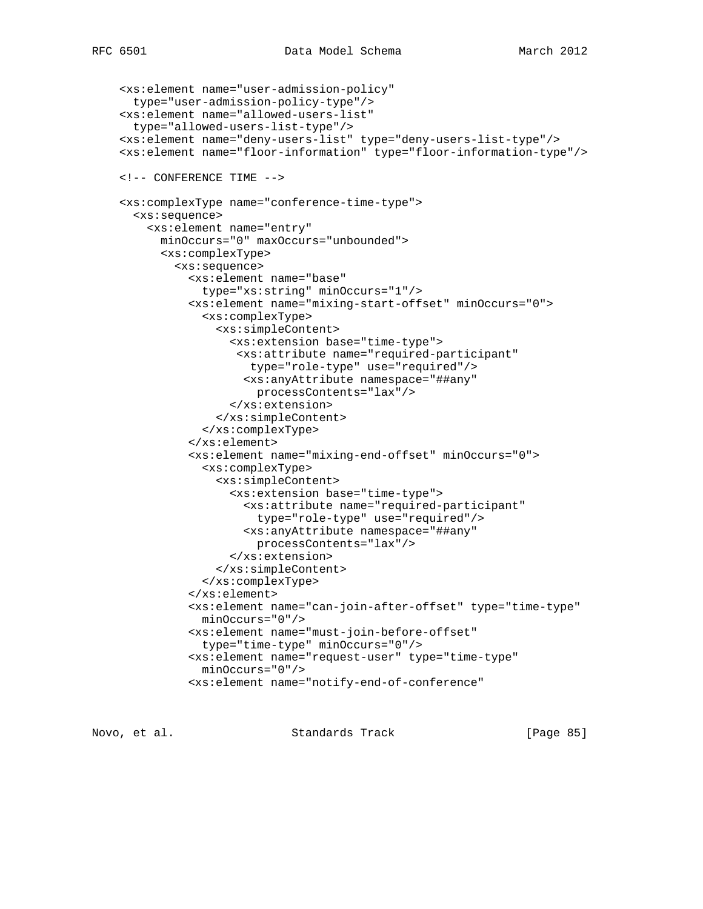```
 <xs:element name="user-admission-policy"
```

```
 type="user-admission-policy-type"/>
 <xs:element name="allowed-users-list"
  type="allowed-users-list-type"/>
 <xs:element name="deny-users-list" type="deny-users-list-type"/>
 <xs:element name="floor-information" type="floor-information-type"/>
 <!-- CONFERENCE TIME -->
 <xs:complexType name="conference-time-type">
  <xs:sequence>
     <xs:element name="entry"
       minOccurs="0" maxOccurs="unbounded">
       <xs:complexType>
         <xs:sequence>
           <xs:element name="base"
             type="xs:string" minOccurs="1"/>
           <xs:element name="mixing-start-offset" minOccurs="0">
             <xs:complexType>
               <xs:simpleContent>
                 <xs:extension base="time-type">
                  <xs:attribute name="required-participant"
                    type="role-type" use="required"/>
                   <xs:anyAttribute namespace="##any"
                     processContents="lax"/>
                 </xs:extension>
               </xs:simpleContent>
             </xs:complexType>
           </xs:element>
           <xs:element name="mixing-end-offset" minOccurs="0">
             <xs:complexType>
               <xs:simpleContent>
                 <xs:extension base="time-type">
                   <xs:attribute name="required-participant"
                     type="role-type" use="required"/>
                   <xs:anyAttribute namespace="##any"
                     processContents="lax"/>
                 </xs:extension>
               </xs:simpleContent>
             </xs:complexType>
           </xs:element>
           <xs:element name="can-join-after-offset" type="time-type"
             minOccurs="0"/>
           <xs:element name="must-join-before-offset"
             type="time-type" minOccurs="0"/>
           <xs:element name="request-user" type="time-type"
            minOccurs="0"/>
           <xs:element name="notify-end-of-conference"
```
Novo, et al. Standards Track [Page 85]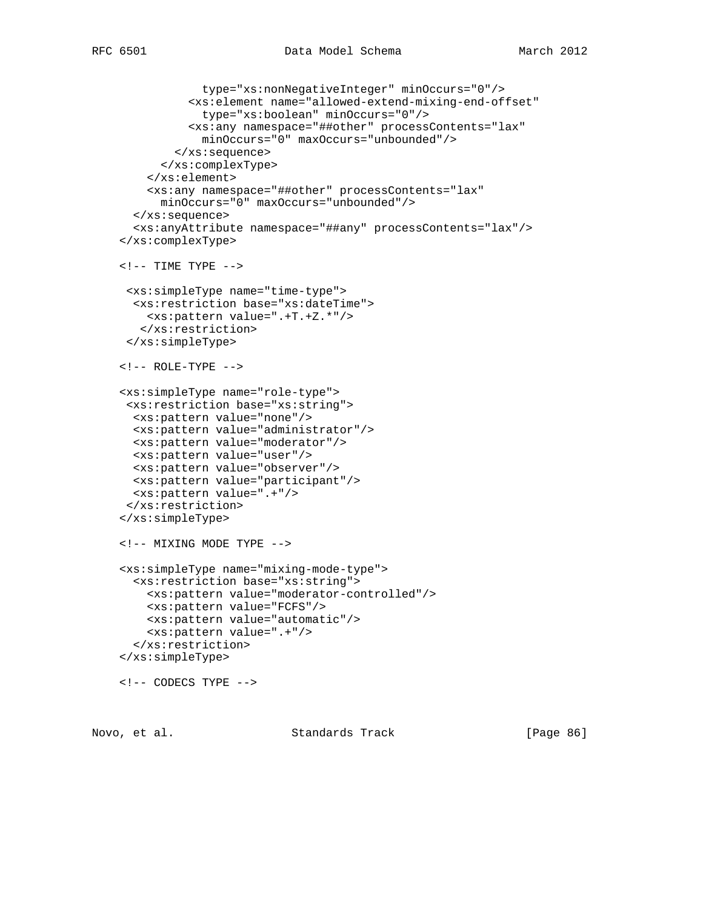```
 type="xs:nonNegativeInteger" minOccurs="0"/>
           <xs:element name="allowed-extend-mixing-end-offset"
             type="xs:boolean" minOccurs="0"/>
           <xs:any namespace="##other" processContents="lax"
             minOccurs="0" maxOccurs="unbounded"/>
         </xs:sequence>
       </xs:complexType>
     </xs:element>
     <xs:any namespace="##other" processContents="lax"
       minOccurs="0" maxOccurs="unbounded"/>
   </xs:sequence>
   <xs:anyAttribute namespace="##any" processContents="lax"/>
 </xs:complexType>
\langle !-- TIME TYPE -->
 <xs:simpleType name="time-type">
  <xs:restriction base="xs:dateTime">
     <xs:pattern value=".+T.+Z.*"/>
    </xs:restriction>
  </xs:simpleType>
\leftarrow! - ROLE-TYPE \leftarrow <xs:simpleType name="role-type">
 <xs:restriction base="xs:string">
  <xs:pattern value="none"/>
  <xs:pattern value="administrator"/>
  <xs:pattern value="moderator"/>
  <xs:pattern value="user"/>
  <xs:pattern value="observer"/>
  <xs:pattern value="participant"/>
  <xs:pattern value=".+"/>
 </xs:restriction>
 </xs:simpleType>
 <!-- MIXING MODE TYPE -->
 <xs:simpleType name="mixing-mode-type">
   <xs:restriction base="xs:string">
     <xs:pattern value="moderator-controlled"/>
     <xs:pattern value="FCFS"/>
     <xs:pattern value="automatic"/>
     <xs:pattern value=".+"/>
   </xs:restriction>
 </xs:simpleType>
\langle !-- CODECS TYPE -->
```
Novo, et al. Standards Track [Page 86]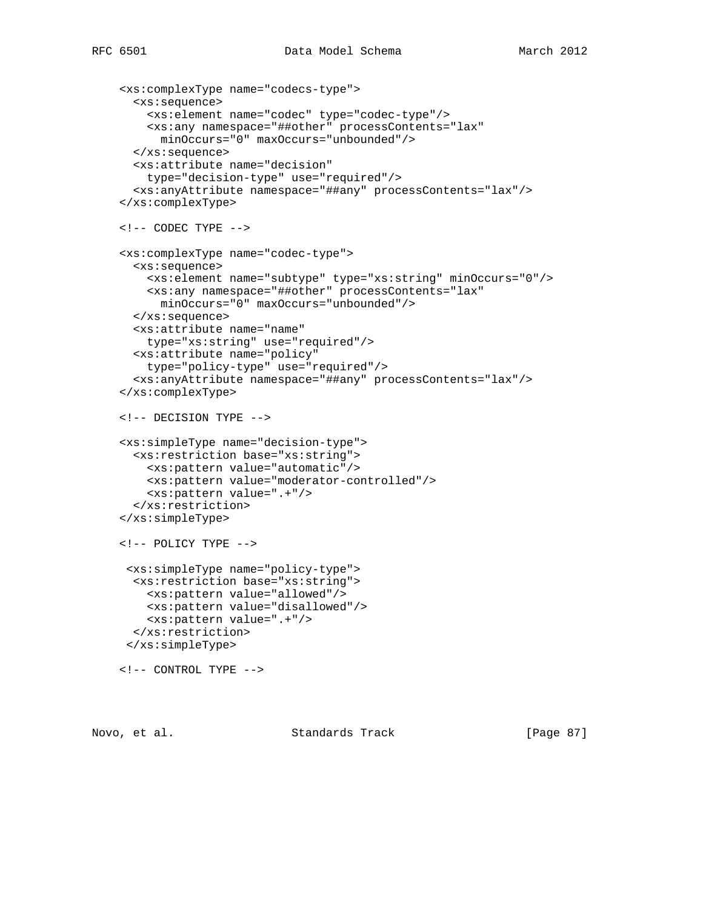```
 <xs:complexType name="codecs-type">
   <xs:sequence>
     <xs:element name="codec" type="codec-type"/>
    <xs:any namespace="##other" processContents="lax"
      minOccurs="0" maxOccurs="unbounded"/>
   </xs:sequence>
   <xs:attribute name="decision"
     type="decision-type" use="required"/>
   <xs:anyAttribute namespace="##any" processContents="lax"/>
 </xs:complexType>
\langle !-- CODEC TYPE -->
 <xs:complexType name="codec-type">
   <xs:sequence>
     <xs:element name="subtype" type="xs:string" minOccurs="0"/>
     <xs:any namespace="##other" processContents="lax"
      minOccurs="0" maxOccurs="unbounded"/>
   </xs:sequence>
   <xs:attribute name="name"
    type="xs:string" use="required"/>
   <xs:attribute name="policy"
     type="policy-type" use="required"/>
   <xs:anyAttribute namespace="##any" processContents="lax"/>
 </xs:complexType>
 <!-- DECISION TYPE -->
 <xs:simpleType name="decision-type">
   <xs:restriction base="xs:string">
    <xs:pattern value="automatic"/>
     <xs:pattern value="moderator-controlled"/>
     <xs:pattern value=".+"/>
   </xs:restriction>
 </xs:simpleType>
 <!-- POLICY TYPE -->
  <xs:simpleType name="policy-type">
  <xs:restriction base="xs:string">
     <xs:pattern value="allowed"/>
     <xs:pattern value="disallowed"/>
     <xs:pattern value=".+"/>
   </xs:restriction>
  </xs:simpleType>
 <!-- CONTROL TYPE -->
```
Novo, et al. Standards Track [Page 87]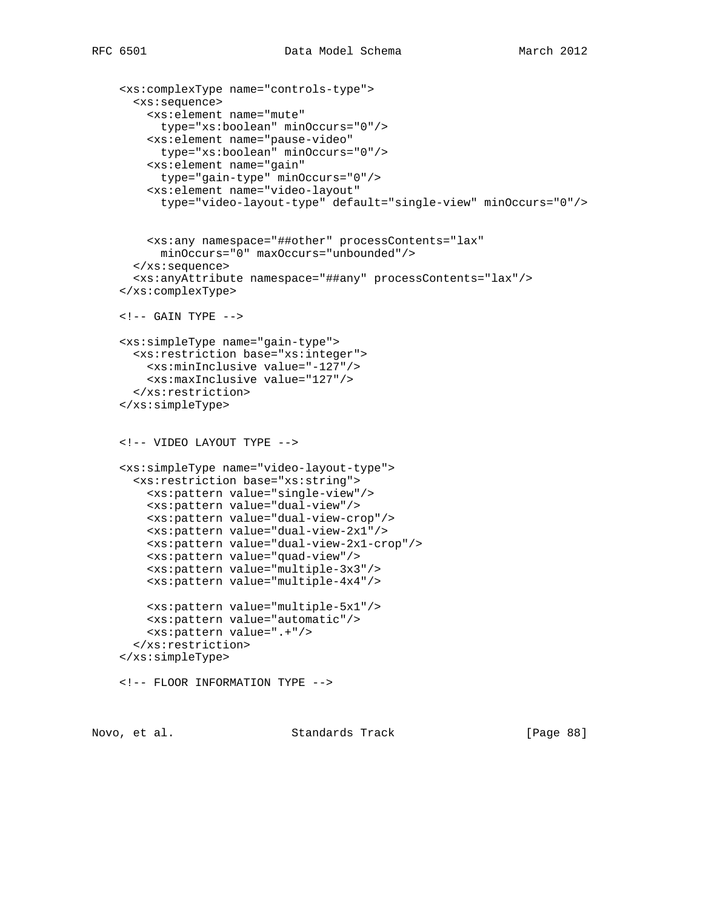```
 <xs:complexType name="controls-type">
   <xs:sequence>
     <xs:element name="mute"
       type="xs:boolean" minOccurs="0"/>
     <xs:element name="pause-video"
      type="xs:boolean" minOccurs="0"/>
     <xs:element name="gain"
      type="gain-type" minOccurs="0"/>
     <xs:element name="video-layout"
      type="video-layout-type" default="single-view" minOccurs="0"/>
     <xs:any namespace="##other" processContents="lax"
      minOccurs="0" maxOccurs="unbounded"/>
   </xs:sequence>
   <xs:anyAttribute namespace="##any" processContents="lax"/>
 </xs:complexType>
\texttt{<!--} GAIN TYPE \texttt{--}> <xs:simpleType name="gain-type">
  <xs:restriction base="xs:integer">
    <xs:minInclusive value="-127"/>
     <xs:maxInclusive value="127"/>
   </xs:restriction>
 </xs:simpleType>
 <!-- VIDEO LAYOUT TYPE -->
 <xs:simpleType name="video-layout-type">
   <xs:restriction base="xs:string">
     <xs:pattern value="single-view"/>
     <xs:pattern value="dual-view"/>
     <xs:pattern value="dual-view-crop"/>
     <xs:pattern value="dual-view-2x1"/>
     <xs:pattern value="dual-view-2x1-crop"/>
     <xs:pattern value="quad-view"/>
     <xs:pattern value="multiple-3x3"/>
     <xs:pattern value="multiple-4x4"/>
```

```
 <xs:pattern value="multiple-5x1"/>
     <xs:pattern value="automatic"/>
     <xs:pattern value=".+"/>
   </xs:restriction>
 </xs:simpleType>
```

```
 <!-- FLOOR INFORMATION TYPE -->
```
Novo, et al. Standards Track [Page 88]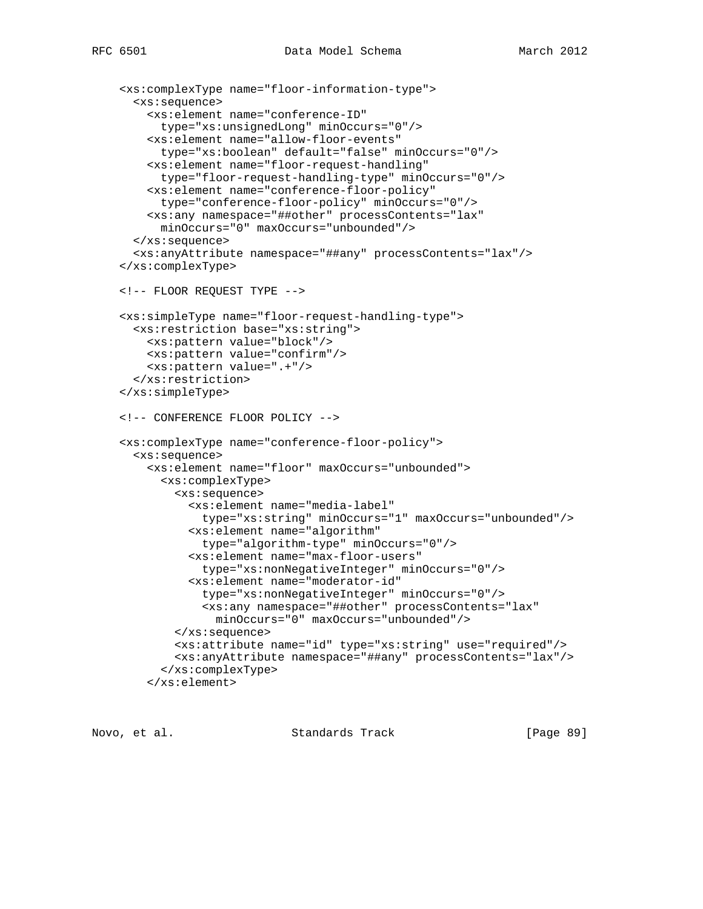```
 <xs:complexType name="floor-information-type">
  <xs:sequence>
     <xs:element name="conference-ID"
       type="xs:unsignedLong" minOccurs="0"/>
     <xs:element name="allow-floor-events"
      type="xs:boolean" default="false" minOccurs="0"/>
     <xs:element name="floor-request-handling"
      type="floor-request-handling-type" minOccurs="0"/>
     <xs:element name="conference-floor-policy"
      type="conference-floor-policy" minOccurs="0"/>
     <xs:any namespace="##other" processContents="lax"
      minOccurs="0" maxOccurs="unbounded"/>
   </xs:sequence>
   <xs:anyAttribute namespace="##any" processContents="lax"/>
 </xs:complexType>
 <!-- FLOOR REQUEST TYPE -->
 <xs:simpleType name="floor-request-handling-type">
  <xs:restriction base="xs:string">
    <xs:pattern value="block"/>
    <xs:pattern value="confirm"/>
     <xs:pattern value=".+"/>
   </xs:restriction>
 </xs:simpleType>
 <!-- CONFERENCE FLOOR POLICY -->
 <xs:complexType name="conference-floor-policy">
  <xs:sequence>
```

```
 <xs:element name="floor" maxOccurs="unbounded">
   <xs:complexType>
     <xs:sequence>
       <xs:element name="media-label"
         type="xs:string" minOccurs="1" maxOccurs="unbounded"/>
       <xs:element name="algorithm"
        type="algorithm-type" minOccurs="0"/>
       <xs:element name="max-floor-users"
         type="xs:nonNegativeInteger" minOccurs="0"/>
       <xs:element name="moderator-id"
         type="xs:nonNegativeInteger" minOccurs="0"/>
         <xs:any namespace="##other" processContents="lax"
          minOccurs="0" maxOccurs="unbounded"/>
     </xs:sequence>
     <xs:attribute name="id" type="xs:string" use="required"/>
     <xs:anyAttribute namespace="##any" processContents="lax"/>
   </xs:complexType>
```

```
 </xs:element>
```
Novo, et al. Standards Track [Page 89]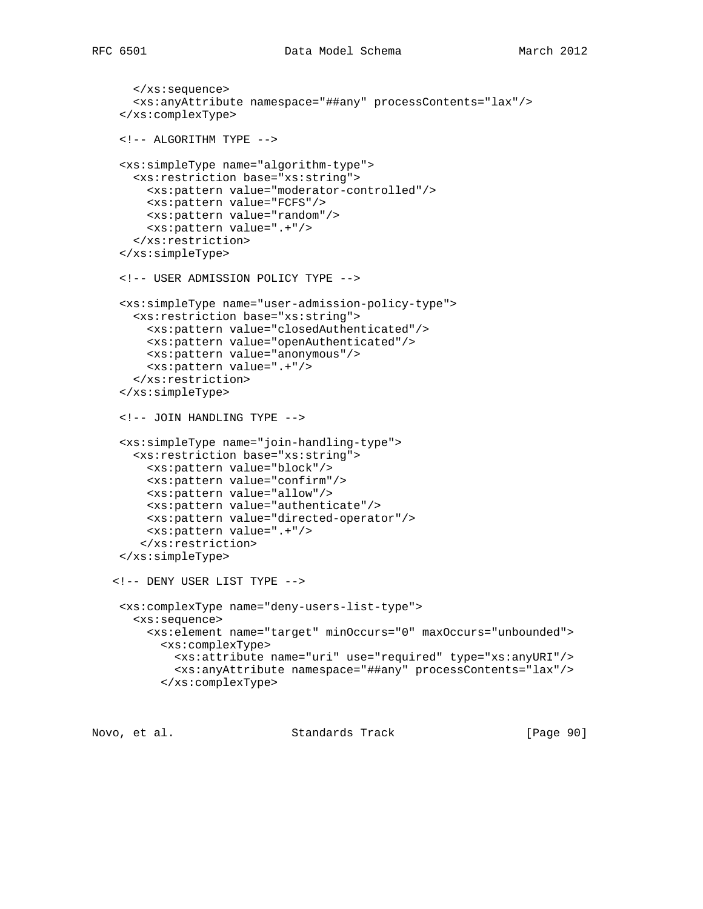```
 </xs:sequence>
    <xs:anyAttribute namespace="##any" processContents="lax"/>
  </xs:complexType>
  <!-- ALGORITHM TYPE -->
  <xs:simpleType name="algorithm-type">
    <xs:restriction base="xs:string">
     <xs:pattern value="moderator-controlled"/>
     <xs:pattern value="FCFS"/>
      <xs:pattern value="random"/>
      <xs:pattern value=".+"/>
    </xs:restriction>
  </xs:simpleType>
  <!-- USER ADMISSION POLICY TYPE -->
  <xs:simpleType name="user-admission-policy-type">
    <xs:restriction base="xs:string">
     <xs:pattern value="closedAuthenticated"/>
      <xs:pattern value="openAuthenticated"/>
     <xs:pattern value="anonymous"/>
      <xs:pattern value=".+"/>
    </xs:restriction>
  </xs:simpleType>
  <!-- JOIN HANDLING TYPE -->
  <xs:simpleType name="join-handling-type">
    <xs:restriction base="xs:string">
     <xs:pattern value="block"/>
     <xs:pattern value="confirm"/>
      <xs:pattern value="allow"/>
     <xs:pattern value="authenticate"/>
     <xs:pattern value="directed-operator"/>
      <xs:pattern value=".+"/>
     </xs:restriction>
  </xs:simpleType>
 <!-- DENY USER LIST TYPE -->
  <xs:complexType name="deny-users-list-type">
    <xs:sequence>
     <xs:element name="target" minOccurs="0" maxOccurs="unbounded">
        <xs:complexType>
          <xs:attribute name="uri" use="required" type="xs:anyURI"/>
          <xs:anyAttribute namespace="##any" processContents="lax"/>
        </xs:complexType>
```
Novo, et al. Standards Track [Page 90]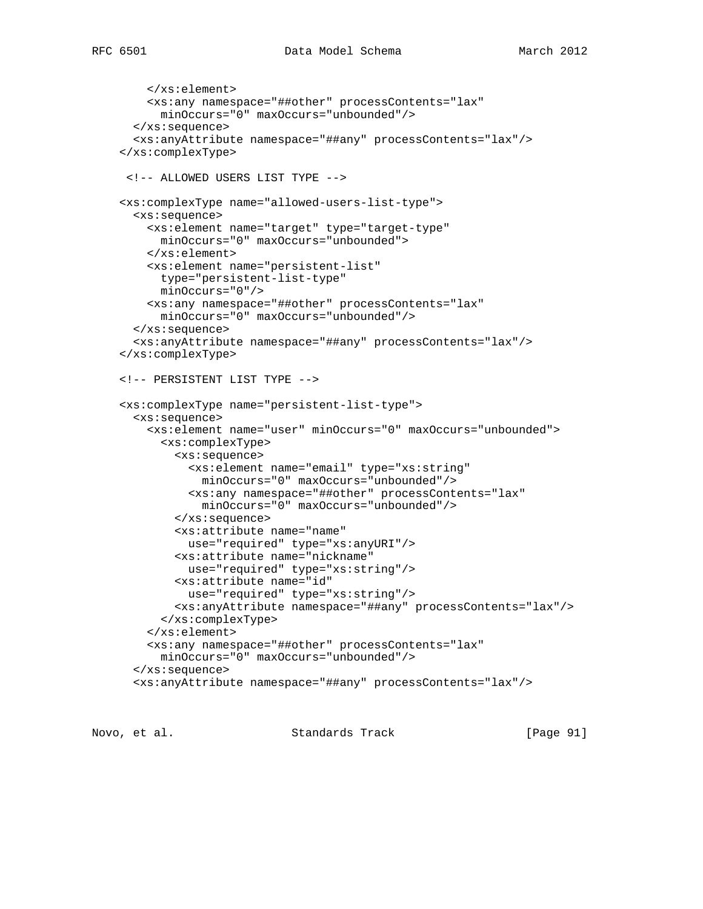```
 </xs:element>
     <xs:any namespace="##other" processContents="lax"
      minOccurs="0" maxOccurs="unbounded"/>
  </xs:sequence>
   <xs:anyAttribute namespace="##any" processContents="lax"/>
 </xs:complexType>
 <!-- ALLOWED USERS LIST TYPE -->
 <xs:complexType name="allowed-users-list-type">
  <xs:sequence>
     <xs:element name="target" type="target-type"
      minOccurs="0" maxOccurs="unbounded">
     </xs:element>
     <xs:element name="persistent-list"
      type="persistent-list-type"
      minOccurs="0"/>
     <xs:any namespace="##other" processContents="lax"
      minOccurs="0" maxOccurs="unbounded"/>
  </xs:sequence>
   <xs:anyAttribute namespace="##any" processContents="lax"/>
 </xs:complexType>
 <!-- PERSISTENT LIST TYPE -->
 <xs:complexType name="persistent-list-type">
   <xs:sequence>
     <xs:element name="user" minOccurs="0" maxOccurs="unbounded">
       <xs:complexType>
         <xs:sequence>
           <xs:element name="email" type="xs:string"
            minOccurs="0" maxOccurs="unbounded"/>
           <xs:any namespace="##other" processContents="lax"
            minOccurs="0" maxOccurs="unbounded"/>
         </xs:sequence>
         <xs:attribute name="name"
          use="required" type="xs:anyURI"/>
         <xs:attribute name="nickname"
          use="required" type="xs:string"/>
        <xs:attribute name="id"
          use="required" type="xs:string"/>
         <xs:anyAttribute namespace="##any" processContents="lax"/>
       </xs:complexType>
     </xs:element>
     <xs:any namespace="##other" processContents="lax"
       minOccurs="0" maxOccurs="unbounded"/>
   </xs:sequence>
   <xs:anyAttribute namespace="##any" processContents="lax"/>
```
Novo, et al. Standards Track [Page 91]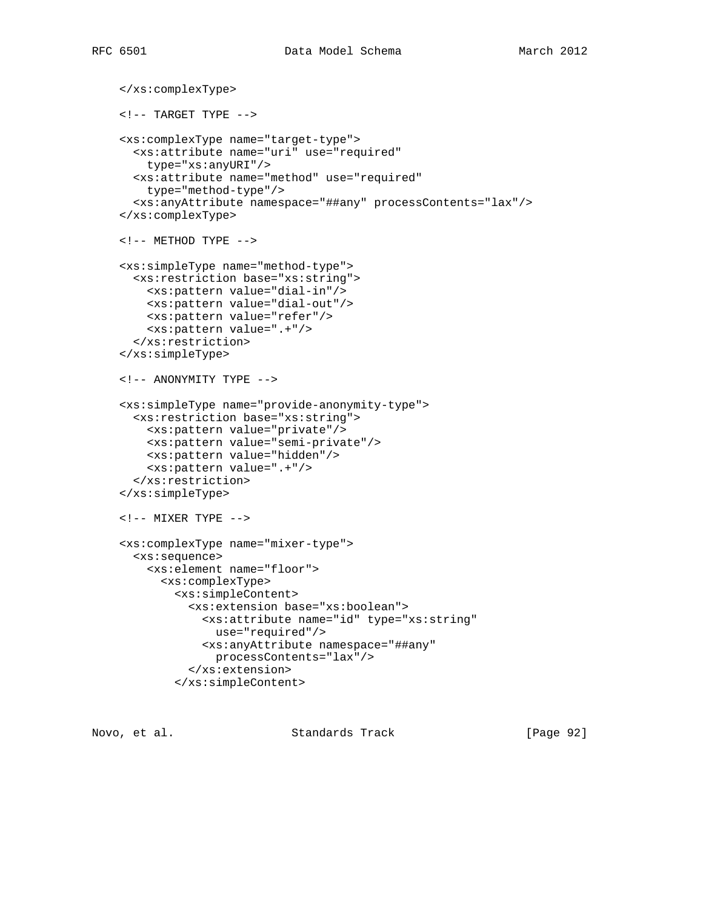```
 </xs:complexType>
\langle !-- TARGET TYPE -->
 <xs:complexType name="target-type">
   <xs:attribute name="uri" use="required"
     type="xs:anyURI"/>
   <xs:attribute name="method" use="required"
     type="method-type"/>
   <xs:anyAttribute namespace="##any" processContents="lax"/>
 </xs:complexType>
\langle !-- METHOD TYPE -->
 <xs:simpleType name="method-type">
   <xs:restriction base="xs:string">
     <xs:pattern value="dial-in"/>
     <xs:pattern value="dial-out"/>
     <xs:pattern value="refer"/>
     <xs:pattern value=".+"/>
   </xs:restriction>
 </xs:simpleType>
 <!-- ANONYMITY TYPE -->
 <xs:simpleType name="provide-anonymity-type">
   <xs:restriction base="xs:string">
     <xs:pattern value="private"/>
     <xs:pattern value="semi-private"/>
     <xs:pattern value="hidden"/>
     <xs:pattern value=".+"/>
   </xs:restriction>
 </xs:simpleType>
\lt!-- MIXER TYPE -->
 <xs:complexType name="mixer-type">
   <xs:sequence>
     <xs:element name="floor">
       <xs:complexType>
         <xs:simpleContent>
           <xs:extension base="xs:boolean">
             <xs:attribute name="id" type="xs:string"
               use="required"/>
             <xs:anyAttribute namespace="##any"
               processContents="lax"/>
           </xs:extension>
         </xs:simpleContent>
```
Novo, et al. Standards Track [Page 92]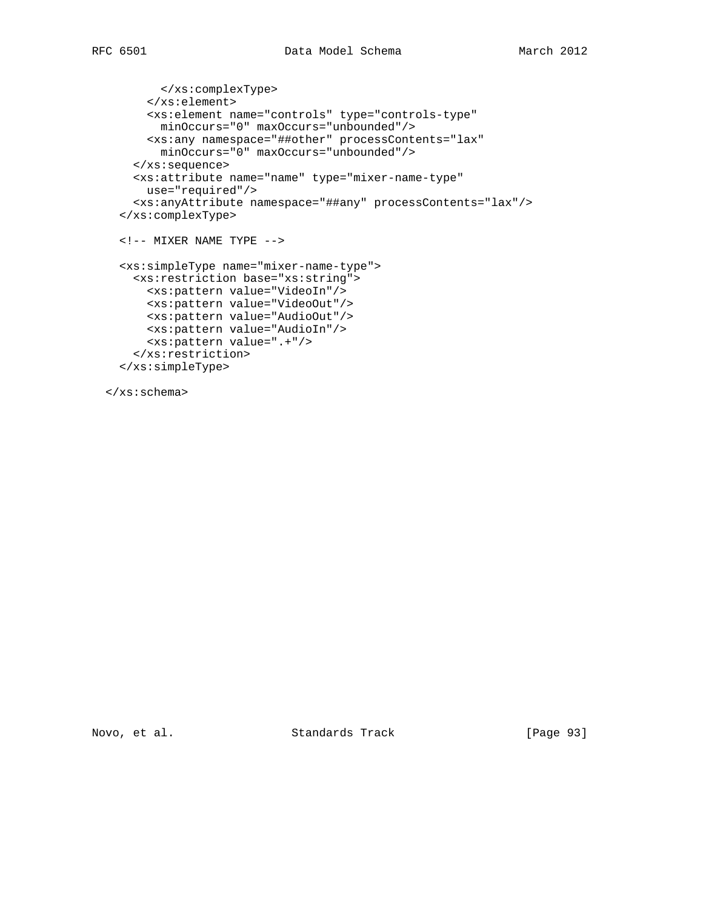```
 </xs:complexType>
     </xs:element>
     <xs:element name="controls" type="controls-type"
      minOccurs="0" maxOccurs="unbounded"/>
    <xs:any namespace="##other" processContents="lax"
      minOccurs="0" maxOccurs="unbounded"/>
   </xs:sequence>
  <xs:attribute name="name" type="mixer-name-type"
    use="required"/>
  <xs:anyAttribute namespace="##any" processContents="lax"/>
 </xs:complexType>
\langle!-- MIXER NAME TYPE -->
 <xs:simpleType name="mixer-name-type">
  <xs:restriction base="xs:string">
    <xs:pattern value="VideoIn"/>
    <xs:pattern value="VideoOut"/>
    <xs:pattern value="AudioOut"/>
    <xs:pattern value="AudioIn"/>
    <xs:pattern value=".+"/>
   </xs:restriction>
 </xs:simpleType>
```
</xs:schema>

Novo, et al. Standards Track [Page 93]